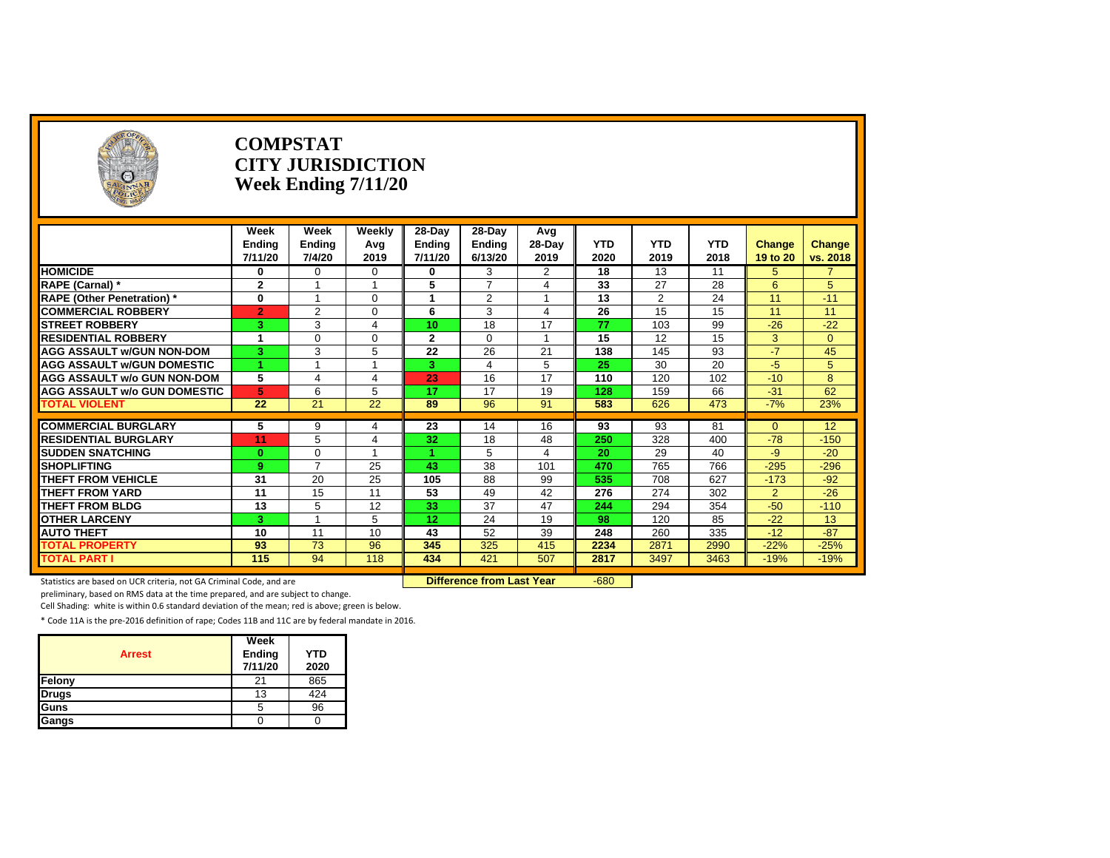| <b>O</b>                            |                 | <b>COMPSTAT</b> | <b>CITY JURISDICTION</b><br>Week Ending 7/11/20 |              |                |                |                 |                |            |          |          |
|-------------------------------------|-----------------|-----------------|-------------------------------------------------|--------------|----------------|----------------|-----------------|----------------|------------|----------|----------|
|                                     | Week            | Week            | Weekly                                          | 28-Day       | 28-Day         | Avg            |                 |                |            |          |          |
|                                     | Ending          | <b>Ending</b>   | Avg                                             | Ending       | Ending         | $28-Day$       | <b>YTD</b>      | <b>YTD</b>     | <b>YTD</b> | Change   | Change   |
|                                     | 7/11/20         | 7/4/20          | 2019                                            | 7/11/20      | 6/13/20        | 2019           | 2020            | 2019           | 2018       | 19 to 20 | vs. 2018 |
| <b>HOMICIDE</b>                     | 0               | $\Omega$        | $\Omega$                                        | $\bf{0}$     | 3              | $\overline{2}$ | $\overline{18}$ | 13             | 11         | 5        |          |
| RAPE (Carnal) *                     | $\mathbf{2}$    |                 | $\overline{\mathbf{1}}$                         | 5            | $\overline{7}$ | 4              | 33              | 27             | 28         | 6        | 5        |
| <b>RAPE (Other Penetration)</b> *   | $\mathbf{0}$    |                 | 0                                               | -1           | $\overline{2}$ |                | 13              | $\overline{2}$ | 24         | 11       | $-11$    |
| <b>COMMERCIAL ROBBERY</b>           | $\overline{2}$  | 2               | $\Omega$                                        | 6            | 3              | 4              | 26              | 15             | 15         | 11       | 11       |
| <b>STREET ROBBERY</b>               | 3               | 3               | 4                                               | 10           | 18             | 17             | 77              | 103            | 99         | $-26$    | $-22$    |
| <b>RESIDENTIAL ROBBERY</b>          | 1               | $\Omega$        | $\Omega$                                        | $\mathbf{2}$ | $\Omega$       | $\overline{1}$ | 15              | 12             | 15         | 3        | $\Omega$ |
| <b>AGG ASSAULT w/GUN NON-DOM</b>    | 3               | 3               | 5                                               | 22           | 26             | 21             | 138             | 145            | 93         | $-7$     | 45       |
| <b>AGG ASSAULT W/GUN DOMESTIC</b>   |                 |                 | 4                                               | 3            | 4              | 5              | 25              | 30             | 20         | $-5$     | 5        |
| <b>AGG ASSAULT w/o GUN NON-DOM</b>  | 5               | $\overline{4}$  | 4                                               | 23           | 16             | 17             | 110             | 120            | 102        | $-10$    | 8        |
| <b>AGG ASSAULT w/o GUN DOMESTIC</b> | 5               | 6               | 5                                               | 17           | 17             | 19             | 128             | 159            | 66         | $-31$    | 62       |
| <b>TOTAL VIOLENT</b>                | $\overline{22}$ | 21              | 22                                              | 89           | 96             | 91             | 583             | 626            | 473        | $-7%$    | 23%      |
| <b>COMMERCIAL BURGLARY</b>          |                 | 9               |                                                 | 23           |                | 16             | 93              | 93             | 81         | $\Omega$ | 12       |
| <b>RESIDENTIAL BURGLARY</b>         | 5<br>11         | 5               | 4<br>4                                          | 32           | 14<br>18       | 48             | 250             | 328            | 400        | $-78$    | $-150$   |
| <b>SUDDEN SNATCHING</b>             | $\bf{0}$        | $\Omega$        | $\overline{ }$                                  |              | 5              | 4              | 20              | 29             | 40         | $-9$     | $-20$    |
| <b>SHOPLIFTING</b>                  | 9               | $\overline{7}$  | 25                                              | 43           | 38             | 101            | 470             | 765            | 766        | $-295$   | $-296$   |
| <b>THEFT FROM VEHICLE</b>           | 31              | 20              | 25                                              | 105          | 88             | 99             | 535             | 708            | 627        | $-173$   | $-92$    |
| <b>THEFT FROM YARD</b>              | 11              | 15              | 11                                              | 53           | 49             | 42             | 276             | 274            | 302        | 2        | $-26$    |
| <b>THEFT FROM BLDG</b>              | 13              | 5               | 12                                              | 33           | 37             | 47             | 244             | 294            | 354        | $-50$    | $-110$   |
| <b>OTHER LARCENY</b>                | 3               |                 | 5                                               | 12           | 24             | 19             | 98              | 120            | 85         | $-22$    | 13       |
| <b>AUTO THEFT</b>                   | 10              | 11              | 10 <sup>1</sup>                                 | 43           | 52             | 39             | 248             | 260            | 335        | $-12$    | $-87$    |
| <b>TOTAL PROPERTY</b>               | 93              | 73              | 96                                              | 345          | 325            | 415            | 2234            | 2871           | 2990       | $-22%$   | $-25%$   |
| <b>TOTAL PART I</b>                 | 115             | 94              | 118                                             | 434          | 421            | 507            | 2817            | 3497           | 3463       | $-19%$   | $-19%$   |

Statistics are based on UCR criteria, not GA Criminal Code, and are **Difference from Last Year** -680

preliminary, based on RMS data at the time prepared, and are subject to change.

Cell Shading: white is within 0.6 standard deviation of the mean; red is above; green is below.

| <b>Arrest</b> | Week<br>Ending<br>7/11/20 | <b>YTD</b><br>2020 |
|---------------|---------------------------|--------------------|
| Felony        | 21                        | 865                |
| <b>Drugs</b>  | 13                        | 424                |
| Guns          | 5                         | 96                 |
| Gangs         |                           |                    |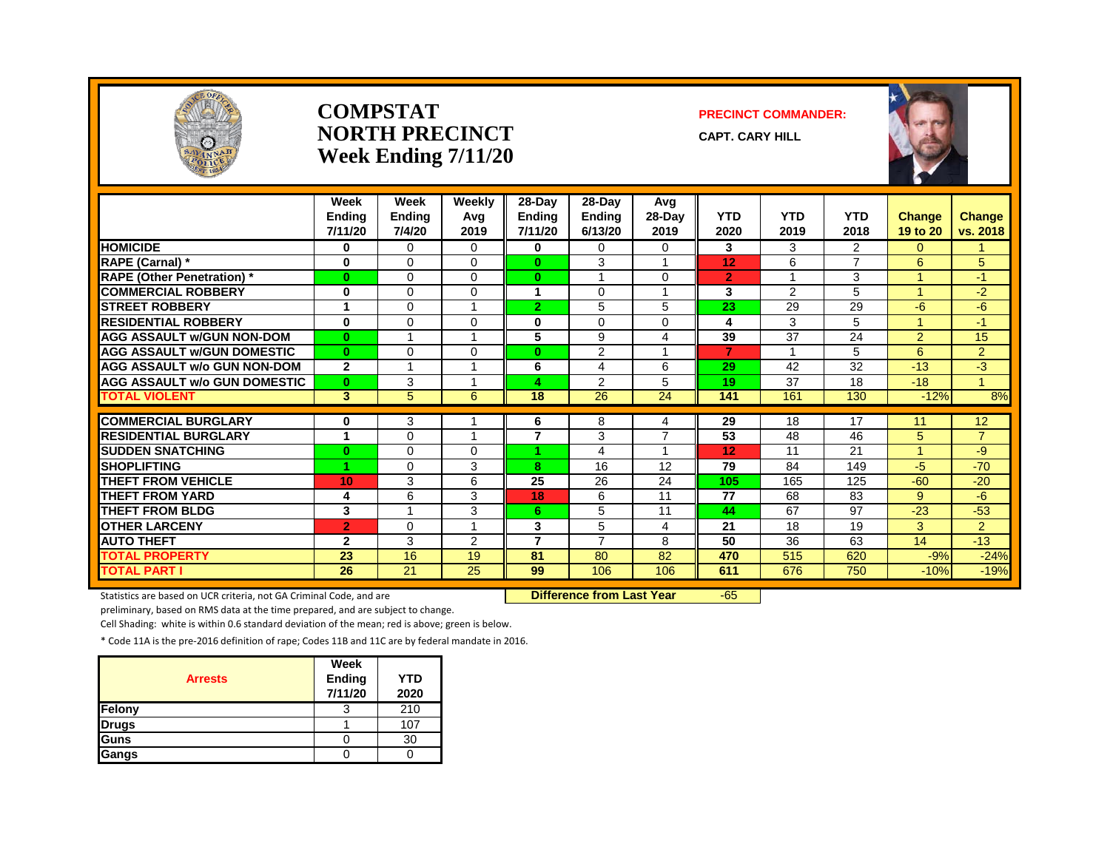

#### **COMPSTATNORTH PRECINCTWeek Ending 7/11/20**

#### **PRECINCT COMMANDER:**

**CAPT. CARY HILL**



|                                     | Week<br><b>Endina</b><br>7/11/20 | Week<br><b>Ending</b><br>7/4/20 | Weekly<br>Avg<br>2019   | 28-Day<br><b>Ending</b><br>7/11/20 | 28-Day<br><b>Endina</b><br>6/13/20 | Avg<br>28-Day<br>2019 | <b>YTD</b><br>2020 | <b>YTD</b><br>2019 | <b>YTD</b><br>2018 | <b>Change</b><br>19 to 20 | Change<br>vs. 2018 |
|-------------------------------------|----------------------------------|---------------------------------|-------------------------|------------------------------------|------------------------------------|-----------------------|--------------------|--------------------|--------------------|---------------------------|--------------------|
| <b>HOMICIDE</b>                     | 0                                | $\Omega$                        | $\Omega$                | $\bf{0}$                           | 0                                  | $\Omega$              | 3                  | 3                  | $\overline{2}$     | 0                         |                    |
| RAPE (Carnal) *                     | 0                                | 0                               | $\Omega$                | $\bf{0}$                           | 3                                  | -1                    | 12                 | 6                  | $\overline{ }$     | 6                         | 5                  |
| <b>RAPE (Other Penetration)</b> *   | $\mathbf{0}$                     | $\Omega$                        | $\Omega$                | $\bf{0}$                           | $\overline{\mathbf{A}}$            | $\Omega$              | $\overline{2}$     | $\overline{A}$     | 3                  | $\blacktriangleleft$      | $-1$               |
| <b>COMMERCIAL ROBBERY</b>           | $\bf{0}$                         | $\Omega$                        | $\Omega$                | 4                                  | $\Omega$                           | -1                    | 3                  | $\mathcal{P}$      | 5                  | 1                         | $-2$               |
| <b>STREET ROBBERY</b>               | 1                                | 0                               |                         | 2                                  | 5                                  | 5                     | 23                 | 29                 | 29                 | $-6$                      | $-6$               |
| <b>RESIDENTIAL ROBBERY</b>          | $\bf{0}$                         | $\Omega$                        | $\Omega$                | 0                                  | $\Omega$                           | 0                     | 4                  | 3                  | 5                  | 1                         | $-1$               |
| <b>AGG ASSAULT w/GUN NON-DOM</b>    | $\bf{0}$                         |                                 |                         | 5                                  | 9                                  | 4                     | 39                 | 37                 | 24                 | $\overline{2}$            | 15                 |
| <b>AGG ASSAULT W/GUN DOMESTIC</b>   | $\mathbf{0}$                     | $\Omega$                        | $\Omega$                | $\bf{0}$                           | 2                                  | 1                     | $\overline{7}$     | $\overline{1}$     | 5                  | 6                         | $\overline{2}$     |
| <b>AGG ASSAULT w/o GUN NON-DOM</b>  | $\mathbf{2}$                     |                                 |                         | 6                                  | 4                                  | 6                     | 29                 | 42                 | 32                 | $-13$                     | $-3$               |
| <b>AGG ASSAULT w/o GUN DOMESTIC</b> | $\bf{0}$                         | 3                               |                         | Δ                                  | 2                                  | 5                     | 19                 | 37                 | 18                 | $-18$                     | 4                  |
| <b>TOTAL VIOLENT</b>                | 3                                | 5                               | 6                       | 18                                 | 26                                 | 24                    | 141                | 161                | 130                | $-12%$                    | 8%                 |
|                                     |                                  |                                 |                         |                                    |                                    |                       |                    |                    |                    |                           |                    |
| <b>COMMERCIAL BURGLARY</b>          | 0                                | 3                               | $\overline{\mathbf{A}}$ | 6                                  | 8                                  | 4                     | 29                 | 18                 | 17                 | 11                        | 12 <sup>°</sup>    |
| <b>RESIDENTIAL BURGLARY</b>         | 1                                | $\Omega$                        |                         | 7                                  | 3                                  | $\overline{7}$        | 53                 | 48                 | 46                 | 5                         | $\overline{7}$     |
| <b>SUDDEN SNATCHING</b>             | $\bf{0}$                         | 0                               | 0                       |                                    | 4                                  |                       | 12                 | 11                 | 21                 | 4                         | -9                 |
| <b>SHOPLIFTING</b>                  | 1                                | $\Omega$                        | 3                       | 8                                  | 16                                 | 12                    | 79                 | 84                 | 149                | $-5$                      | $-70$              |
| <b>THEFT FROM VEHICLE</b>           | 10                               | 3                               | 6                       | 25                                 | 26                                 | 24                    | 105                | 165                | 125                | $-60$                     | $-20$              |
| <b>THEFT FROM YARD</b>              | 4                                | 6                               | 3                       | 18                                 | 6                                  | 11                    | 77                 | 68                 | 83                 | 9                         | $-6$               |
| <b>THEFT FROM BLDG</b>              | 3                                | $\overline{A}$                  | 3                       | 6.                                 | 5                                  | 11                    | 44                 | 67                 | 97                 | $-23$                     | $-53$              |
| <b>OTHER LARCENY</b>                | $\overline{2}$                   | 0                               |                         | 3                                  | 5                                  | 4                     | 21                 | 18                 | 19                 | 3                         | $\overline{2}$     |
| <b>AUTO THEFT</b>                   | $\mathbf{2}$                     | 3                               | $\overline{2}$          | 7                                  | $\overline{7}$                     | 8                     | 50                 | 36                 | 63                 | 14                        | $-13$              |
| <b>TOTAL PROPERTY</b>               | 23                               | 16                              | 19                      | 81                                 | 80                                 | 82                    | 470                | 515                | 620                | $-9%$                     | $-24%$             |
| <b>TOTAL PART I</b>                 | $\overline{26}$                  | 21                              | $\overline{25}$         | 99                                 | 106                                | 106                   | 611                | 676                | 750                | $-10%$                    | $-19%$             |

Statistics are based on UCR criteria, not GA Criminal Code, and are **Difference from Last Year 565** 

preliminary, based on RMS data at the time prepared, and are subject to change.

Cell Shading: white is within 0.6 standard deviation of the mean; red is above; green is below.

| <b>Arrests</b> | Week<br>Ending<br>7/11/20 | <b>YTD</b><br>2020 |
|----------------|---------------------------|--------------------|
| Felony         | 3                         | 210                |
| <b>Drugs</b>   |                           | 107                |
| <b>Guns</b>    |                           | 30                 |
| Gangs          |                           |                    |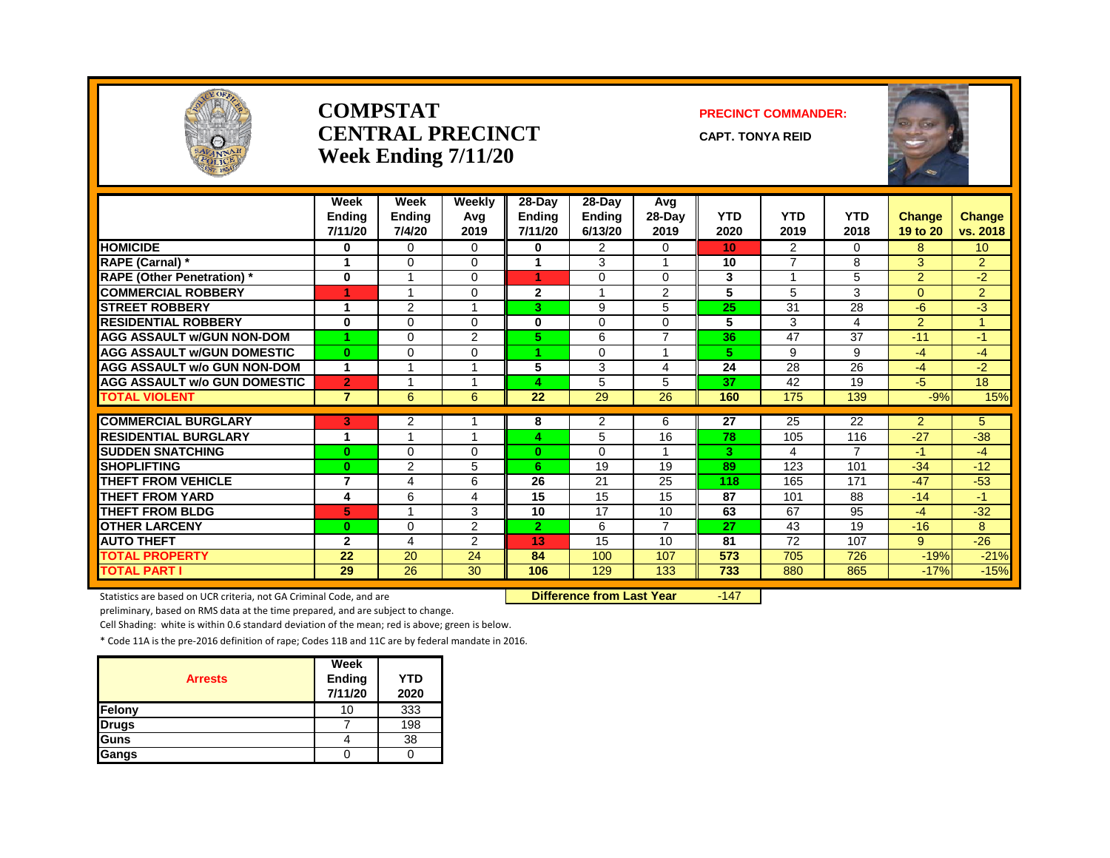

#### **COMPSTATCENTRAL PRECINCTWeek Ending 7/11/20**

#### **PRECINCT COMMANDER:**

**CAPT. TONYA REID**



|                                     | Week<br><b>Endina</b><br>7/11/20 | Week<br><b>Ending</b><br>7/4/20 | Weekly<br>Avg<br>2019 | 28-Day<br><b>Ending</b><br>7/11/20 | 28-Day<br><b>Ending</b><br>6/13/20 | Avg<br>28-Day<br>2019 | <b>YTD</b><br>2020 | <b>YTD</b><br>2019 | <b>YTD</b><br>2018 | <b>Change</b><br>19 to 20 | <b>Change</b><br>vs. 2018 |
|-------------------------------------|----------------------------------|---------------------------------|-----------------------|------------------------------------|------------------------------------|-----------------------|--------------------|--------------------|--------------------|---------------------------|---------------------------|
| <b>HOMICIDE</b>                     | 0                                | $\Omega$                        | 0                     | 0                                  | $\overline{2}$                     | 0                     | 10                 | $\overline{2}$     | $\Omega$           | 8                         | 10 <sup>°</sup>           |
| RAPE (Carnal) *                     | 1                                | $\Omega$                        | $\Omega$              | 1                                  | 3                                  | 1                     | 10                 | $\overline{7}$     | 8                  | 3                         | $\overline{2}$            |
| <b>RAPE (Other Penetration)</b> *   | 0                                |                                 | $\Omega$              | 4                                  | $\Omega$                           | $\Omega$              | 3                  |                    | 5                  | $\overline{2}$            | $-2$                      |
| <b>COMMERCIAL ROBBERY</b>           |                                  |                                 | 0                     | 2                                  |                                    | $\overline{2}$        | 5                  | 5                  | 3                  | $\Omega$                  | $\overline{2}$            |
| <b>STREET ROBBERY</b>               | 1                                | 2                               |                       | З.                                 | 9                                  | 5                     | 25                 | 31                 | 28                 | -6                        | $-3$                      |
| <b>RESIDENTIAL ROBBERY</b>          | $\bf{0}$                         | $\Omega$                        | $\Omega$              | 0                                  | 0                                  | $\Omega$              | 5                  | 3                  | 4                  | $\overline{2}$            |                           |
| <b>AGG ASSAULT W/GUN NON-DOM</b>    |                                  | $\Omega$                        | $\overline{2}$        | 5.                                 | 6                                  | $\overline{7}$        | 36                 | 47                 | 37                 | $-11$                     | $-1$                      |
| <b>AGG ASSAULT W/GUN DOMESTIC</b>   | $\mathbf{0}$                     | $\Omega$                        | $\Omega$              | 4.                                 | $\Omega$                           | 1                     | 5                  | 9                  | 9                  | $-4$                      | $-4$                      |
| <b>AGG ASSAULT w/o GUN NON-DOM</b>  | 1                                |                                 |                       | 5                                  | 3                                  | 4                     | 24                 | 28                 | 26                 | $-4$                      | $-2$                      |
| <b>AGG ASSAULT w/o GUN DOMESTIC</b> | $\overline{2}$                   |                                 |                       | Δ                                  | 5                                  | 5                     | 37                 | 42                 | 19                 | $-5$                      | 18                        |
| <b>TOTAL VIOLENT</b>                | $\overline{7}$                   | 6                               | 6                     | 22                                 | 29                                 | 26                    | 160                | 175                | 139                | $-9%$                     | 15%                       |
|                                     |                                  |                                 |                       |                                    |                                    |                       |                    |                    |                    |                           |                           |
| <b>COMMERCIAL BURGLARY</b>          | 3                                | 2                               |                       | 8                                  | 2                                  | 6                     | 27                 | 25                 | 22                 | $\overline{2}$            | 5                         |
| <b>RESIDENTIAL BURGLARY</b>         | 1                                |                                 |                       | Δ                                  | 5                                  | 16                    | 78                 | 105                | 116                | $-27$                     | $-38$                     |
| <b>SUDDEN SNATCHING</b>             | $\bf{0}$                         | $\Omega$                        | $\Omega$              | $\bf{0}$                           | $\Omega$                           |                       | 3                  | 4                  | $\overline{7}$     | $-1$                      | $-4$                      |
| <b>SHOPLIFTING</b>                  | $\bf{0}$                         | 2                               | 5                     | 6                                  | 19                                 | 19                    | 89                 | 123                | 101                | $-34$                     | $-12$                     |
| THEFT FROM VEHICLE                  | $\overline{7}$                   | 4                               | 6                     | 26                                 | 21                                 | 25                    | 118                | 165                | 171                | $-47$                     | $-53$                     |
| <b>THEFT FROM YARD</b>              | 4                                | 6                               | 4                     | 15                                 | 15                                 | 15                    | 87                 | 101                | 88                 | $-14$                     | $-1$                      |
| <b>THEFT FROM BLDG</b>              | 5                                |                                 | 3                     | 10                                 | 17                                 | 10                    | 63                 | 67                 | 95                 | $-4$                      | $-32$                     |
| <b>OTHER LARCENY</b>                | $\bf{0}$                         | $\Omega$                        | $\overline{2}$        | $\mathbf{2}$                       | 6                                  | 7                     | 27                 | 43                 | 19                 | $-16$                     | 8                         |
| <b>AUTO THEFT</b>                   | $\overline{2}$                   | 4                               | $\overline{2}$        | 13                                 | 15                                 | 10                    | 81                 | 72                 | 107                | 9                         | $-26$                     |
| <b>TOTAL PROPERTY</b>               | 22                               | 20                              | 24                    | 84                                 | 100                                | 107                   | 573                | 705                | 726                | $-19%$                    | $-21%$                    |
| <b>TOTAL PART I</b>                 | 29                               | 26                              | 30                    | 106                                | 129                                | 133                   | 733                | 880                | 865                | $-17%$                    | $-15%$                    |

Statistics are based on UCR criteria, not GA Criminal Code, and are **Dublee 18 and Communicat Vear** 147

preliminary, based on RMS data at the time prepared, and are subject to change.

Cell Shading: white is within 0.6 standard deviation of the mean; red is above; green is below.

|                | Week    |            |
|----------------|---------|------------|
| <b>Arrests</b> | Ending  | <b>YTD</b> |
|                | 7/11/20 | 2020       |
| Felony         | 10      | 333        |
| <b>Drugs</b>   |         | 198        |
| <b>Guns</b>    |         | 38         |
| <b>Gangs</b>   |         |            |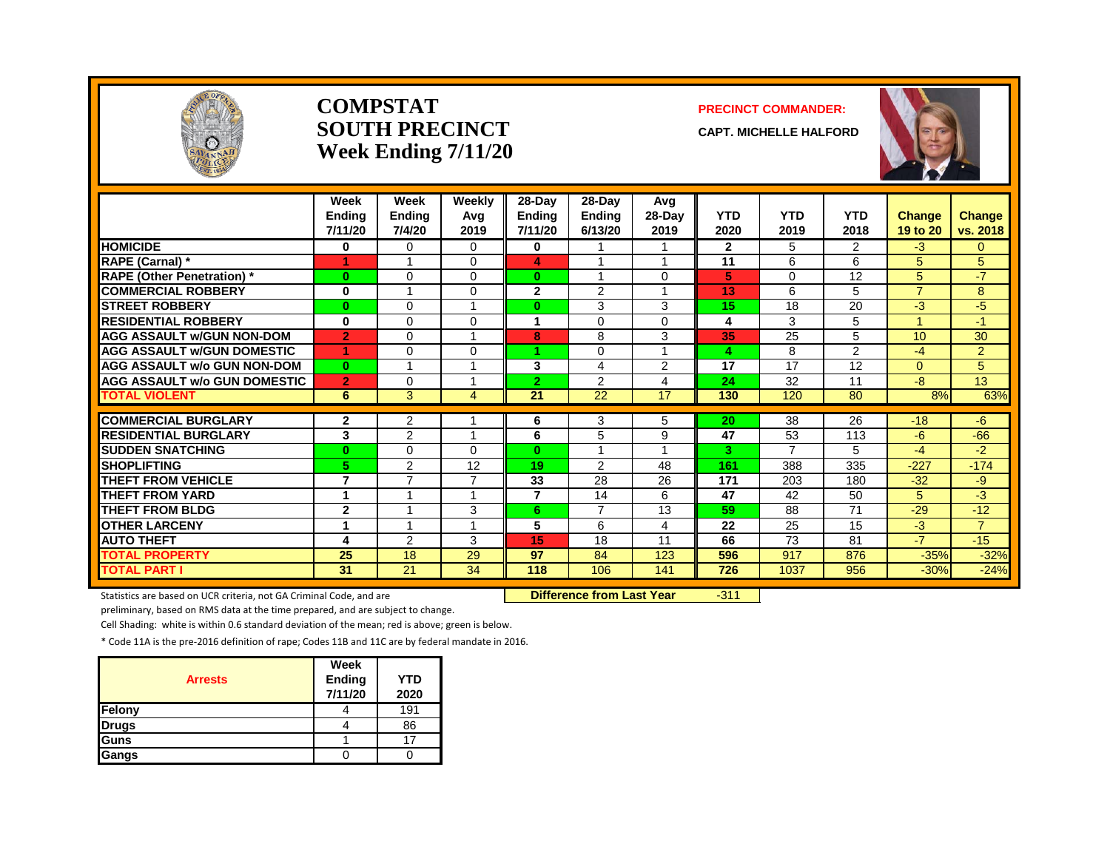

#### **COMPSTATSOUTH PRECINCTWeek Ending 7/11/20**

#### **PRECINCT COMMANDER:**

**CAPT. MICHELLE HALFORD**



|                                     | Week<br><b>Endina</b><br>7/11/20 | Week<br>Ending<br>7/4/20 | Weekly<br>Avg<br>2019 | 28-Day<br><b>Endina</b><br>7/11/20 | 28-Day<br><b>Ending</b><br>6/13/20 | Avg<br>$28-Day$<br>2019 | <b>YTD</b><br>2020 | <b>YTD</b><br>2019 | <b>YTD</b><br>2018 | <b>Change</b><br>19 to 20 | Change<br>vs. 2018 |
|-------------------------------------|----------------------------------|--------------------------|-----------------------|------------------------------------|------------------------------------|-------------------------|--------------------|--------------------|--------------------|---------------------------|--------------------|
| <b>HOMICIDE</b>                     | $\bf{0}$                         | $\Omega$                 | $\Omega$              | 0                                  |                                    | 1                       | $\overline{2}$     | 5                  | $\overline{2}$     | $-3$                      | $\Omega$           |
| <b>RAPE (Carnal) *</b>              |                                  | $\overline{\mathbf{A}}$  | $\Omega$              | 4                                  |                                    | $\overline{1}$          | 11                 | 6                  | 6                  | 5                         | 5                  |
| <b>RAPE (Other Penetration)</b> *   | $\bf{0}$                         | $\Omega$                 | $\Omega$              | $\bf{0}$                           |                                    | $\Omega$                | 5                  | 0                  | 12                 | 5                         | $-7$               |
| <b>COMMERCIAL ROBBERY</b>           | 0                                | $\overline{\mathbf{A}}$  | $\Omega$              | $\mathbf{2}$                       | 2                                  | $\overline{\mathbf{A}}$ | 13                 | 6                  | 5                  | $\overline{7}$            | 8                  |
| <b>STREET ROBBERY</b>               | $\bf{0}$                         | $\Omega$                 |                       | 0                                  | 3                                  | 3                       | 15                 | 18                 | 20                 | -3                        | $-5$               |
| <b>RESIDENTIAL ROBBERY</b>          | 0                                | $\Omega$                 | $\Omega$              | 1                                  | $\Omega$                           | $\Omega$                | 4                  | 3                  | 5                  | 4                         | $-1$               |
| <b>AGG ASSAULT w/GUN NON-DOM</b>    | $\overline{2}$                   | $\Omega$                 |                       | 8                                  | 8                                  | 3                       | 35                 | 25                 | 5                  | 10                        | 30                 |
| <b>AGG ASSAULT W/GUN DOMESTIC</b>   | 1                                | $\Omega$                 | $\Omega$              | 4.                                 | $\Omega$                           | $\overline{ }$          | 4                  | 8                  | 2                  | -4                        | $\overline{2}$     |
| <b>AGG ASSAULT w/o GUN NON-DOM</b>  | $\mathbf{0}$                     | -1                       |                       | 3                                  | 4                                  | $\overline{2}$          | 17                 | 17                 | 12                 | $\Omega$                  | 5                  |
| <b>AGG ASSAULT w/o GUN DOMESTIC</b> | $\overline{2}$                   | $\Omega$                 | 4                     | $\overline{2}$                     | 2                                  | 4                       | 24                 | 32                 | 11                 | -8                        | 13                 |
| <b>TOTAL VIOLENT</b>                | 6                                | 3                        | 4                     | 21                                 | 22                                 | 17                      | 130                | 120                | 80                 | 8%                        | 63%                |
| <b>COMMERCIAL BURGLARY</b>          |                                  |                          |                       |                                    |                                    |                         |                    |                    |                    | $-18$                     |                    |
| <b>RESIDENTIAL BURGLARY</b>         | $\mathbf{2}$                     | $\overline{2}$<br>2      | 4                     | 6<br>6                             | 3                                  | 5                       | 20<br>47           | 38<br>53           | 26<br>113          | $-6$                      | $-6$<br>$-66$      |
| <b>SUDDEN SNATCHING</b>             | 3                                | $\Omega$                 |                       | $\mathbf{0}$                       | 5                                  | 9<br>$\overline{ }$     | 3                  | 7                  | 5.                 | $-4$                      |                    |
| <b>SHOPLIFTING</b>                  | $\bf{0}$<br>5                    | $\overline{2}$           | $\Omega$<br>12        | 19                                 | 2                                  | 48                      | 161                | 388                | 335                | $-227$                    | -2<br>$-174$       |
|                                     | 7                                | $\overline{7}$           | 7                     |                                    |                                    |                         |                    |                    |                    |                           |                    |
| <b>THEFT FROM VEHICLE</b>           |                                  |                          |                       | 33<br>$\overline{7}$               | 28                                 | 26                      | 171                | 203                | 180                | $-32$                     | -9                 |
| <b>THEFT FROM YARD</b>              | 1                                |                          |                       |                                    | 14                                 | 6                       | 47                 | 42                 | 50                 | 5                         | -3                 |
| <b>THEFT FROM BLDG</b>              | $\mathbf{2}$                     |                          | 3                     | 6.                                 | $\overline{7}$                     | 13                      | 59                 | 88                 | 71                 | $-29$                     | $-12$              |
| <b>OTHER LARCENY</b>                | 4                                | 4                        |                       | 5                                  | 6                                  | 4                       | 22                 | 25                 | 15                 | -3                        | $\overline{7}$     |
| <b>AUTO THEFT</b>                   | 4                                | $\overline{2}$           | 3                     | 15                                 | 18                                 | 11                      | 66                 | 73                 | 81                 | $-7$                      | $-15$              |
| <b>TOTAL PROPERTY</b>               | 25                               | 18                       | 29                    | 97                                 | 84                                 | 123                     | 596                | 917                | 876                | $-35%$                    | $-32%$             |
| <b>TOTAL PART I</b>                 | 31                               | 21                       | 34                    | 118                                | 106                                | 141                     | 726                | 1037               | 956                | $-30%$                    | $-24%$             |

Statistics are based on UCR criteria, not GA Criminal Code, and are **Duman Communication Control Conference from Last Year**  $-311$ 

preliminary, based on RMS data at the time prepared, and are subject to change.

Cell Shading: white is within 0.6 standard deviation of the mean; red is above; green is below.

| <b>Arrests</b> | Week<br>Ending<br>7/11/20 | <b>YTD</b><br>2020 |
|----------------|---------------------------|--------------------|
| Felony         |                           | 191                |
| <b>Drugs</b>   |                           | 86                 |
| Guns           |                           |                    |
| Gangs          |                           |                    |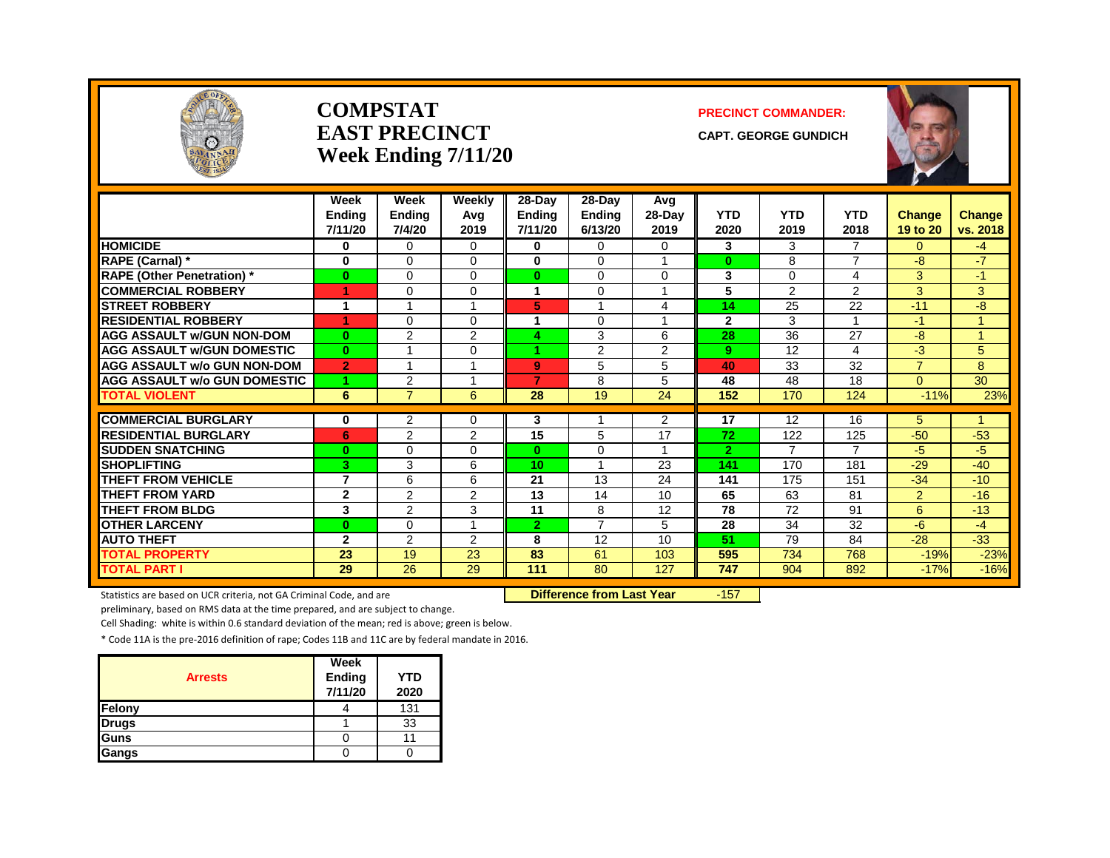

#### **COMPSTATEAST PRECINCTWeek Ending 7/11/20**

#### **PRECINCT COMMANDER:**

**CAPT. GEORGE GUNDICH**



|                                     | Week<br><b>Endina</b><br>7/11/20 | Week<br><b>Ending</b><br>7/4/20 | Weekly<br>Avg<br>2019    | 28-Day<br><b>Ending</b><br>7/11/20 | 28-Day<br><b>Endina</b><br>6/13/20 | Avg<br>28-Day<br>2019 | <b>YTD</b><br>2020 | YTD<br>2019    | <b>YTD</b><br>2018 | Change<br>19 to 20 | <b>Change</b><br>vs. 2018 |
|-------------------------------------|----------------------------------|---------------------------------|--------------------------|------------------------------------|------------------------------------|-----------------------|--------------------|----------------|--------------------|--------------------|---------------------------|
| <b>HOMICIDE</b>                     | 0                                | $\Omega$                        | $\Omega$                 | 0                                  | 0                                  | $\Omega$              | 3                  | 3              | $\overline{7}$     | $\Omega$           | $-4$                      |
| <b>RAPE (Carnal)</b> *              | 0                                | $\Omega$                        | $\Omega$                 | $\bf{0}$                           | $\Omega$                           | 4                     | $\bf{0}$           | 8              | $\overline{7}$     | $-8$               | $-7$                      |
| <b>RAPE (Other Penetration)</b> *   | $\bf{0}$                         | $\Omega$                        | $\Omega$                 | $\mathbf{0}$                       | $\Omega$                           | $\Omega$              | 3                  | $\Omega$       | 4                  | 3                  | $-1$                      |
| <b>COMMERCIAL ROBBERY</b>           | 1                                | $\Omega$                        | 0                        | 1                                  | $\Omega$                           | 1                     | 5                  | 2              | 2                  | 3                  | 3                         |
| <b>STREET ROBBERY</b>               | 1                                | 4                               | 1                        | 5                                  |                                    | 4                     | 14                 | 25             | 22                 | $-11$              | $-8$                      |
| <b>RESIDENTIAL ROBBERY</b>          | 1                                | $\Omega$                        | 0                        |                                    | $\Omega$                           |                       | $\overline{2}$     | 3              |                    | $-1$               |                           |
| <b>AGG ASSAULT w/GUN NON-DOM</b>    | $\bf{0}$                         | $\overline{2}$                  | $\overline{2}$           | 4                                  | 3                                  | 6                     | 28                 | 36             | 27                 | -8                 | 4                         |
| <b>AGG ASSAULT W/GUN DOMESTIC</b>   | $\mathbf{0}$                     | 1                               | $\Omega$                 | 4.                                 | 2                                  | $\overline{2}$        | 9                  | 12             | 4                  | $-3$               | 5                         |
| <b>AGG ASSAULT w/o GUN NON-DOM</b>  | $\overline{2}$                   | 1                               | 1                        | 9                                  | 5                                  | 5                     | 40                 | 33             | 32                 | $\overline{7}$     | 8                         |
| <b>AGG ASSAULT w/o GUN DOMESTIC</b> | 1                                | $\overline{2}$                  | -1                       | 7                                  | 8                                  | 5                     | 48                 | 48             | 18                 | $\Omega$           | 30                        |
| <b>TOTAL VIOLENT</b>                | 6                                | $\overline{7}$                  | 6                        | 28                                 | 19                                 | 24                    | 152                | 170            | 124                | $-11%$             | 23%                       |
|                                     |                                  |                                 |                          |                                    |                                    |                       |                    |                |                    |                    | 4                         |
| <b>COMMERCIAL BURGLARY</b>          | 0                                | $\overline{2}$                  | 0                        | 3                                  |                                    | $\overline{2}$        | 17                 | 12             | 16                 | 5                  |                           |
| <b>RESIDENTIAL BURGLARY</b>         | 6                                | 2                               | $\overline{2}$           | 15                                 | 5                                  | 17                    | 72                 | 122            | 125                | $-50$              | $-53$                     |
| <b>SUDDEN SNATCHING</b>             | $\bf{0}$                         | $\Omega$                        | 0                        | $\mathbf{0}$                       | $\Omega$                           | 1                     | $\overline{2}$     | $\overline{7}$ | $\overline{7}$     | $-5$               | -5                        |
| <b>SHOPLIFTING</b>                  | 3                                | 3                               | 6                        | 10 <sub>1</sub>                    |                                    | 23                    | 141                | 170            | 181                | $-29$              | $-40$                     |
| <b>THEFT FROM VEHICLE</b>           | $\overline{7}$                   | 6                               | 6                        | 21                                 | 13                                 | 24                    | 141                | 175            | 151                | $-34$              | $-10$                     |
| <b>THEFT FROM YARD</b>              | $\mathbf{2}$                     | $\overline{2}$                  | $\overline{2}$           | 13                                 | 14                                 | 10                    | 65                 | 63             | 81                 | $\overline{2}$     | $-16$                     |
| THEFT FROM BLDG                     | 3                                | 2                               | 3                        | 11                                 | 8                                  | 12                    | 78                 | 72             | 91                 | 6                  | $-13$                     |
| <b>OTHER LARCENY</b>                | $\bf{0}$                         | $\Omega$                        | $\overline{\phantom{a}}$ | $\mathbf{2}$                       | $\overline{7}$                     | 5                     | 28                 | 34             | 32                 | $-6$               | $-4$                      |
| <b>AUTO THEFT</b>                   | $\mathbf{2}$                     | $\overline{2}$                  | 2                        | 8                                  | 12                                 | 10                    | 51                 | 79             | 84                 | $-28$              | $-33$                     |
| <b>TOTAL PROPERTY</b>               | 23                               | 19                              | 23                       | 83                                 | 61                                 | 103                   | 595                | 734            | 768                | $-19%$             | $-23%$                    |
| <b>TOTAL PART I</b>                 | 29                               | 26                              | 29                       | 111                                | 80                                 | 127                   | 747                | 904            | 892                | $-17%$             | $-16%$                    |

Statistics are based on UCR criteria, not GA Criminal Code, and are **Difference from Last Year** -157

preliminary, based on RMS data at the time prepared, and are subject to change.

Cell Shading: white is within 0.6 standard deviation of the mean; red is above; green is below.

| <b>Arrests</b> | Week<br><b>Ending</b><br>7/11/20 | <b>YTD</b><br>2020 |
|----------------|----------------------------------|--------------------|
| Felony         |                                  | 131                |
| <b>Drugs</b>   |                                  | 33                 |
| Guns           |                                  |                    |
| Gangs          |                                  |                    |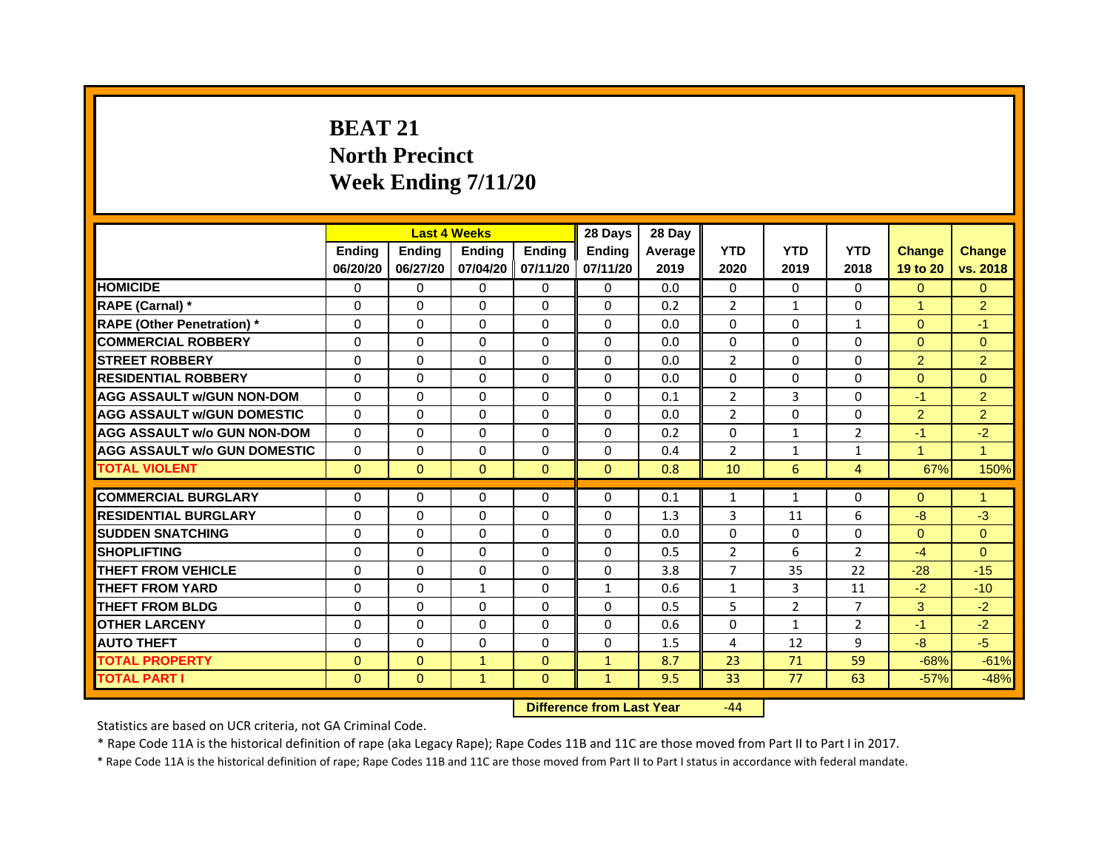# **BEAT 21North Precinct Week Ending 7/11/20**

|                                     |               | <b>Last 4 Weeks</b> |                   |               | 28 Days       | 28 Day  |                |                |                |                      |                |
|-------------------------------------|---------------|---------------------|-------------------|---------------|---------------|---------|----------------|----------------|----------------|----------------------|----------------|
|                                     | <b>Endina</b> | <b>Endina</b>       | <b>Endina</b>     | <b>Ending</b> | <b>Endina</b> | Average | <b>YTD</b>     | <b>YTD</b>     | <b>YTD</b>     | <b>Change</b>        | <b>Change</b>  |
|                                     | 06/20/20      | 06/27/20            | 07/04/20 07/11/20 |               | 07/11/20      | 2019    | 2020           | 2019           | 2018           | 19 to 20             | vs. 2018       |
| <b>HOMICIDE</b>                     | 0             | 0                   | $\mathbf{0}$      | 0             | 0             | 0.0     | $\mathbf{0}$   | 0              | $\mathbf{0}$   | $\Omega$             | $\mathbf{0}$   |
| RAPE (Carnal) *                     | $\Omega$      | $\Omega$            | $\Omega$          | $\Omega$      | $\Omega$      | 0.2     | $\overline{2}$ | $\mathbf{1}$   | $\Omega$       | $\blacktriangleleft$ | 2              |
| <b>RAPE (Other Penetration)</b> *   | 0             | $\Omega$            | $\Omega$          | $\Omega$      | $\Omega$      | 0.0     | $\Omega$       | $\Omega$       | $\mathbf{1}$   | $\Omega$             | $-1$           |
| <b>COMMERCIAL ROBBERY</b>           | 0             | 0                   | $\Omega$          | 0             | $\Omega$      | 0.0     | $\Omega$       | $\Omega$       | $\Omega$       | $\Omega$             | $\Omega$       |
| <b>STREET ROBBERY</b>               | 0             | 0                   | 0                 | 0             | 0             | 0.0     | $\overline{2}$ | 0              | 0              | $\overline{2}$       | $\overline{2}$ |
| <b>RESIDENTIAL ROBBERY</b>          | 0             | $\Omega$            | $\Omega$          | $\Omega$      | $\Omega$      | 0.0     | $\Omega$       | $\Omega$       | $\Omega$       | $\Omega$             | $\Omega$       |
| <b>AGG ASSAULT w/GUN NON-DOM</b>    | $\Omega$      | $\mathbf 0$         | $\Omega$          | $\Omega$      | $\Omega$      | 0.1     | $\overline{2}$ | $\overline{3}$ | $\Omega$       | $-1$                 | $\overline{2}$ |
| <b>AGG ASSAULT W/GUN DOMESTIC</b>   | $\Omega$      | $\Omega$            | $\Omega$          | 0             | $\Omega$      | 0.0     | $\overline{2}$ | 0              | $\Omega$       | $\overline{2}$       | 2              |
| <b>AGG ASSAULT w/o GUN NON-DOM</b>  | 0             | 0                   | $\Omega$          | $\Omega$      | $\Omega$      | 0.2     | $\Omega$       | $\mathbf{1}$   | 2              | $-1$                 | $-2$           |
| <b>AGG ASSAULT w/o GUN DOMESTIC</b> | $\Omega$      | $\Omega$            | 0                 | $\Omega$      | $\Omega$      | 0.4     | $\overline{2}$ | $\mathbf{1}$   | $\mathbf{1}$   | 1                    | $\mathbf{1}$   |
| <b>TOTAL VIOLENT</b>                | $\Omega$      | $\Omega$            | $\mathbf{0}$      | $\Omega$      | $\Omega$      | 0.8     | 10             | 6              | $\overline{4}$ | 67%                  | 150%           |
|                                     |               |                     |                   |               |               |         |                |                |                |                      |                |
| <b>COMMERCIAL BURGLARY</b>          | 0             | 0                   | $\Omega$          | 0             | $\Omega$      | 0.1     | $\mathbf{1}$   | $\mathbf{1}$   | $\Omega$       | $\Omega$             | 1              |
| <b>RESIDENTIAL BURGLARY</b>         | 0             | $\Omega$            | 0                 | $\Omega$      | $\Omega$      | 1.3     | 3              | 11             | 6              | $-8$                 | $-3$           |
| <b>SUDDEN SNATCHING</b>             | 0             | 0                   | $\Omega$          | 0             | 0             | 0.0     | $\Omega$       | 0              | $\Omega$       | $\Omega$             | $\Omega$       |
| <b>SHOPLIFTING</b>                  | $\Omega$      | 0                   | $\Omega$          | $\Omega$      | $\Omega$      | 0.5     | $\overline{2}$ | 6              | $\overline{2}$ | $-4$                 | $\Omega$       |
| <b>THEFT FROM VEHICLE</b>           | 0             | $\Omega$            | $\Omega$          | $\Omega$      | $\Omega$      | 3.8     | $\overline{7}$ | 35             | 22             | $-28$                | $-15$          |
| <b>THEFT FROM YARD</b>              | $\Omega$      | $\Omega$            | $\mathbf{1}$      | $\Omega$      | $\mathbf{1}$  | 0.6     | $\mathbf{1}$   | 3              | 11             | $-2$                 | $-10$          |
| <b>THEFT FROM BLDG</b>              | 0             | 0                   | 0                 | 0             | 0             | 0.5     | 5              | $\overline{2}$ | 7              | 3                    | $-2$           |
| <b>OTHER LARCENY</b>                | 0             | $\Omega$            | $\Omega$          | $\Omega$      | $\Omega$      | 0.6     | $\Omega$       | $\mathbf{1}$   | $\overline{2}$ | $-1$                 | $-2$           |
| <b>AUTO THEFT</b>                   | $\mathbf 0$   | 0                   | $\Omega$          | $\Omega$      | $\Omega$      | 1.5     | 4              | 12             | 9              | $-8$                 | $-5$           |
| <b>TOTAL PROPERTY</b>               | $\Omega$      | $\mathbf{0}$        | $\mathbf{1}$      | $\mathbf{0}$  | $\mathbf{1}$  | 8.7     | 23             | 71             | 59             | $-68%$               | $-61%$         |
| <b>TOTAL PART I</b>                 | $\Omega$      | $\overline{0}$      | $\mathbf{1}$      | $\Omega$      | $\mathbf{1}$  | 9.5     | 33             | 77             | 63             | $-57%$               | $-48%$         |

 **Difference from Last Year**r -44

Statistics are based on UCR criteria, not GA Criminal Code.

\* Rape Code 11A is the historical definition of rape (aka Legacy Rape); Rape Codes 11B and 11C are those moved from Part II to Part I in 2017.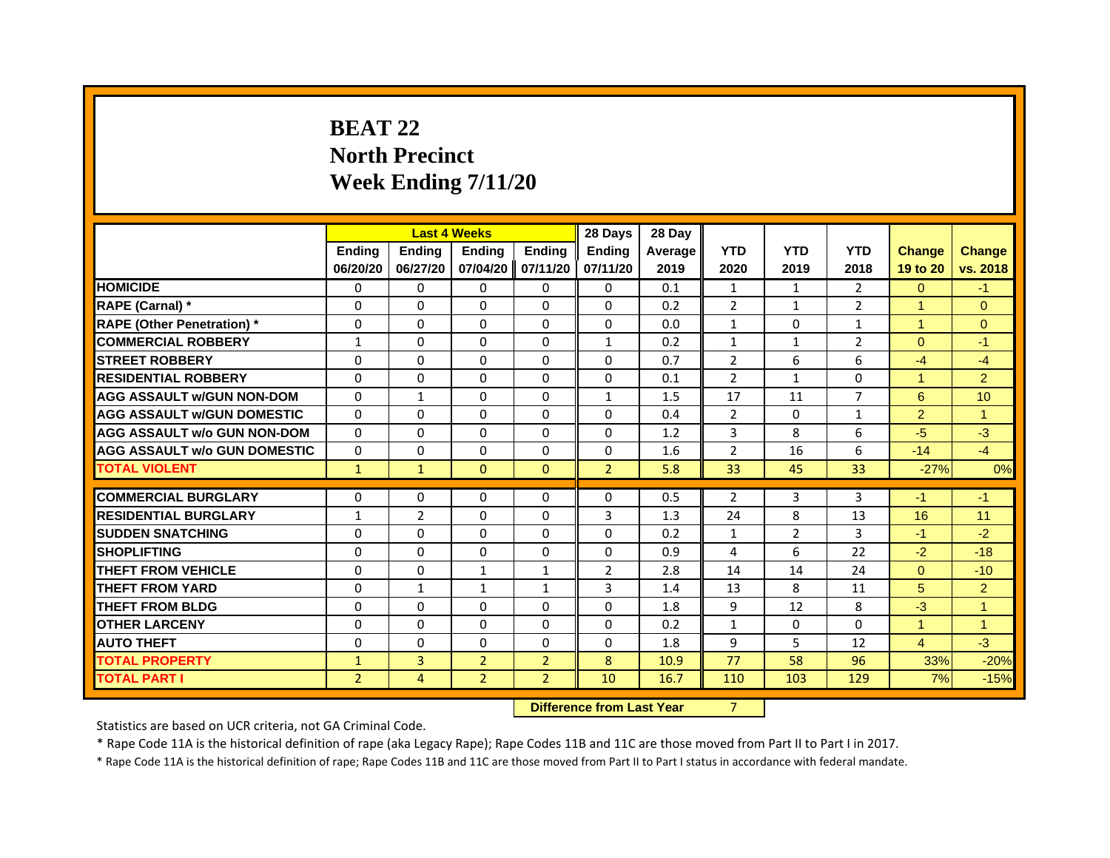# **BEAT 22North Precinct Week Ending 7/11/20**

|                                     |                |                | <b>Last 4 Weeks</b> |                | 28 Days        | 28 Day  |                |                |                |                |                |
|-------------------------------------|----------------|----------------|---------------------|----------------|----------------|---------|----------------|----------------|----------------|----------------|----------------|
|                                     | <b>Ending</b>  | <b>Endina</b>  | <b>Endina</b>       | <b>Ending</b>  | <b>Endina</b>  | Average | <b>YTD</b>     | <b>YTD</b>     | <b>YTD</b>     | <b>Change</b>  | <b>Change</b>  |
|                                     | 06/20/20       | 06/27/20       | 07/04/20            | 07/11/20       | 07/11/20       | 2019    | 2020           | 2019           | 2018           | 19 to 20       | vs. 2018       |
| <b>HOMICIDE</b>                     | 0              | $\Omega$       | $\Omega$            | 0              | 0              | 0.1     | $\mathbf{1}$   | 1              | $\overline{2}$ | $\Omega$       | $-1$           |
| RAPE (Carnal) *                     | $\Omega$       | $\Omega$       | $\Omega$            | $\Omega$       | $\Omega$       | 0.2     | $\overline{2}$ | $\mathbf{1}$   | $\overline{2}$ | $\overline{1}$ | $\Omega$       |
| <b>RAPE (Other Penetration)</b> *   | 0              | 0              | 0                   | 0              | 0              | 0.0     | $\mathbf{1}$   | 0              | $\mathbf{1}$   | 1              | $\Omega$       |
| <b>COMMERCIAL ROBBERY</b>           | 1              | $\Omega$       | $\Omega$            | $\Omega$       | 1              | 0.2     | $\mathbf{1}$   | 1              | $\overline{2}$ | $\Omega$       | $-1$           |
| <b>STREET ROBBERY</b>               | $\Omega$       | $\Omega$       | $\Omega$            | $\Omega$       | $\Omega$       | 0.7     | $\overline{2}$ | 6              | 6              | $-4$           | $-4$           |
| <b>RESIDENTIAL ROBBERY</b>          | $\Omega$       | $\Omega$       | $\Omega$            | $\Omega$       | $\Omega$       | 0.1     | $\overline{2}$ | $\mathbf{1}$   | $\Omega$       | $\overline{1}$ | $\overline{2}$ |
| <b>AGG ASSAULT w/GUN NON-DOM</b>    | $\Omega$       | $\mathbf{1}$   | $\Omega$            | $\Omega$       | $\mathbf{1}$   | 1.5     | 17             | 11             | $\overline{7}$ | 6              | 10             |
| <b>AGG ASSAULT W/GUN DOMESTIC</b>   | $\Omega$       | $\Omega$       | $\Omega$            | $\Omega$       | $\Omega$       | 0.4     | 2              | 0              | $\mathbf{1}$   | 2              | 1              |
| <b>AGG ASSAULT w/o GUN NON-DOM</b>  | $\Omega$       | $\Omega$       | $\Omega$            | $\Omega$       | $\Omega$       | 1.2     | 3              | 8              | 6              | $-5$           | $-3$           |
| <b>AGG ASSAULT W/o GUN DOMESTIC</b> | $\Omega$       | 0              | $\Omega$            | $\Omega$       | $\Omega$       | 1.6     | $\overline{2}$ | 16             | 6              | $-14$          | $-4$           |
| <b>TOTAL VIOLENT</b>                | $\mathbf{1}$   | $\mathbf{1}$   | $\mathbf{0}$        | $\mathbf{0}$   | $\overline{2}$ | 5.8     | 33             | 45             | 33             | $-27%$         | 0%             |
|                                     |                |                |                     |                |                |         |                |                |                |                |                |
| <b>COMMERCIAL BURGLARY</b>          | 0              | 0              | 0                   | 0              | 0              | 0.5     | $\overline{2}$ | 3              | 3              | -1             | $-1$           |
| <b>RESIDENTIAL BURGLARY</b>         | 1              | $\overline{2}$ | $\Omega$            | $\Omega$       | 3              | 1.3     | 24             | 8              | 13             | 16             | 11             |
| <b>SUDDEN SNATCHING</b>             | 0              | 0              | 0                   | 0              | 0              | 0.2     | $\mathbf{1}$   | $\overline{2}$ | 3              | $-1$           | $-2$           |
| <b>SHOPLIFTING</b>                  | $\Omega$       | $\Omega$       | $\Omega$            | $\Omega$       | $\Omega$       | 0.9     | 4              | 6              | 22             | $-2$           | $-18$          |
| <b>THEFT FROM VEHICLE</b>           | $\Omega$       | $\Omega$       | $\mathbf{1}$        | $\mathbf{1}$   | $\overline{2}$ | 2.8     | 14             | 14             | 24             | $\Omega$       | $-10$          |
| <b>THEFT FROM YARD</b>              | $\Omega$       | $\mathbf{1}$   | $\mathbf{1}$        | $\mathbf{1}$   | 3              | 1.4     | 13             | 8              | 11             | 5              | $\overline{2}$ |
| <b>THEFT FROM BLDG</b>              | $\Omega$       | $\Omega$       | $\Omega$            | $\Omega$       | $\Omega$       | 1.8     | 9              | 12             | 8              | $-3$           | $\overline{1}$ |
| <b>OTHER LARCENY</b>                | $\Omega$       | $\Omega$       | $\Omega$            | $\Omega$       | $\Omega$       | 0.2     | $\mathbf{1}$   | $\Omega$       | $\Omega$       | $\mathbf{1}$   | $\overline{1}$ |
| <b>AUTO THEFT</b>                   | $\Omega$       | $\Omega$       | $\Omega$            | $\Omega$       | $\Omega$       | 1.8     | 9              | 5              | 12             | $\overline{4}$ | $-3$           |
| <b>TOTAL PROPERTY</b>               | $\mathbf{1}$   | 3              | $\overline{2}$      | $\overline{2}$ | 8              | 10.9    | 77             | 58             | 96             | 33%            | $-20%$         |
| <b>TOTAL PART I</b>                 | $\overline{2}$ | 4              | $\overline{2}$      | $\overline{2}$ | 10             | 16.7    | 110            | 103            | 129            | 7%             | $-15%$         |

 **Difference from Last Year**r 7

Statistics are based on UCR criteria, not GA Criminal Code.

\* Rape Code 11A is the historical definition of rape (aka Legacy Rape); Rape Codes 11B and 11C are those moved from Part II to Part I in 2017.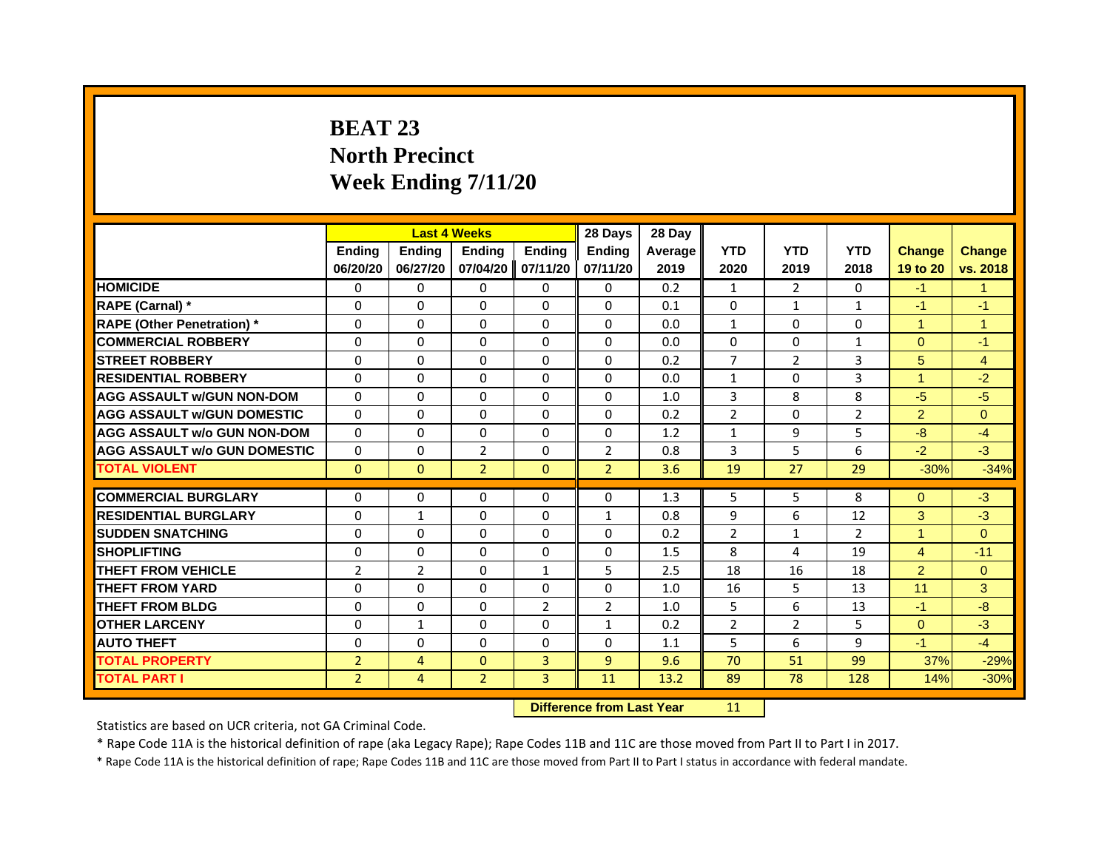# **BEAT 23North Precinct Week Ending 7/11/20**

|                                   |                | <b>Last 4 Weeks</b> |                |                | 28 Days        | 28 Day         |                |                |                |                |                |
|-----------------------------------|----------------|---------------------|----------------|----------------|----------------|----------------|----------------|----------------|----------------|----------------|----------------|
|                                   | <b>Endina</b>  | Ending              | <b>Endina</b>  | <b>Endina</b>  | <b>Endina</b>  | <b>Average</b> | <b>YTD</b>     | <b>YTD</b>     | <b>YTD</b>     | <b>Change</b>  | <b>Change</b>  |
|                                   | 06/20/20       | 06/27/20            | 07/04/20       | 07/11/20       | 07/11/20       | 2019           | 2020           | 2019           | 2018           | 19 to 20       | vs. 2018       |
| <b>HOMICIDE</b>                   | 0              | 0                   | 0              | 0              | 0              | 0.2            | $\mathbf{1}$   | 2              | $\Omega$       | $-1$           | $\mathbf{1}$   |
| RAPE (Carnal) *                   | $\Omega$       | $\Omega$            | $\Omega$       | $\Omega$       | $\Omega$       | 0.1            | $\Omega$       | $\mathbf{1}$   | $\mathbf{1}$   | $-1$           | $-1$           |
| <b>RAPE (Other Penetration)</b> * | $\Omega$       | 0                   | $\Omega$       | 0              | $\Omega$       | 0.0            | $\mathbf{1}$   | 0              | $\Omega$       | $\mathbf{1}$   | 1              |
| <b>COMMERCIAL ROBBERY</b>         | $\Omega$       | $\Omega$            | 0              | $\Omega$       | $\Omega$       | 0.0            | $\Omega$       | $\Omega$       | $\mathbf{1}$   | $\Omega$       | $-1$           |
| <b>STREET ROBBERY</b>             | $\Omega$       | $\Omega$            | $\Omega$       | $\Omega$       | $\Omega$       | 0.2            | $\overline{7}$ | $\overline{2}$ | 3              | 5              | $\overline{4}$ |
| <b>RESIDENTIAL ROBBERY</b>        | 0              | 0                   | 0              | 0              | 0              | 0.0            | $\mathbf{1}$   | 0              | 3              | $\mathbf{1}$   | $-2$           |
| <b>AGG ASSAULT W/GUN NON-DOM</b>  | $\Omega$       | $\Omega$            | $\Omega$       | $\Omega$       | $\Omega$       | 1.0            | $\overline{3}$ | 8              | 8              | $-5$           | $-5$           |
| <b>AGG ASSAULT W/GUN DOMESTIC</b> | $\Omega$       | $\Omega$            | $\Omega$       | $\Omega$       | $\Omega$       | 0.2            | $\overline{2}$ | $\Omega$       | $\overline{2}$ | 2              | $\Omega$       |
| AGG ASSAULT w/o GUN NON-DOM       | $\Omega$       | $\Omega$            | $\Omega$       | 0              | 0              | 1.2            | $\mathbf{1}$   | 9              | 5              | -8             | $-4$           |
| AGG ASSAULT W/o GUN DOMESTIC      | $\Omega$       | $\Omega$            | $\overline{2}$ | $\Omega$       | $\overline{2}$ | 0.8            | 3              | 5              | 6              | $-2$           | $-3$           |
| <b>TOTAL VIOLENT</b>              | $\mathbf{0}$   | $\mathbf{0}$        | $\overline{2}$ | $\Omega$       | $\overline{2}$ | 3.6            | 19             | 27             | 29             | $-30%$         | $-34%$         |
|                                   |                |                     |                |                |                |                |                |                |                |                |                |
| <b>COMMERCIAL BURGLARY</b>        | 0              | 0                   | 0              | 0              | 0              | 1.3            | 5              | 5              | 8              | $\Omega$       | $-3$           |
| <b>RESIDENTIAL BURGLARY</b>       | $\Omega$       | $\mathbf{1}$        | $\Omega$       | 0              | $\mathbf{1}$   | 0.8            | 9              | 6              | 12             | 3              | $-3$           |
| <b>SUDDEN SNATCHING</b>           | $\Omega$       | $\Omega$            | $\Omega$       | $\Omega$       | $\Omega$       | 0.2            | $\overline{2}$ | $\mathbf{1}$   | $\overline{2}$ | $\mathbf{1}$   | $\Omega$       |
| <b>SHOPLIFTING</b>                | $\Omega$       | $\Omega$            | $\Omega$       | $\Omega$       | $\Omega$       | 1.5            | 8              | 4              | 19             | $\overline{4}$ | $-11$          |
| THEFT FROM VEHICLE                | $\overline{2}$ | $\mathcal{P}$       | $\Omega$       | $\mathbf{1}$   | 5              | 2.5            | 18             | 16             | 18             | 2              | $\Omega$       |
| <b>THEFT FROM YARD</b>            | $\Omega$       | $\Omega$            | $\Omega$       | 0              | $\Omega$       | 1.0            | 16             | 5              | 13             | 11             | 3              |
| <b>THEFT FROM BLDG</b>            | $\Omega$       | 0                   | $\Omega$       | $\overline{2}$ | $\overline{2}$ | 1.0            | 5              | 6              | 13             | $-1$           | -8             |
| <b>OTHER LARCENY</b>              | $\Omega$       | $\mathbf{1}$        | $\Omega$       | $\Omega$       | $\mathbf{1}$   | 0.2            | 2              | 2              | 5              | $\Omega$       | $-3$           |
| <b>AUTO THEFT</b>                 | $\Omega$       | $\Omega$            | $\Omega$       | $\Omega$       | $\Omega$       | 1.1            | 5              | 6              | 9              | $-1$           | $-4$           |
| <b>TOTAL PROPERTY</b>             | $\overline{2}$ | 4                   | $\mathbf{0}$   | 3              | $\overline{9}$ | 9.6            | 70             | 51             | 99             | 37%            | $-29%$         |
| <b>TOTAL PART I</b>               | $\overline{2}$ | 4                   | $\overline{2}$ | 3              | 11             | 13.2           | 89             | 78             | 128            | 14%            | $-30%$         |

 **Difference from Last Year**r 11

Statistics are based on UCR criteria, not GA Criminal Code.

\* Rape Code 11A is the historical definition of rape (aka Legacy Rape); Rape Codes 11B and 11C are those moved from Part II to Part I in 2017.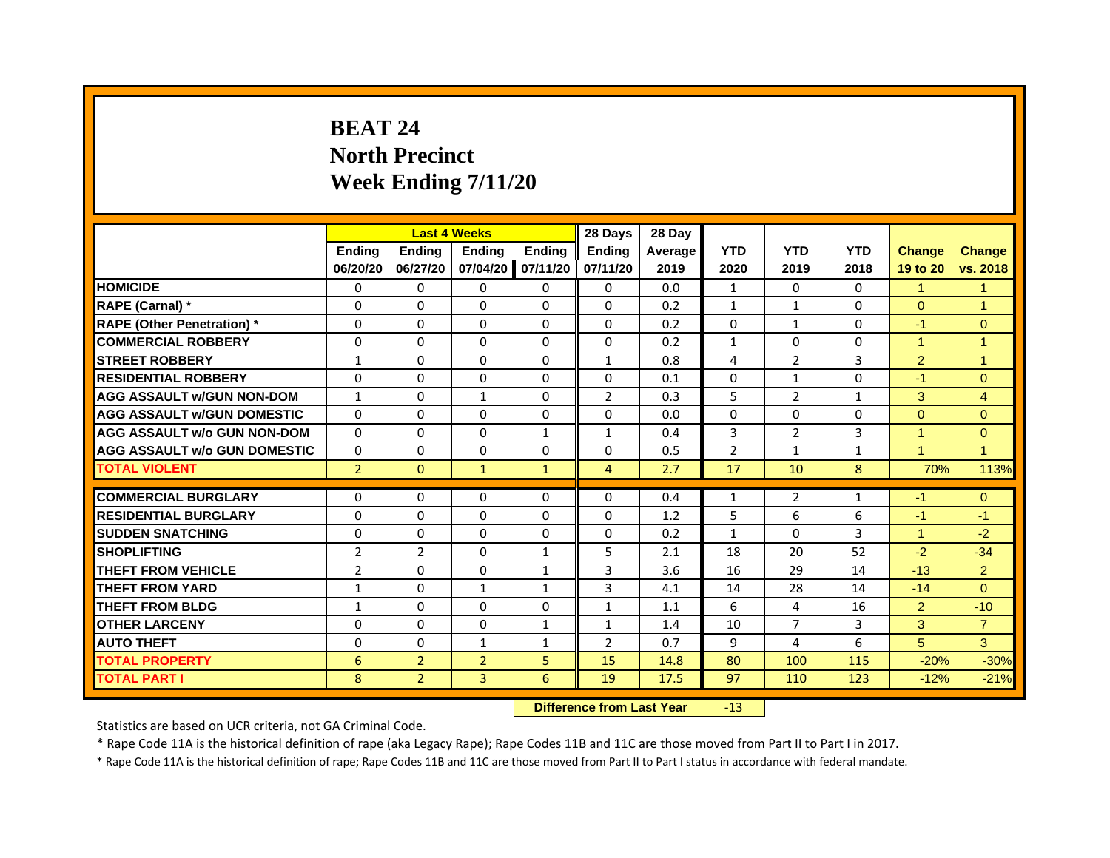# **BEAT 24North Precinct Week Ending 7/11/20**

|                                     |                | <b>Last 4 Weeks</b> |                |               | 28 Days        | 28 Day         |                |                |              |                      |                |
|-------------------------------------|----------------|---------------------|----------------|---------------|----------------|----------------|----------------|----------------|--------------|----------------------|----------------|
|                                     | <b>Endina</b>  | <b>Endina</b>       | <b>Endina</b>  | <b>Endina</b> | <b>Endina</b>  | <b>Average</b> | <b>YTD</b>     | <b>YTD</b>     | <b>YTD</b>   | <b>Change</b>        | <b>Change</b>  |
|                                     | 06/20/20       | 06/27/20            | 07/04/20       | 07/11/20      | 07/11/20       | 2019           | 2020           | 2019           | 2018         | 19 to 20             | vs. 2018       |
| <b>HOMICIDE</b>                     | 0              | 0                   | 0              | 0             | 0              | 0.0            | $\mathbf{1}$   | 0              | 0            | $\mathbf{1}$         | 1              |
| RAPE (Carnal) *                     | $\Omega$       | $\Omega$            | $\Omega$       | $\Omega$      | $\Omega$       | 0.2            | $\mathbf{1}$   | $\mathbf{1}$   | $\Omega$     | $\Omega$             | $\overline{1}$ |
| <b>RAPE (Other Penetration)</b> *   | $\Omega$       | $\Omega$            | $\Omega$       | $\Omega$      | $\Omega$       | 0.2            | $\Omega$       | $\mathbf{1}$   | $\Omega$     | $-1$                 | $\Omega$       |
| <b>COMMERCIAL ROBBERY</b>           | $\Omega$       | $\Omega$            | $\Omega$       | $\Omega$      | $\Omega$       | 0.2            | 1              | $\Omega$       | $\Omega$     | 1                    | 1              |
| <b>STREET ROBBERY</b>               | $\mathbf{1}$   | $\Omega$            | $\Omega$       | $\Omega$      | $\mathbf{1}$   | 0.8            | 4              | 2              | 3            | 2                    | 1              |
| <b>RESIDENTIAL ROBBERY</b>          | $\Omega$       | $\Omega$            | $\Omega$       | $\Omega$      | $\Omega$       | 0.1            | $\Omega$       | $\mathbf{1}$   | $\Omega$     | $-1$                 | $\Omega$       |
| <b>AGG ASSAULT w/GUN NON-DOM</b>    | $\mathbf{1}$   | $\Omega$            | $\mathbf{1}$   | $\Omega$      | $\overline{2}$ | 0.3            | 5              | $\overline{2}$ | $\mathbf{1}$ | 3                    | $\overline{4}$ |
| <b>AGG ASSAULT W/GUN DOMESTIC</b>   | $\Omega$       | $\Omega$            | $\Omega$       | $\Omega$      | $\Omega$       | 0.0            | $\Omega$       | $\Omega$       | $\Omega$     | $\Omega$             | $\Omega$       |
| <b>AGG ASSAULT w/o GUN NON-DOM</b>  | 0              | 0                   | 0              | $\mathbf{1}$  | $\mathbf{1}$   | 0.4            | 3              | 2              | 3            | 1                    | $\Omega$       |
| <b>AGG ASSAULT W/o GUN DOMESTIC</b> | $\Omega$       | $\Omega$            | $\Omega$       | $\Omega$      | $\Omega$       | 0.5            | $\overline{2}$ | $\mathbf{1}$   | $\mathbf{1}$ | $\blacktriangleleft$ | $\mathbf{1}$   |
| <b>TOTAL VIOLENT</b>                | $\overline{2}$ | $\mathbf{0}$        | $\mathbf{1}$   | $\mathbf{1}$  | $\overline{4}$ | 2.7            | 17             | 10             | 8            | 70%                  | 113%           |
|                                     |                |                     |                |               |                |                |                |                |              |                      |                |
| <b>COMMERCIAL BURGLARY</b>          | $\Omega$       | $\Omega$            | 0              | $\Omega$      | $\Omega$       | 0.4            | 1              | 2              | 1            | $-1$                 | $\mathbf{0}$   |
| <b>RESIDENTIAL BURGLARY</b>         | $\Omega$       | $\Omega$            | $\Omega$       | $\Omega$      | $\Omega$       | 1.2            | 5              | 6              | 6            | $-1$                 | $-1$           |
| <b>SUDDEN SNATCHING</b>             | $\Omega$       | $\Omega$            | $\Omega$       | $\Omega$      | $\Omega$       | 0.2            | $\mathbf{1}$   | $\Omega$       | 3            | 1                    | $-2$           |
| <b>SHOPLIFTING</b>                  | $\overline{2}$ | $\overline{2}$      | $\Omega$       | $\mathbf{1}$  | 5              | 2.1            | 18             | 20             | 52           | $-2$                 | $-34$          |
| THEFT FROM VEHICLE                  | $\overline{2}$ | $\Omega$            | $\Omega$       | $\mathbf{1}$  | 3              | 3.6            | 16             | 29             | 14           | $-13$                | $\overline{2}$ |
| <b>THEFT FROM YARD</b>              | 1              | $\Omega$            | 1              | 1             | 3              | 4.1            | 14             | 28             | 14           | $-14$                | $\Omega$       |
| THEFT FROM BLDG                     | 1              | $\Omega$            | $\Omega$       | $\Omega$      | $\mathbf{1}$   | 1.1            | 6              | 4              | 16           | 2                    | $-10$          |
| <b>OTHER LARCENY</b>                | 0              | 0                   | 0              | $\mathbf{1}$  | $\mathbf{1}$   | 1.4            | 10             | $\overline{7}$ | 3            | 3                    | $\overline{7}$ |
| <b>AUTO THEFT</b>                   | $\Omega$       | $\Omega$            | $\mathbf{1}$   | $\mathbf{1}$  | 2              | 0.7            | 9              | 4              | 6            | 5                    | 3              |
| <b>TOTAL PROPERTY</b>               | 6              | $\overline{2}$      | $\overline{2}$ | 5             | 15             | 14.8           | 80             | 100            | 115          | $-20%$               | $-30%$         |
| <b>TOTAL PART I</b>                 | 8              | $\overline{2}$      | 3              | 6             | 19             | 17.5           | 97             | 110            | 123          | $-12%$               | $-21%$         |

 **Difference from Last Year**r -13

Statistics are based on UCR criteria, not GA Criminal Code.

\* Rape Code 11A is the historical definition of rape (aka Legacy Rape); Rape Codes 11B and 11C are those moved from Part II to Part I in 2017.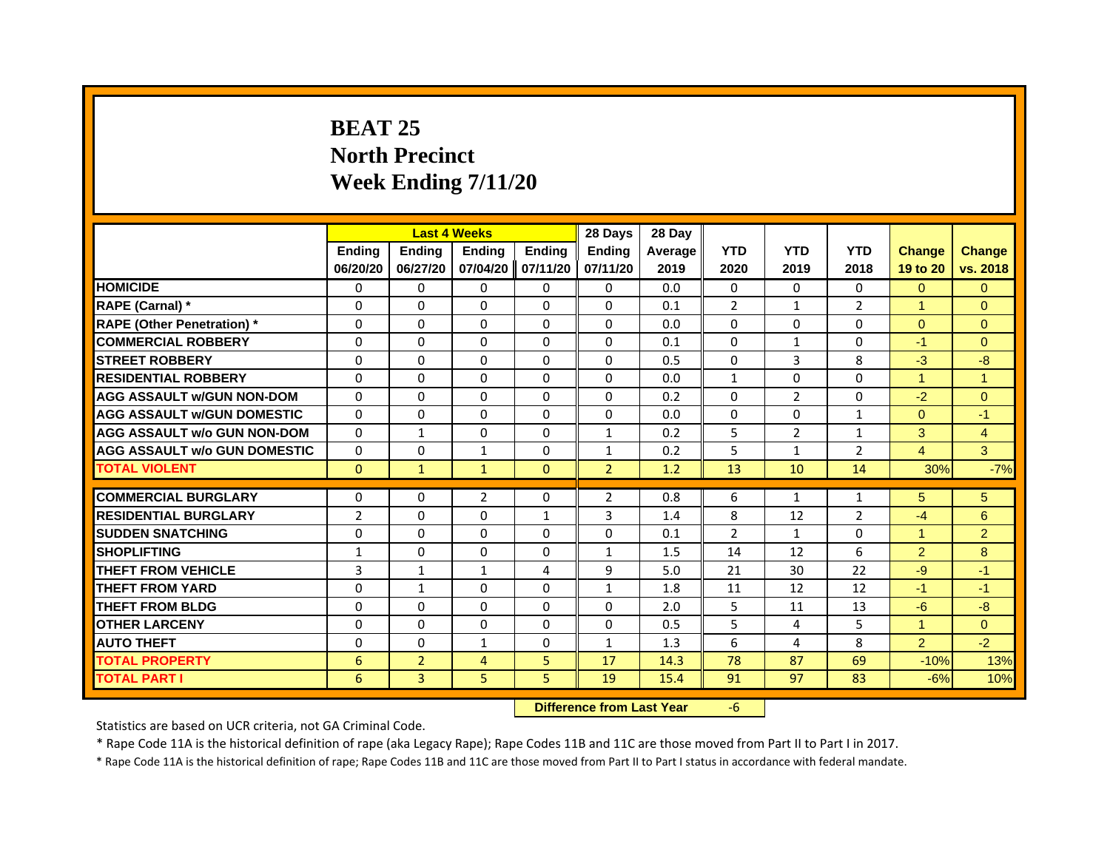# **BEAT 25North Precinct Week Ending 7/11/20**

|                                     |                |                | <b>Last 4 Weeks</b> |               | 28 Days        | 28 Day  |                |                |                |                      |                |
|-------------------------------------|----------------|----------------|---------------------|---------------|----------------|---------|----------------|----------------|----------------|----------------------|----------------|
|                                     | <b>Endina</b>  | <b>Ending</b>  | <b>Endina</b>       | <b>Endina</b> | <b>Endina</b>  | Average | <b>YTD</b>     | <b>YTD</b>     | <b>YTD</b>     | <b>Change</b>        | <b>Change</b>  |
|                                     | 06/20/20       | 06/27/20       | 07/04/20            | 07/11/20      | 07/11/20       | 2019    | 2020           | 2019           | 2018           | 19 to 20             | vs. 2018       |
| <b>HOMICIDE</b>                     | 0              | 0              | 0                   | 0             | 0              | 0.0     | 0              | 0              | 0              | $\mathbf{0}$         | $\mathbf{0}$   |
| RAPE (Carnal) *                     | $\Omega$       | $\Omega$       | $\Omega$            | $\Omega$      | $\Omega$       | 0.1     | $\overline{2}$ | $\mathbf{1}$   | $\overline{2}$ | $\mathbf{1}$         | $\Omega$       |
| <b>RAPE (Other Penetration)</b> *   | $\Omega$       | $\Omega$       | $\Omega$            | $\Omega$      | $\Omega$       | 0.0     | $\Omega$       | $\Omega$       | $\Omega$       | $\Omega$             | $\Omega$       |
| <b>COMMERCIAL ROBBERY</b>           | 0              | 0              | 0                   | $\Omega$      | 0              | 0.1     | 0              | 1              | 0              | $-1$                 | $\Omega$       |
| <b>STREET ROBBERY</b>               | $\Omega$       | $\Omega$       | $\Omega$            | $\Omega$      | $\Omega$       | 0.5     | $\Omega$       | 3              | 8              | $-3$                 | -8             |
| <b>RESIDENTIAL ROBBERY</b>          | $\Omega$       | $\Omega$       | $\Omega$            | $\Omega$      | $\Omega$       | 0.0     | $\mathbf{1}$   | $\Omega$       | $\Omega$       | $\blacktriangleleft$ | 1              |
| <b>AGG ASSAULT w/GUN NON-DOM</b>    | $\Omega$       | $\Omega$       | $\Omega$            | $\Omega$      | $\Omega$       | 0.2     | $\Omega$       | $\overline{2}$ | $\Omega$       | $-2$                 | $\mathbf{0}$   |
| <b>AGG ASSAULT W/GUN DOMESTIC</b>   | $\Omega$       | $\Omega$       | $\Omega$            | $\Omega$      | $\mathbf{0}$   | 0.0     | $\Omega$       | $\Omega$       | $\mathbf{1}$   | $\Omega$             | $-1$           |
| <b>AGG ASSAULT w/o GUN NON-DOM</b>  | 0              | $\mathbf{1}$   | $\Omega$            | 0             | $\mathbf{1}$   | 0.2     | 5              | 2              | $\mathbf{1}$   | 3                    | 4              |
| <b>AGG ASSAULT w/o GUN DOMESTIC</b> | $\Omega$       | 0              | $\mathbf{1}$        | $\Omega$      | $\mathbf{1}$   | 0.2     | 5              | 1              | $\overline{2}$ | $\overline{4}$       | 3              |
| <b>TOTAL VIOLENT</b>                | $\mathbf{0}$   | $\mathbf{1}$   | $\mathbf{1}$        | $\Omega$      | $\overline{2}$ | 1.2     | 13             | 10             | 14             | 30%                  | $-7%$          |
|                                     |                |                |                     |               |                |         |                |                |                |                      |                |
| <b>COMMERCIAL BURGLARY</b>          | 0              | 0              | 2                   | $\Omega$      | 2              | 0.8     | 6              | $\mathbf{1}$   | 1              | 5                    | 5              |
| <b>RESIDENTIAL BURGLARY</b>         | $\overline{2}$ | 0              | 0                   | 1             | 3              | 1.4     | 8              | 12             | 2              | $-4$                 | 6              |
| <b>SUDDEN SNATCHING</b>             | $\Omega$       | $\Omega$       | 0                   | $\Omega$      | 0              | 0.1     | $\overline{2}$ | $\mathbf{1}$   | $\Omega$       | 1                    | $\overline{2}$ |
| <b>SHOPLIFTING</b>                  | $\mathbf{1}$   | $\Omega$       | 0                   | $\Omega$      | $\mathbf{1}$   | 1.5     | 14             | 12             | 6              | $\overline{2}$       | 8              |
| <b>THEFT FROM VEHICLE</b>           | 3              | $\mathbf{1}$   | $\mathbf{1}$        | 4             | 9              | 5.0     | 21             | 30             | 22             | -9                   | $-1$           |
| <b>THEFT FROM YARD</b>              | $\Omega$       | $\mathbf{1}$   | $\Omega$            | $\Omega$      | $\mathbf{1}$   | 1.8     | 11             | 12             | 12             | $-1$                 | $-1$           |
| <b>THEFT FROM BLDG</b>              | $\Omega$       | $\Omega$       | 0                   | $\Omega$      | $\Omega$       | 2.0     | 5              | 11             | 13             | $-6$                 | $-8$           |
| <b>OTHER LARCENY</b>                | 0              | 0              | 0                   | $\Omega$      | 0              | 0.5     | 5              | 4              | 5              | $\blacktriangleleft$ | $\Omega$       |
| <b>AUTO THEFT</b>                   | $\Omega$       | $\Omega$       | $\mathbf{1}$        | $\Omega$      | $\mathbf{1}$   | 1.3     | 6              | 4              | 8              | $\overline{2}$       | $-2$           |
| <b>TOTAL PROPERTY</b>               | 6              | $\overline{2}$ | 4                   | 5             | 17             | 14.3    | 78             | 87             | 69             | $-10%$               | 13%            |
| <b>TOTAL PART I</b>                 | 6              | 3              | 5                   | 5             | 19             | 15.4    | 91             | 97             | 83             | $-6%$                | 10%            |

 **Difference from Last Year**‐6

Statistics are based on UCR criteria, not GA Criminal Code.

\* Rape Code 11A is the historical definition of rape (aka Legacy Rape); Rape Codes 11B and 11C are those moved from Part II to Part I in 2017.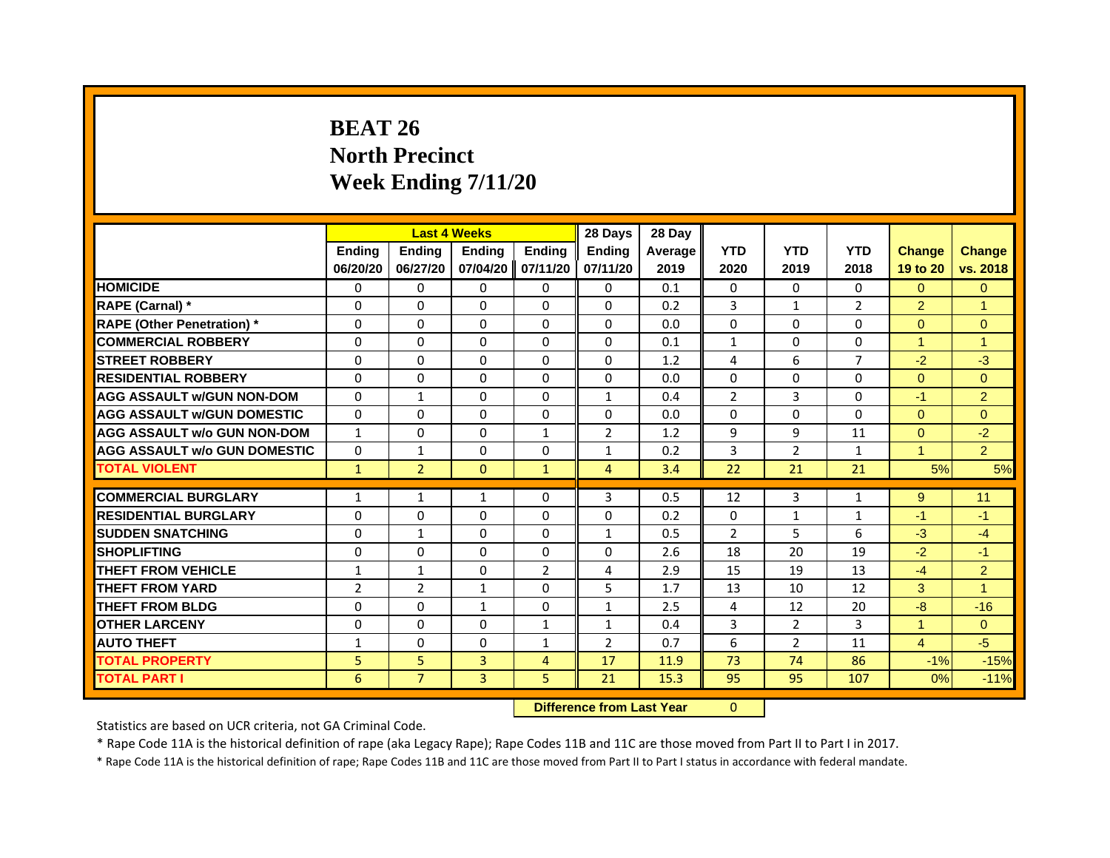# **BEAT 26North Precinct Week Ending 7/11/20**

|                                     |                |                | <b>Last 4 Weeks</b> |                | 28 Days        | 28 Day  |                |                |                |                      |                |
|-------------------------------------|----------------|----------------|---------------------|----------------|----------------|---------|----------------|----------------|----------------|----------------------|----------------|
|                                     | <b>Ending</b>  | <b>Endina</b>  | <b>Endina</b>       | <b>Ending</b>  | <b>Endina</b>  | Average | <b>YTD</b>     | <b>YTD</b>     | <b>YTD</b>     | <b>Change</b>        | <b>Change</b>  |
|                                     | 06/20/20       | 06/27/20       | 07/04/20            | 07/11/20       | 07/11/20       | 2019    | 2020           | 2019           | 2018           | 19 to 20             | vs. 2018       |
| <b>HOMICIDE</b>                     | $\Omega$       | $\Omega$       | $\Omega$            | $\Omega$       | 0              | 0.1     | 0              | $\Omega$       | $\mathbf{0}$   | $\Omega$             | $\mathbf{0}$   |
| RAPE (Carnal) *                     | $\Omega$       | $\Omega$       | $\Omega$            | $\mathbf{0}$   | $\mathbf{0}$   | 0.2     | 3              | $\mathbf{1}$   | $\overline{2}$ | $\overline{2}$       | $\mathbf{1}$   |
| <b>RAPE (Other Penetration)</b> *   | $\Omega$       | $\Omega$       | $\Omega$            | $\mathbf{0}$   | $\mathbf{0}$   | 0.0     | $\mathbf{0}$   | 0              | 0              | $\Omega$             | $\Omega$       |
| <b>COMMERCIAL ROBBERY</b>           | 0              | $\Omega$       | 0                   | $\mathbf{0}$   | 0              | 0.1     | $\mathbf{1}$   | 0              | 0              | $\overline{1}$       | $\overline{1}$ |
| <b>STREET ROBBERY</b>               | $\Omega$       | $\Omega$       | 0                   | $\mathbf{0}$   | $\mathbf{0}$   | 1.2     | 4              | 6              | $\overline{7}$ | $-2$                 | $-3$           |
| <b>RESIDENTIAL ROBBERY</b>          | $\Omega$       | $\Omega$       | $\Omega$            | $\mathbf{0}$   | $\Omega$       | 0.0     | $\Omega$       | $\mathbf{0}$   | 0              | $\Omega$             | $\Omega$       |
| <b>AGG ASSAULT w/GUN NON-DOM</b>    | $\Omega$       | $\mathbf{1}$   | $\Omega$            | $\mathbf{0}$   | $\mathbf{1}$   | 0.4     | $\overline{2}$ | 3              | $\Omega$       | $-1$                 | $\overline{2}$ |
| <b>AGG ASSAULT W/GUN DOMESTIC</b>   | $\Omega$       | $\Omega$       | $\Omega$            | $\mathbf{0}$   | 0              | 0.0     | $\mathbf{0}$   | 0              | 0              | $\Omega$             | $\Omega$       |
| <b>AGG ASSAULT w/o GUN NON-DOM</b>  | $\mathbf{1}$   | $\Omega$       | 0                   | $\mathbf{1}$   | $\overline{2}$ | 1.2     | 9              | 9              | 11             | $\overline{0}$       | $-2$           |
| <b>AGG ASSAULT W/o GUN DOMESTIC</b> | 0              | 1              | 0                   | $\mathbf{0}$   | $\mathbf{1}$   | 0.2     | 3              | $\overline{2}$ | $\mathbf{1}$   | $\blacktriangleleft$ | 2 <sup>1</sup> |
| <b>TOTAL VIOLENT</b>                | $\mathbf{1}$   | $\overline{2}$ | $\Omega$            | $\mathbf{1}$   | $\overline{4}$ | 3.4     | 22             | 21             | 21             | 5%                   | 5%             |
|                                     |                |                |                     |                |                |         |                |                |                |                      |                |
| <b>COMMERCIAL BURGLARY</b>          | 1              | 1              | 1                   | 0              | 3              | 0.5     | 12             | 3              | $\mathbf{1}$   | 9                    | 11             |
| <b>RESIDENTIAL BURGLARY</b>         | 0              | 0              | 0                   | 0              | 0              | 0.2     | $\mathbf{0}$   | 1              | $\mathbf{1}$   | -1                   | $-1$           |
| <b>SUDDEN SNATCHING</b>             | 0              | $\mathbf{1}$   | 0                   | $\mathbf{0}$   | $\mathbf{1}$   | 0.5     | $\overline{2}$ | 5              | 6              | $-3$                 | $-4$           |
| <b>SHOPLIFTING</b>                  | $\Omega$       | $\Omega$       | $\Omega$            | $\Omega$       | $\Omega$       | 2.6     | 18             | 20             | 19             | $-2$                 | $-1$           |
| <b>THEFT FROM VEHICLE</b>           | 1              | $\mathbf{1}$   | $\Omega$            | $\overline{2}$ | 4              | 2.9     | 15             | 19             | 13             | $-4$                 | $\overline{2}$ |
| <b>THEFT FROM YARD</b>              | $\overline{2}$ | $\overline{2}$ | $\mathbf{1}$        | 0              | 5              | 1.7     | 13             | 10             | 12             | 3                    | $\overline{1}$ |
| <b>THEFT FROM BLDG</b>              | $\Omega$       | $\Omega$       | $\mathbf{1}$        | $\mathbf{0}$   | $\mathbf{1}$   | 2.5     | 4              | 12             | 20             | $-8$                 | $-16$          |
| <b>OTHER LARCENY</b>                | 0              | $\Omega$       | 0                   | $\mathbf{1}$   | $\mathbf{1}$   | 0.4     | 3              | $\overline{2}$ | 3              | $\blacktriangleleft$ | $\Omega$       |
| <b>AUTO THEFT</b>                   | 1              | $\Omega$       | $\Omega$            | $\mathbf{1}$   | $\overline{2}$ | 0.7     | 6              | $\overline{2}$ | 11             | $\overline{4}$       | $-5$           |
| <b>TOTAL PROPERTY</b>               | 5              | 5              | 3                   | 4              | 17             | 11.9    | 73             | 74             | 86             | $-1%$                | $-15%$         |
| <b>TOTAL PART I</b>                 | 6              | $\overline{7}$ | 3                   | 5              | 21             | 15.3    | 95             | 95             | 107            | 0%                   | $-11%$         |

 **Difference from Last Year**r 0

Statistics are based on UCR criteria, not GA Criminal Code.

\* Rape Code 11A is the historical definition of rape (aka Legacy Rape); Rape Codes 11B and 11C are those moved from Part II to Part I in 2017.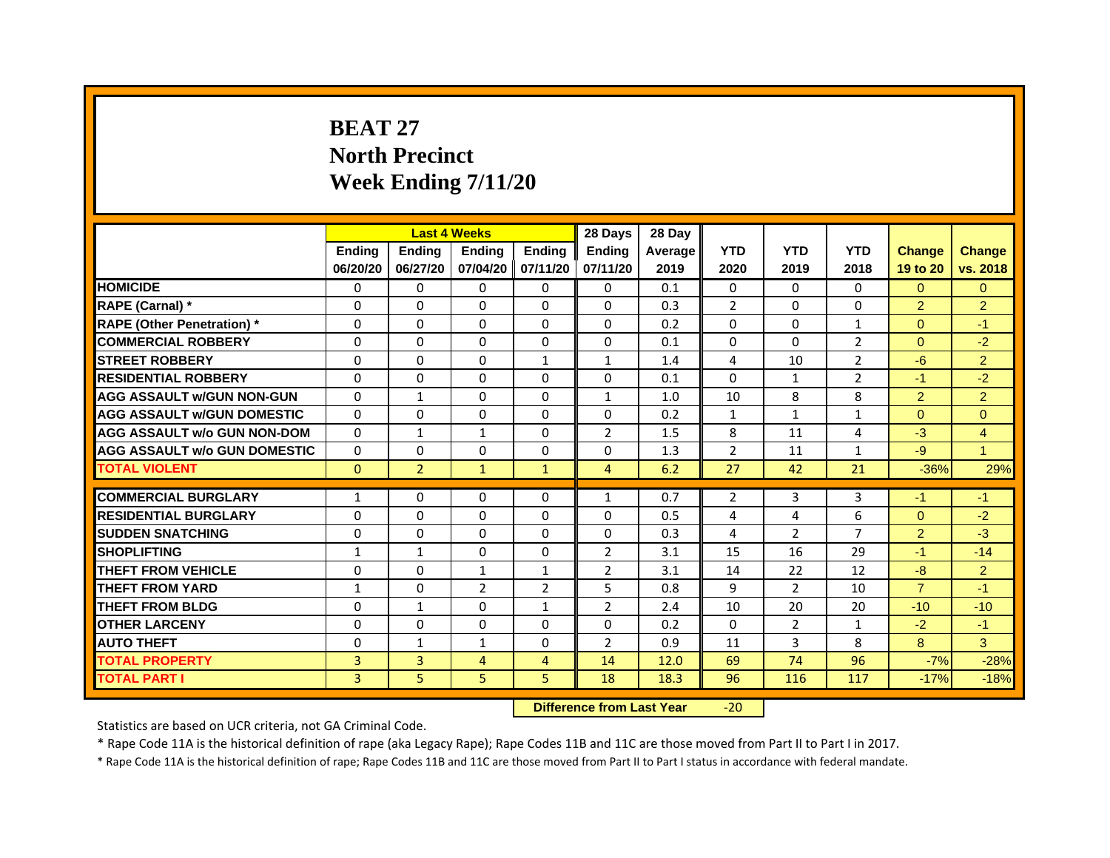# **BEAT 27North Precinct Week Ending 7/11/20**

|                                     |               |                | <b>Last 4 Weeks</b> |                   | 28 Days        | 28 Day  |                |                |                |                |                |
|-------------------------------------|---------------|----------------|---------------------|-------------------|----------------|---------|----------------|----------------|----------------|----------------|----------------|
|                                     | <b>Endina</b> | <b>Endina</b>  | <b>Endina</b>       | <b>Ending</b>     | <b>Endina</b>  | Average | <b>YTD</b>     | <b>YTD</b>     | <b>YTD</b>     | <b>Change</b>  | <b>Change</b>  |
|                                     | 06/20/20      | 06/27/20       |                     | 07/04/20 07/11/20 | 07/11/20       | 2019    | 2020           | 2019           | 2018           | 19 to 20       | vs. 2018       |
| <b>HOMICIDE</b>                     | 0             | 0              | $\mathbf{0}$        | 0                 | 0              | 0.1     | $\mathbf{0}$   | 0              | $\mathbf{0}$   | $\Omega$       | $\mathbf{0}$   |
| RAPE (Carnal) *                     | $\Omega$      | $\Omega$       | $\Omega$            | $\Omega$          | $\Omega$       | 0.3     | 2              | $\Omega$       | $\Omega$       | $\overline{2}$ | 2              |
| <b>RAPE (Other Penetration)</b> *   | 0             | $\Omega$       | $\Omega$            | $\mathbf{0}$      | $\Omega$       | 0.2     | $\Omega$       | $\Omega$       | $\mathbf{1}$   | $\Omega$       | $-1$           |
| <b>COMMERCIAL ROBBERY</b>           | 0             | 0              | $\Omega$            | 0                 | 0              | 0.1     | $\Omega$       | $\Omega$       | 2              | $\Omega$       | $-2$           |
| <b>STREET ROBBERY</b>               | 0             | 0              | 0                   | 1                 | $\mathbf{1}$   | 1.4     | 4              | 10             | $\overline{2}$ | $-6$           | $\overline{2}$ |
| <b>RESIDENTIAL ROBBERY</b>          | 0             | 0              | $\Omega$            | $\Omega$          | $\Omega$       | 0.1     | $\Omega$       | $\mathbf{1}$   | $\overline{2}$ | $-1$           | $-2$           |
| <b>AGG ASSAULT w/GUN NON-GUN</b>    | $\Omega$      | $\mathbf{1}$   | $\Omega$            | $\mathbf{0}$      | $\mathbf{1}$   | 1.0     | 10             | 8              | 8              | $\overline{2}$ | $\overline{2}$ |
| <b>AGG ASSAULT W/GUN DOMESTIC</b>   | $\Omega$      | 0              | $\Omega$            | 0                 | 0              | 0.2     | $\mathbf{1}$   | $\mathbf{1}$   | $\mathbf{1}$   | $\Omega$       | $\Omega$       |
| <b>AGG ASSAULT w/o GUN NON-DOM</b>  | 0             | 1              | $\mathbf{1}$        | $\Omega$          | $\overline{2}$ | 1.5     | 8              | 11             | 4              | $-3$           | 4              |
| <b>AGG ASSAULT w/o GUN DOMESTIC</b> | $\Omega$      | 0              | 0                   | $\Omega$          | 0              | 1.3     | $\overline{2}$ | 11             | $\mathbf{1}$   | $-9$           | $\mathbf{1}$   |
| <b>TOTAL VIOLENT</b>                | $\Omega$      | $\overline{2}$ | $\mathbf{1}$        | $\mathbf{1}$      | $\overline{4}$ | 6.2     | 27             | 42             | 21             | $-36%$         | 29%            |
|                                     |               |                |                     |                   |                |         |                |                |                |                |                |
| <b>COMMERCIAL BURGLARY</b>          | 1             | 0              | $\Omega$            | 0                 | $\mathbf{1}$   | 0.7     | 2              | 3              | 3              | $-1$           | $-1$           |
| <b>RESIDENTIAL BURGLARY</b>         | 0             | $\Omega$       | 0                   | $\Omega$          | $\Omega$       | 0.5     | 4              | $\overline{4}$ | 6              | $\Omega$       | $-2$           |
| <b>SUDDEN SNATCHING</b>             | 0             | 0              | $\Omega$            | 0                 | 0              | 0.3     | 4              | $\overline{2}$ | $\overline{7}$ | $\overline{2}$ | $-3$           |
| <b>SHOPLIFTING</b>                  | $\mathbf{1}$  | $\mathbf{1}$   | $\Omega$            | $\Omega$          | $\overline{2}$ | 3.1     | 15             | 16             | 29             | $-1$           | $-14$          |
| <b>THEFT FROM VEHICLE</b>           | 0             | $\Omega$       | $\mathbf{1}$        | $\mathbf{1}$      | $\overline{2}$ | 3.1     | 14             | 22             | 12             | $-8$           | $\overline{2}$ |
| <b>THEFT FROM YARD</b>              | $\mathbf{1}$  | 0              | $\overline{2}$      | $\overline{2}$    | 5              | 0.8     | 9              | $\mathcal{P}$  | 10             | $\overline{7}$ | $-1$           |
| <b>THEFT FROM BLDG</b>              | 0             | 1              | 0                   | 1                 | $\overline{2}$ | 2.4     | 10             | 20             | 20             | $-10$          | $-10$          |
| <b>OTHER LARCENY</b>                | 0             | 0              | $\Omega$            | $\Omega$          | $\Omega$       | 0.2     | $\Omega$       | 2              | $\mathbf{1}$   | $-2$           | $-1$           |
| <b>AUTO THEFT</b>                   | $\mathbf 0$   | 1              | $\mathbf{1}$        | $\Omega$          | $\overline{2}$ | 0.9     | 11             | 3              | 8              | 8              | 3              |
| <b>TOTAL PROPERTY</b>               | 3             | 3              | 4                   | 4                 | 14             | 12.0    | 69             | 74             | 96             | $-7%$          | $-28%$         |
| <b>TOTAL PART I</b>                 | 3             | 5              | 5                   | 5                 | 18             | 18.3    | 96             | 116            | 117            | $-17%$         | $-18%$         |

 **Difference from Last Year**‐20

Statistics are based on UCR criteria, not GA Criminal Code.

\* Rape Code 11A is the historical definition of rape (aka Legacy Rape); Rape Codes 11B and 11C are those moved from Part II to Part I in 2017.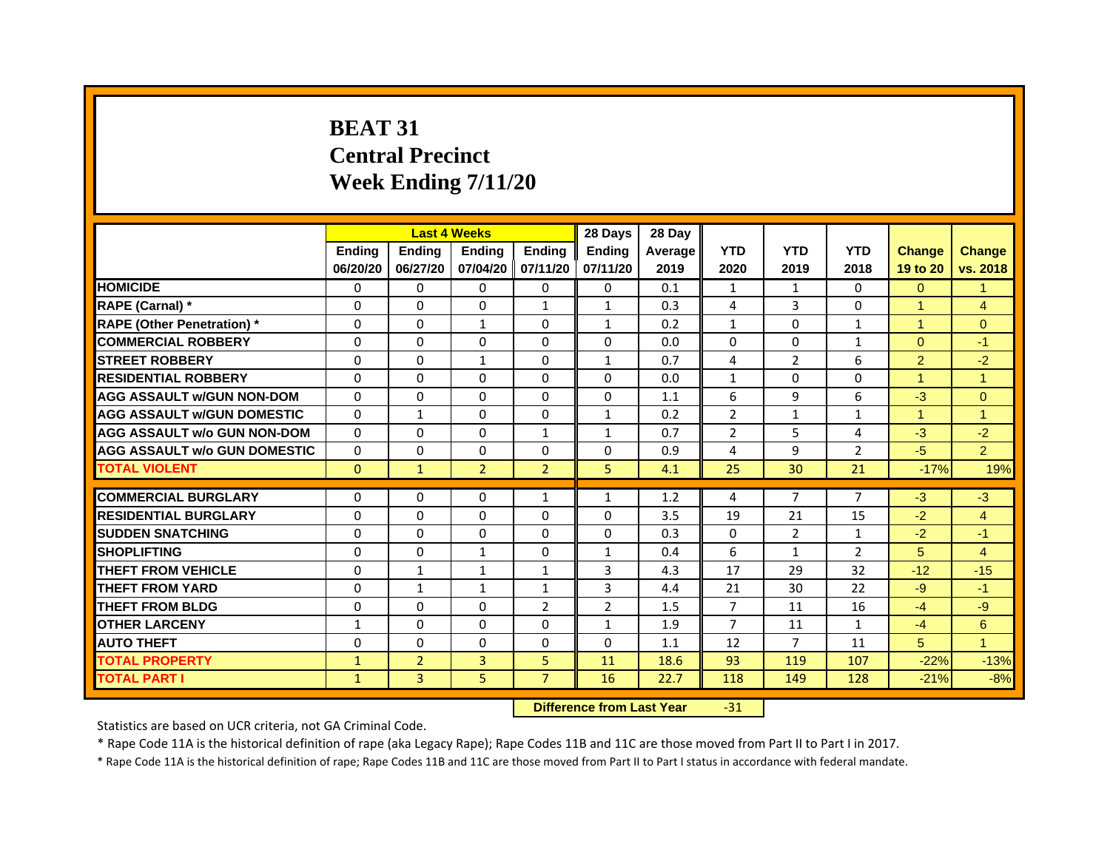# **BEAT 31Central Precinct Week Ending 7/11/20**

|                                     |               | <b>Last 4 Weeks</b> |                |                   | 28 Days        | 28 Day  |                |                |                |                      |                      |
|-------------------------------------|---------------|---------------------|----------------|-------------------|----------------|---------|----------------|----------------|----------------|----------------------|----------------------|
|                                     | <b>Endina</b> | <b>Ending</b>       | <b>Endina</b>  | <b>Endina</b>     | <b>Endina</b>  | Average | <b>YTD</b>     | <b>YTD</b>     | <b>YTD</b>     | <b>Change</b>        | <b>Change</b>        |
|                                     | 06/20/20      | 06/27/20            |                | 07/04/20 07/11/20 | 07/11/20       | 2019    | 2020           | 2019           | 2018           | 19 to 20             | vs. 2018             |
| <b>HOMICIDE</b>                     | 0             | 0                   | $\Omega$       | 0                 | 0              | 0.1     | $\mathbf{1}$   | $\mathbf{1}$   | 0              | $\Omega$             | 1                    |
| RAPE (Carnal) *                     | $\Omega$      | $\Omega$            | $\Omega$       | $\mathbf{1}$      | $\mathbf{1}$   | 0.3     | 4              | 3              | $\Omega$       | $\overline{1}$       | $\overline{4}$       |
| <b>RAPE (Other Penetration)*</b>    | 0             | $\Omega$            | $\mathbf{1}$   | $\Omega$          | $\mathbf{1}$   | 0.2     | $\mathbf{1}$   | $\Omega$       | $\mathbf{1}$   | $\blacktriangleleft$ | $\Omega$             |
| <b>COMMERCIAL ROBBERY</b>           | 0             | 0                   | $\Omega$       | $\Omega$          | $\Omega$       | 0.0     | $\Omega$       | $\Omega$       | 1              | $\Omega$             | $-1$                 |
| <b>STREET ROBBERY</b>               | 0             | $\Omega$            | $\mathbf{1}$   | $\Omega$          | $\mathbf{1}$   | 0.7     | 4              | 2              | 6              | $\overline{2}$       | $-2$                 |
| <b>RESIDENTIAL ROBBERY</b>          | 0             | $\Omega$            | 0              | $\Omega$          | 0              | 0.0     | $\mathbf{1}$   | 0              | $\Omega$       | 1                    | $\mathbf{1}$         |
| <b>AGG ASSAULT w/GUN NON-DOM</b>    | $\Omega$      | $\mathbf 0$         | $\Omega$       | $\Omega$          | $\Omega$       | 1.1     | 6              | 9              | 6              | $-3$                 | $\mathbf{0}$         |
| <b>AGG ASSAULT W/GUN DOMESTIC</b>   | $\Omega$      | $\mathbf{1}$        | $\Omega$       | $\mathbf{0}$      | $\mathbf{1}$   | 0.2     | $\overline{2}$ | $\mathbf{1}$   | $\mathbf{1}$   | $\blacktriangleleft$ | $\blacktriangleleft$ |
| <b>AGG ASSAULT w/o GUN NON-DOM</b>  | $\Omega$      | 0                   | $\Omega$       | $\mathbf{1}$      | $\mathbf{1}$   | 0.7     | $\overline{2}$ | 5              | $\overline{a}$ | $-3$                 | $-2$                 |
| <b>AGG ASSAULT W/o GUN DOMESTIC</b> | $\Omega$      | $\Omega$            | $\Omega$       | $\Omega$          | $\Omega$       | 0.9     | 4              | 9              | $\overline{2}$ | $-5$                 | $\overline{2}$       |
| <b>TOTAL VIOLENT</b>                | $\Omega$      | $\mathbf{1}$        | $\overline{2}$ | $\overline{2}$    | 5              | 4.1     | 25             | 30             | 21             | $-17%$               | 19%                  |
|                                     |               |                     |                |                   |                |         |                |                |                |                      |                      |
| <b>COMMERCIAL BURGLARY</b>          | 0             | 0                   | $\Omega$       | $\mathbf{1}$      | $\mathbf{1}$   | 1.2     | 4              | $\overline{7}$ | $\overline{7}$ | $-3$                 | $-3$                 |
| <b>RESIDENTIAL BURGLARY</b>         | 0             | $\Omega$            | $\Omega$       | $\Omega$          | $\Omega$       | 3.5     | 19             | 21             | 15             | $-2$                 | $\overline{4}$       |
| <b>SUDDEN SNATCHING</b>             | 0             | 0                   | $\Omega$       | $\Omega$          | $\Omega$       | 0.3     | $\Omega$       | $\overline{2}$ | $\mathbf{1}$   | $-2$                 | $-1$                 |
| <b>SHOPLIFTING</b>                  | $\mathbf 0$   | 0                   | $\mathbf{1}$   | 0                 | $\mathbf{1}$   | 0.4     | 6              | $\mathbf{1}$   | $\overline{2}$ | 5                    | 4                    |
| <b>THEFT FROM VEHICLE</b>           | $\Omega$      | $\mathbf{1}$        | $\mathbf{1}$   | $\mathbf{1}$      | 3              | 4.3     | 17             | 29             | 32             | $-12$                | $-15$                |
| <b>THEFT FROM YARD</b>              | 0             | $\mathbf{1}$        | $\mathbf{1}$   | $\mathbf{1}$      | 3              | 4.4     | 21             | 30             | 22             | $-9$                 | $-1$                 |
| <b>THEFT FROM BLDG</b>              | 0             | 0                   | 0              | $\overline{2}$    | $\overline{2}$ | 1.5     | 7              | 11             | 16             | $-4$                 | -9                   |
| <b>OTHER LARCENY</b>                | 1             | $\Omega$            | $\Omega$       | 0                 | $\mathbf{1}$   | 1.9     | 7              | 11             | $\mathbf{1}$   | $-4$                 | 6                    |
| <b>AUTO THEFT</b>                   | $\mathbf 0$   | 0                   | $\Omega$       | $\Omega$          | $\Omega$       | 1.1     | 12             | $\overline{7}$ | 11             | 5                    | $\overline{1}$       |
| <b>TOTAL PROPERTY</b>               | $\mathbf{1}$  | $\overline{2}$      | 3              | 5                 | 11             | 18.6    | 93             | 119            | 107            | $-22%$               | $-13%$               |
| <b>TOTAL PART I</b>                 | $\mathbf{1}$  | 3                   | 5              | $\overline{7}$    | 16             | 22.7    | 118            | 149            | 128            | $-21%$               | $-8%$                |

 **Difference from Last Year**‐31

Statistics are based on UCR criteria, not GA Criminal Code.

\* Rape Code 11A is the historical definition of rape (aka Legacy Rape); Rape Codes 11B and 11C are those moved from Part II to Part I in 2017.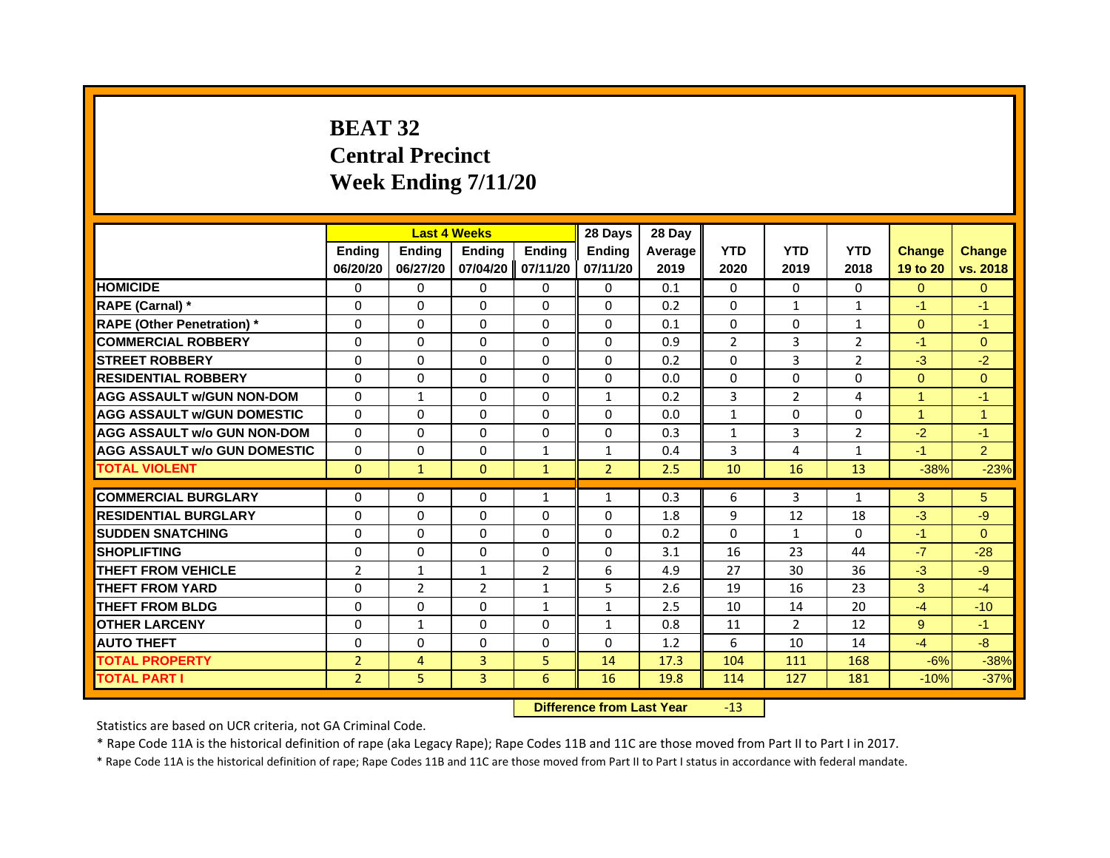# **BEAT 32Central Precinct Week Ending 7/11/20**

|                                     |                | <b>Last 4 Weeks</b> |                |                   | 28 Days        | 28 Day         |                |                |                |                |                |
|-------------------------------------|----------------|---------------------|----------------|-------------------|----------------|----------------|----------------|----------------|----------------|----------------|----------------|
|                                     | <b>Endina</b>  | Ending              | <b>Endina</b>  | <b>Endina</b>     | <b>Endina</b>  | <b>Average</b> | <b>YTD</b>     | <b>YTD</b>     | <b>YTD</b>     | <b>Change</b>  | <b>Change</b>  |
|                                     | 06/20/20       | 06/27/20            |                | 07/04/20 07/11/20 | 07/11/20       | 2019           | 2020           | 2019           | 2018           | 19 to 20       | vs. 2018       |
| <b>HOMICIDE</b>                     | 0              | $\Omega$            | $\Omega$       | 0                 | 0              | 0.1            | 0              | 0              | $\Omega$       | $\Omega$       | $\Omega$       |
| RAPE (Carnal) *                     | $\Omega$       | $\Omega$            | $\Omega$       | $\Omega$          | $\Omega$       | 0.2            | $\Omega$       | $\mathbf{1}$   | $\mathbf{1}$   | $-1$           | $-1$           |
| <b>RAPE (Other Penetration)*</b>    | 0              | 0                   | $\Omega$       | 0                 | $\Omega$       | 0.1            | $\Omega$       | 0              | $\mathbf{1}$   | $\Omega$       | $-1$           |
| <b>COMMERCIAL ROBBERY</b>           | 0              | $\Omega$            | $\Omega$       | $\Omega$          | $\Omega$       | 0.9            | $\overline{2}$ | 3              | $\overline{2}$ | $-1$           | $\Omega$       |
| <b>STREET ROBBERY</b>               | $\Omega$       | 0                   | $\Omega$       | 0                 | $\Omega$       | 0.2            | $\Omega$       | 3              | $\overline{2}$ | $-3$           | $-2$           |
| <b>RESIDENTIAL ROBBERY</b>          | 0              | $\Omega$            | $\Omega$       | 0                 | 0              | 0.0            | 0              | 0              | 0              | $\Omega$       | $\Omega$       |
| <b>AGG ASSAULT w/GUN NON-DOM</b>    | $\Omega$       | $\mathbf{1}$        | $\Omega$       | $\Omega$          | $\mathbf{1}$   | 0.2            | 3              | $\overline{2}$ | $\overline{a}$ | $\overline{1}$ | $-1$           |
| <b>AGG ASSAULT W/GUN DOMESTIC</b>   | $\Omega$       | $\Omega$            | $\Omega$       | $\Omega$          | $\Omega$       | 0.0            | $\mathbf{1}$   | $\Omega$       | $\Omega$       | 1              | 1              |
| <b>AGG ASSAULT w/o GUN NON-DOM</b>  | $\Omega$       | $\Omega$            | $\Omega$       | $\Omega$          | $\Omega$       | 0.3            | $\mathbf{1}$   | 3              | $\overline{2}$ | $-2$           | $-1$           |
| <b>AGG ASSAULT w/o GUN DOMESTIC</b> | $\Omega$       | 0                   | $\Omega$       | $\mathbf{1}$      | $\mathbf{1}$   | 0.4            | 3              | $\overline{4}$ | 1              | $-1$           | $\overline{2}$ |
| <b>TOTAL VIOLENT</b>                | $\Omega$       | $\mathbf{1}$        | $\mathbf{0}$   | $\mathbf{1}$      | $\overline{2}$ | 2.5            | 10             | 16             | 13             | $-38%$         | $-23%$         |
|                                     |                |                     |                |                   |                |                |                |                |                |                |                |
| <b>COMMERCIAL BURGLARY</b>          | 0              | 0                   | 0              | $\mathbf{1}$      | $\mathbf{1}$   | 0.3            | 6              | 3              | $\mathbf{1}$   | 3              | 5              |
| <b>RESIDENTIAL BURGLARY</b>         | $\Omega$       | 0                   | 0              | 0                 | 0              | 1.8            | 9              | 12             | 18             | $-3$           | -9             |
| <b>SUDDEN SNATCHING</b>             | $\Omega$       | $\Omega$            | $\Omega$       | $\Omega$          | $\Omega$       | 0.2            | $\Omega$       | $\mathbf{1}$   | $\Omega$       | $-1$           | $\Omega$       |
| <b>SHOPLIFTING</b>                  | $\Omega$       | $\Omega$            | $\Omega$       | $\Omega$          | $\Omega$       | 3.1            | 16             | 23             | 44             | $-7$           | $-28$          |
| <b>THEFT FROM VEHICLE</b>           | 2              | $\mathbf{1}$        | $\mathbf{1}$   | 2                 | 6              | 4.9            | 27             | 30             | 36             | $-3$           | $-9$           |
| <b>THEFT FROM YARD</b>              | $\Omega$       | 2                   | $\overline{2}$ | $\mathbf{1}$      | 5              | 2.6            | 19             | 16             | 23             | 3              | $-4$           |
| <b>THEFT FROM BLDG</b>              | 0              | 0                   | 0              | $\mathbf{1}$      | 1              | 2.5            | 10             | 14             | 20             | $-4$           | $-10$          |
| <b>OTHER LARCENY</b>                | $\Omega$       | $\mathbf{1}$        | $\Omega$       | $\Omega$          | $\mathbf{1}$   | 0.8            | 11             | $\overline{2}$ | 12             | 9              | $-1$           |
| <b>AUTO THEFT</b>                   | $\Omega$       | $\Omega$            | $\Omega$       | $\Omega$          | $\Omega$       | 1.2            | 6              | 10             | 14             | $-4$           | $-8$           |
| <b>TOTAL PROPERTY</b>               | $\overline{2}$ | $\overline{4}$      | 3              | 5                 | 14             | 17.3           | 104            | 111            | 168            | $-6%$          | $-38%$         |
| <b>TOTAL PART I</b>                 | $\overline{2}$ | 5.                  | 3              | 6                 | 16             | 19.8           | 114            | 127            | 181            | $-10%$         | $-37%$         |

 **Difference from Last Year**r -13

Statistics are based on UCR criteria, not GA Criminal Code.

\* Rape Code 11A is the historical definition of rape (aka Legacy Rape); Rape Codes 11B and 11C are those moved from Part II to Part I in 2017.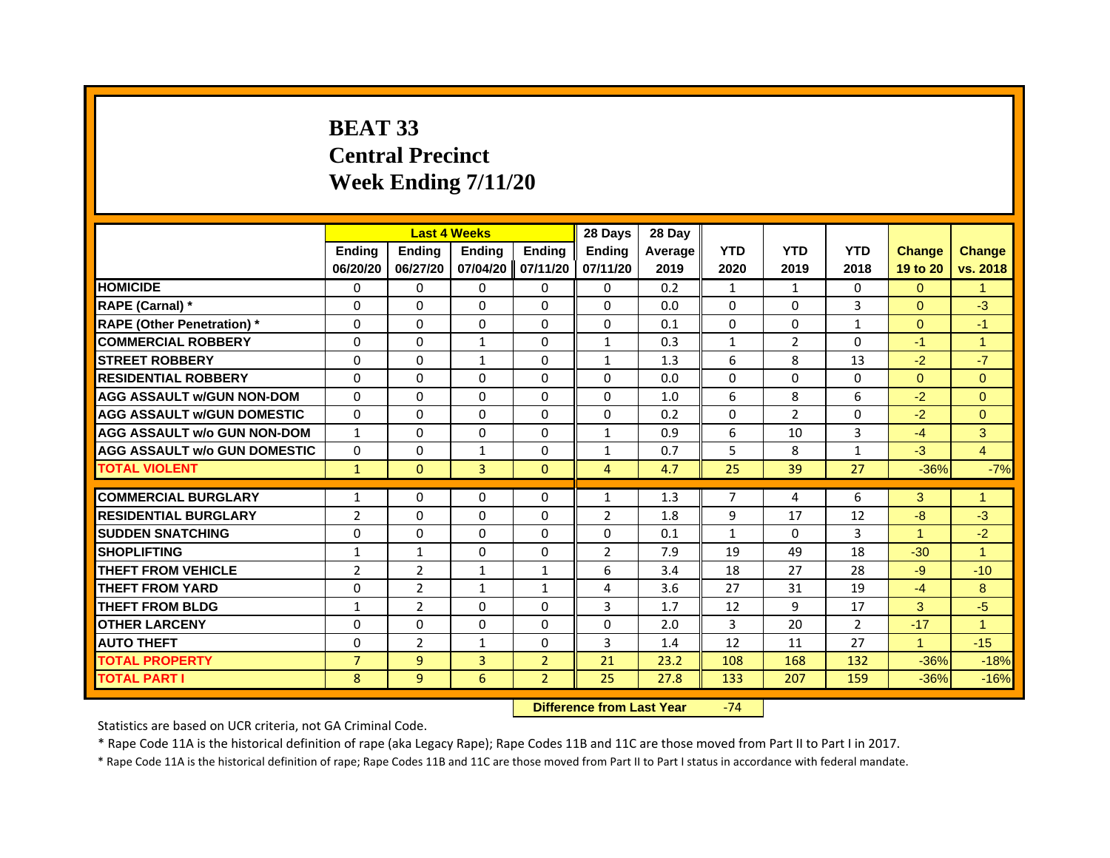# **BEAT 33Central PrecinctWeek Ending 7/11/20**

|                                     |                | <b>Last 4 Weeks</b> |                     |                | 28 Days        | 28 Day  |                |                |                |                      |                |
|-------------------------------------|----------------|---------------------|---------------------|----------------|----------------|---------|----------------|----------------|----------------|----------------------|----------------|
|                                     | <b>Endina</b>  | <b>Ending</b>       | <b>Endina</b>       | <b>Endina</b>  | <b>Endina</b>  | Average | <b>YTD</b>     | <b>YTD</b>     | <b>YTD</b>     | <b>Change</b>        | <b>Change</b>  |
|                                     | 06/20/20       | 06/27/20            | 07/04/20   07/11/20 |                | 07/11/20       | 2019    | 2020           | 2019           | 2018           | 19 to 20             | vs. 2018       |
| <b>HOMICIDE</b>                     | 0              | 0                   | 0                   | 0              | 0              | 0.2     | 1              | $\mathbf{1}$   | $\mathbf{0}$   | $\Omega$             |                |
| RAPE (Carnal) *                     | $\Omega$       | $\Omega$            | $\Omega$            | $\Omega$       | $\Omega$       | 0.0     | $\Omega$       | $\mathbf{0}$   | 3              | $\Omega$             | $-3$           |
| <b>RAPE (Other Penetration)*</b>    | 0              | $\Omega$            | 0                   | 0              | $\Omega$       | 0.1     | $\Omega$       | $\mathbf{0}$   | $\mathbf{1}$   | $\Omega$             | $-1$           |
| <b>COMMERCIAL ROBBERY</b>           | 0              | 0                   | 1                   | $\Omega$       | $\mathbf{1}$   | 0.3     | $\mathbf{1}$   | $\overline{2}$ | 0              | $-1$                 | 1              |
| <b>STREET ROBBERY</b>               | $\Omega$       | 0                   | $\mathbf{1}$        | 0              | $\mathbf{1}$   | 1.3     | 6              | 8              | 13             | $-2$                 | $-7$           |
| <b>RESIDENTIAL ROBBERY</b>          | 0              | $\Omega$            | 0                   | $\Omega$       | 0              | 0.0     | $\Omega$       | $\Omega$       | 0              | $\Omega$             | $\Omega$       |
| <b>AGG ASSAULT W/GUN NON-DOM</b>    | $\Omega$       | $\mathbf 0$         | $\mathbf 0$         | $\mathbf{0}$   | $\Omega$       | 1.0     | 6              | 8              | 6              | $-2$                 | $\Omega$       |
| <b>AGG ASSAULT W/GUN DOMESTIC</b>   | $\Omega$       | $\Omega$            | $\Omega$            | $\Omega$       | $\Omega$       | 0.2     | $\Omega$       | $\overline{2}$ | $\Omega$       | $-2$                 | $\Omega$       |
| <b>AGG ASSAULT w/o GUN NON-DOM</b>  | $\mathbf{1}$   | $\Omega$            | $\Omega$            | 0              | 1              | 0.9     | 6              | 10             | 3              | $-4$                 | 3              |
| <b>AGG ASSAULT W/o GUN DOMESTIC</b> | $\Omega$       | 0                   | 1                   | $\mathbf{0}$   | 1              | 0.7     | 5              | 8              | $\mathbf{1}$   | $-3$                 | $\overline{4}$ |
| <b>TOTAL VIOLENT</b>                | $\mathbf{1}$   | $\mathbf{0}$        | $\overline{3}$      | $\mathbf{0}$   | $\overline{4}$ | 4.7     | 25             | 39             | 27             | $-36%$               | $-7%$          |
|                                     |                |                     |                     |                |                |         |                |                |                |                      |                |
| <b>COMMERCIAL BURGLARY</b>          | $\mathbf{1}$   | 0                   | $\Omega$            | 0              | $\mathbf{1}$   | 1.3     | $\overline{7}$ | 4              | 6              | 3                    | $\overline{1}$ |
| <b>RESIDENTIAL BURGLARY</b>         | $\overline{2}$ | 0                   | 0                   | $\Omega$       | $\overline{2}$ | 1.8     | 9              | 17             | 12             | $-8$                 | $-3$           |
| <b>SUDDEN SNATCHING</b>             | $\Omega$       | $\Omega$            | 0                   | 0              | $\Omega$       | 0.1     | $\mathbf{1}$   | 0              | 3              | $\blacktriangleleft$ | $-2$           |
| <b>SHOPLIFTING</b>                  | $\mathbf{1}$   | $\mathbf{1}$        | 0                   | $\Omega$       | $\overline{2}$ | 7.9     | 19             | 49             | 18             | $-30$                | $\overline{1}$ |
| <b>THEFT FROM VEHICLE</b>           | $\overline{2}$ | $\overline{2}$      | $\mathbf{1}$        | $\mathbf{1}$   | 6              | 3.4     | 18             | 27             | 28             | $-9$                 | $-10$          |
| <b>THEFT FROM YARD</b>              | $\Omega$       | $\overline{2}$      | $\mathbf{1}$        | $\mathbf{1}$   | $\overline{a}$ | 3.6     | 27             | 31             | 19             | $-4$                 | 8              |
| <b>THEFT FROM BLDG</b>              | 1              | $\overline{2}$      | 0                   | 0              | 3              | 1.7     | 12             | 9              | 17             | 3                    | $-5$           |
| <b>OTHER LARCENY</b>                | $\Omega$       | $\Omega$            | 0                   | 0              | $\Omega$       | 2.0     | 3              | 20             | $\overline{2}$ | $-17$                | $\overline{1}$ |
| <b>AUTO THEFT</b>                   | $\Omega$       | $\overline{2}$      | $\mathbf{1}$        | $\Omega$       | 3              | 1.4     | 12             | 11             | 27             | $\blacktriangleleft$ | $-15$          |
| <b>TOTAL PROPERTY</b>               | $\overline{7}$ | 9                   | 3                   | $\overline{2}$ | 21             | 23.2    | 108            | 168            | 132            | $-36%$               | $-18%$         |
| <b>TOTAL PART I</b>                 | 8              | 9                   | 6                   | $\overline{2}$ | 25             | 27.8    | 133            | 207            | 159            | $-36%$               | $-16%$         |

 **Difference from Last Year**‐74

Statistics are based on UCR criteria, not GA Criminal Code.

\* Rape Code 11A is the historical definition of rape (aka Legacy Rape); Rape Codes 11B and 11C are those moved from Part II to Part I in 2017.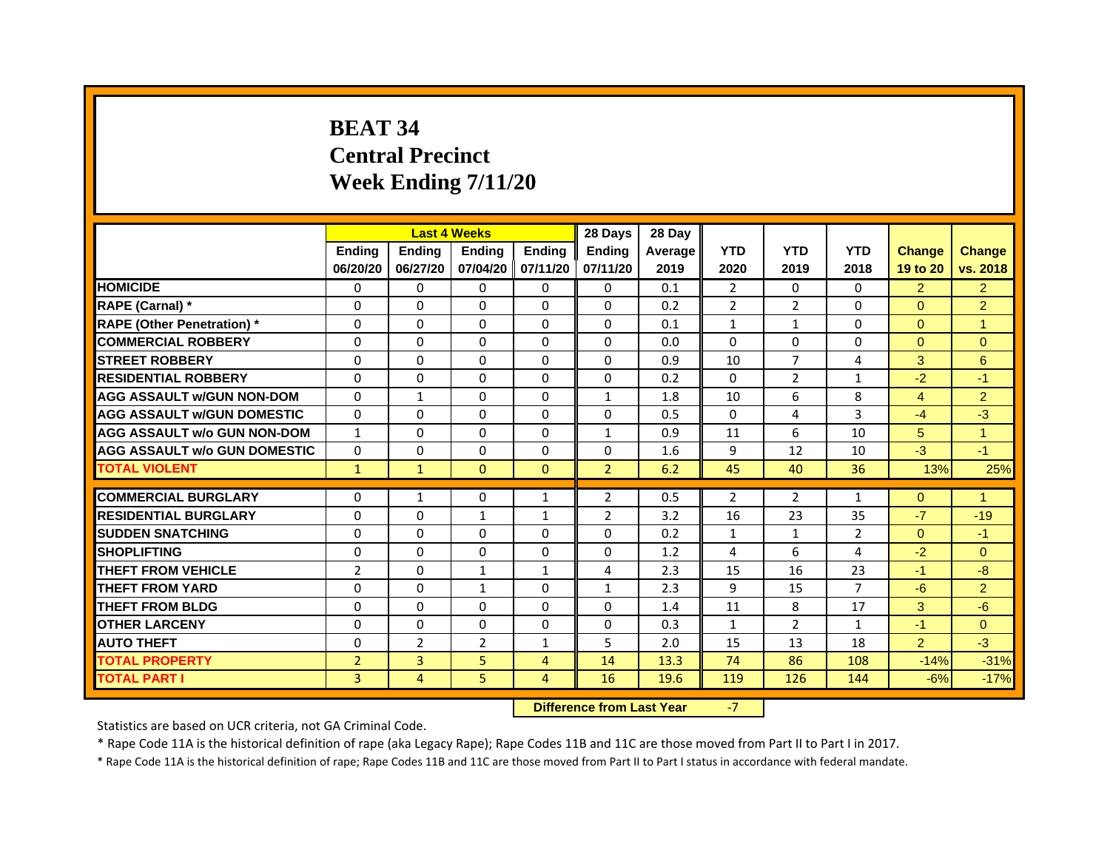# **BEAT 34Central Precinct Week Ending 7/11/20**

|                                     |                | <b>Last 4 Weeks</b> |                   |                | 28 Days        | 28 Day  |                |                |                |                |                |
|-------------------------------------|----------------|---------------------|-------------------|----------------|----------------|---------|----------------|----------------|----------------|----------------|----------------|
|                                     | <b>Endina</b>  | <b>Ending</b>       | <b>Endina</b>     | <b>Ending</b>  | <b>Endina</b>  | Average | <b>YTD</b>     | <b>YTD</b>     | <b>YTD</b>     | <b>Change</b>  | <b>Change</b>  |
|                                     | 06/20/20       | 06/27/20            | 07/04/20 07/11/20 |                | 07/11/20       | 2019    | 2020           | 2019           | 2018           | 19 to 20       | vs. 2018       |
| <b>HOMICIDE</b>                     | $\Omega$       | 0                   | $\mathbf{0}$      | 0              | 0              | 0.1     | 2              | 0              | 0              | $\overline{2}$ | $\overline{2}$ |
| RAPE (Carnal) *                     | $\Omega$       | $\Omega$            | $\Omega$          | $\mathbf{0}$   | $\Omega$       | 0.2     | $\overline{2}$ | 2              | $\Omega$       | $\Omega$       | 2              |
| <b>RAPE (Other Penetration)*</b>    | 0              | $\Omega$            | $\Omega$          | $\mathbf{0}$   | 0              | 0.1     | $\mathbf{1}$   | $\mathbf{1}$   | $\Omega$       | $\Omega$       | 1              |
| <b>COMMERCIAL ROBBERY</b>           | 0              | 0                   | $\Omega$          | 0              | $\Omega$       | 0.0     | $\Omega$       | 0              | $\Omega$       | $\Omega$       | $\mathbf{0}$   |
| <b>STREET ROBBERY</b>               | 0              | 0                   | 0                 | 0              | 0              | 0.9     | 10             | $\overline{7}$ | $\overline{4}$ | 3              | 6              |
| <b>RESIDENTIAL ROBBERY</b>          | 0              | $\Omega$            | $\Omega$          | $\Omega$       | $\Omega$       | 0.2     | $\Omega$       | 2              | $\mathbf{1}$   | $-2$           | $-1$           |
| <b>AGG ASSAULT w/GUN NON-DOM</b>    | $\Omega$       | 1                   | $\Omega$          | $\mathbf{0}$   | $\mathbf{1}$   | 1.8     | 10             | 6              | 8              | 4              | $\overline{2}$ |
| <b>AGG ASSAULT W/GUN DOMESTIC</b>   | $\Omega$       | 0                   | $\Omega$          | $\Omega$       | $\Omega$       | 0.5     | $\Omega$       | 4              | 3              | $-4$           | $-3$           |
| <b>AGG ASSAULT w/o GUN NON-DOM</b>  | $\mathbf{1}$   | $\Omega$            | $\Omega$          | $\Omega$       | $\mathbf{1}$   | 0.9     | 11             | 6              | 10             | 5              | 1              |
| <b>AGG ASSAULT W/o GUN DOMESTIC</b> | $\Omega$       | $\Omega$            | $\Omega$          | $\mathbf{0}$   | $\Omega$       | 1.6     | 9              | 12             | 10             | $-3$           | $-1$           |
| <b>TOTAL VIOLENT</b>                | $\mathbf{1}$   | $\mathbf{1}$        | $\Omega$          | $\mathbf{0}$   | $\overline{2}$ | 6.2     | 45             | 40             | 36             | 13%            | 25%            |
|                                     |                |                     |                   |                |                |         |                |                |                |                |                |
| <b>COMMERCIAL BURGLARY</b>          | 0              | 1                   | $\Omega$          | $\mathbf{1}$   | $\overline{2}$ | 0.5     | $\overline{2}$ | 2              | $\mathbf{1}$   | $\Omega$       | $\mathbf{1}$   |
| <b>RESIDENTIAL BURGLARY</b>         | 0              | $\Omega$            | $\mathbf{1}$      | $\mathbf{1}$   | $\overline{2}$ | 3.2     | 16             | 23             | 35             | $-7$           | $-19$          |
| <b>SUDDEN SNATCHING</b>             | 0              | 0                   | $\Omega$          | 0              | 0              | 0.2     | $\mathbf{1}$   | $\mathbf{1}$   | $\overline{2}$ | $\Omega$       | $-1$           |
| <b>SHOPLIFTING</b>                  | $\Omega$       | $\Omega$            | $\Omega$          | $\Omega$       | $\Omega$       | 1.2     | 4              | 6              | 4              | $-2$           | $\Omega$       |
| <b>THEFT FROM VEHICLE</b>           | $\overline{2}$ | $\Omega$            | $\mathbf{1}$      | $\mathbf{1}$   | 4              | 2.3     | 15             | 16             | 23             | $-1$           | $-8$           |
| <b>THEFT FROM YARD</b>              | $\Omega$       | 0                   | $\mathbf{1}$      | $\Omega$       | $\mathbf{1}$   | 2.3     | 9              | 15             | $\overline{7}$ | $-6$           | $\overline{2}$ |
| <b>THEFT FROM BLDG</b>              | 0              | 0                   | 0                 | 0              | 0              | 1.4     | 11             | 8              | 17             | 3              | -6             |
| <b>OTHER LARCENY</b>                | 0              | 0                   | $\Omega$          | $\mathbf{0}$   | $\Omega$       | 0.3     | 1              | $\overline{2}$ | $\mathbf{1}$   | $-1$           | $\Omega$       |
| <b>AUTO THEFT</b>                   | $\mathbf 0$    | $\overline{2}$      | $\overline{2}$    | $\mathbf{1}$   | 5              | 2.0     | 15             | 13             | 18             | $\overline{2}$ | $-3$           |
| <b>TOTAL PROPERTY</b>               | $\overline{2}$ | 3                   | 5                 | 4              | 14             | 13.3    | 74             | 86             | 108            | $-14%$         | $-31%$         |
| <b>TOTAL PART I</b>                 | 3              | 4                   | 5                 | $\overline{4}$ | 16             | 19.6    | 119            | 126            | 144            | $-6%$          | $-17%$         |

 **Difference from Last Year**‐7

Statistics are based on UCR criteria, not GA Criminal Code.

\* Rape Code 11A is the historical definition of rape (aka Legacy Rape); Rape Codes 11B and 11C are those moved from Part II to Part I in 2017.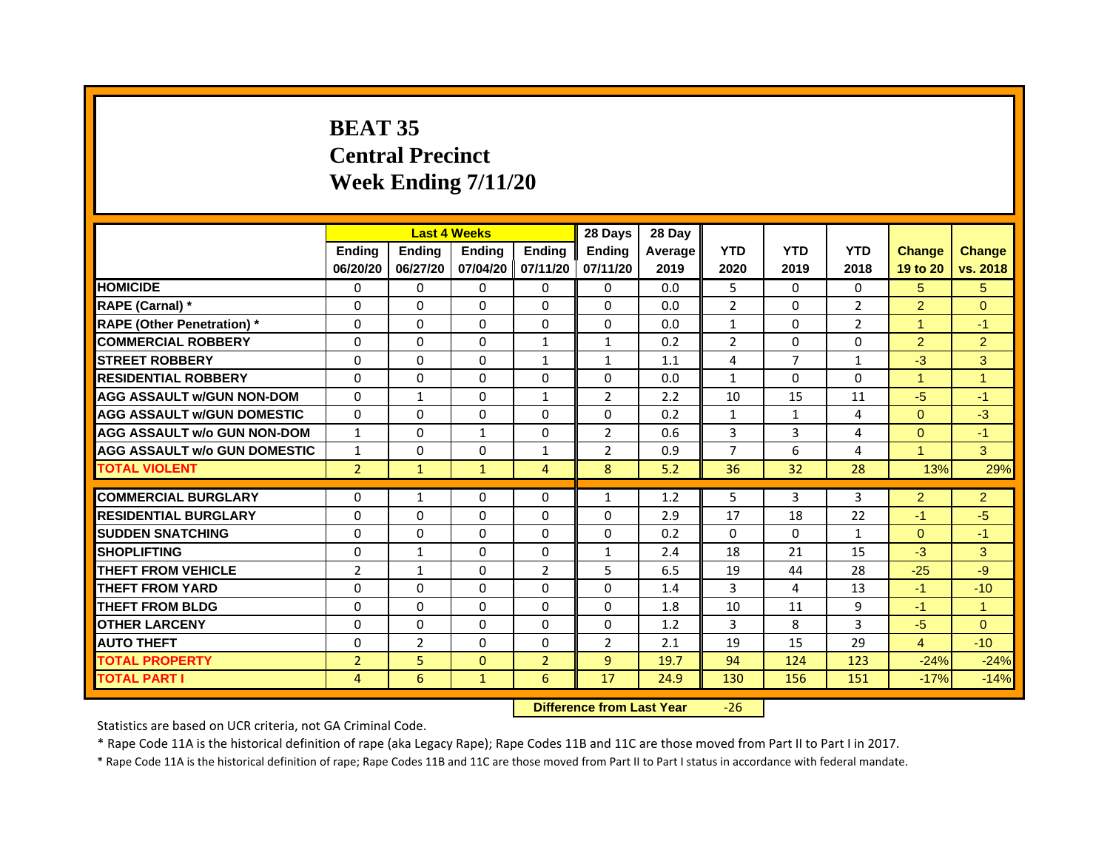# **BEAT 35Central PrecinctWeek Ending 7/11/20**

|                                     |                | <b>Last 4 Weeks</b> |               |                   | 28 Days        | 28 Day  |                |              |                |                      |                      |
|-------------------------------------|----------------|---------------------|---------------|-------------------|----------------|---------|----------------|--------------|----------------|----------------------|----------------------|
|                                     | <b>Endina</b>  | <b>Endina</b>       | <b>Endina</b> | <b>Ending</b>     | <b>Endina</b>  | Average | <b>YTD</b>     | <b>YTD</b>   | <b>YTD</b>     | <b>Change</b>        | <b>Change</b>        |
|                                     | 06/20/20       | 06/27/20            |               | 07/04/20 07/11/20 | 07/11/20       | 2019    | 2020           | 2019         | 2018           | 19 to 20             | vs. 2018             |
| <b>HOMICIDE</b>                     | 0              | 0                   | $\mathbf{0}$  | 0                 | 0              | 0.0     | 5              | 0            | $\Omega$       | 5.                   | 5                    |
| RAPE (Carnal) *                     | $\Omega$       | $\Omega$            | $\Omega$      | $\Omega$          | $\Omega$       | 0.0     | $\overline{2}$ | $\Omega$     | $\overline{2}$ | $\overline{2}$       | $\Omega$             |
| <b>RAPE (Other Penetration)</b> *   | 0              | $\Omega$            | $\Omega$      | $\mathbf{0}$      | $\Omega$       | 0.0     | $\mathbf{1}$   | $\Omega$     | $\overline{2}$ | 1                    | $-1$                 |
| <b>COMMERCIAL ROBBERY</b>           | 0              | 0                   | $\Omega$      | 1                 | $\mathbf{1}$   | 0.2     | 2              | 0            | $\Omega$       | $\overline{2}$       | $\overline{a}$       |
| <b>STREET ROBBERY</b>               | 0              | 0                   | 0             | 1                 | $\mathbf{1}$   | 1.1     | 4              | 7            | 1              | $-3$                 | 3                    |
| <b>RESIDENTIAL ROBBERY</b>          | 0              | 0                   | $\Omega$      | $\Omega$          | $\Omega$       | 0.0     | $\mathbf{1}$   | $\Omega$     | $\Omega$       | $\blacktriangleleft$ | 1                    |
| <b>AGG ASSAULT w/GUN NON-DOM</b>    | $\Omega$       | $\mathbf{1}$        | $\Omega$      | $\mathbf{1}$      | $\overline{2}$ | 2.2     | 10             | 15           | 11             | $-5$                 | $-1$                 |
| <b>AGG ASSAULT W/GUN DOMESTIC</b>   | $\Omega$       | 0                   | $\Omega$      | 0                 | 0              | 0.2     | $\mathbf{1}$   | $\mathbf{1}$ | $\overline{a}$ | $\Omega$             | $-3$                 |
| <b>AGG ASSAULT w/o GUN NON-DOM</b>  | $\mathbf{1}$   | 0                   | $\mathbf{1}$  | $\Omega$          | $\overline{2}$ | 0.6     | 3              | 3            | 4              | $\Omega$             | $-1$                 |
| <b>AGG ASSAULT w/o GUN DOMESTIC</b> | $\mathbf{1}$   | $\Omega$            | 0             | $\mathbf{1}$      | $\overline{2}$ | 0.9     | 7              | 6            | $\overline{4}$ | $\mathbf{1}$         | 3                    |
| <b>TOTAL VIOLENT</b>                | $\overline{2}$ | $\mathbf{1}$        | $\mathbf{1}$  | $\overline{4}$    | 8              | 5.2     | 36             | 32           | 28             | 13%                  | 29%                  |
|                                     |                |                     |               |                   |                |         |                |              |                |                      |                      |
| <b>COMMERCIAL BURGLARY</b>          | 0              | 1                   | $\Omega$      | 0                 | $\mathbf{1}$   | 1.2     | 5              | 3            | 3              | $\overline{2}$       | $\overline{2}$       |
| <b>RESIDENTIAL BURGLARY</b>         | 0              | $\Omega$            | 0             | $\Omega$          | $\Omega$       | 2.9     | 17             | 18           | 22             | $-1$                 | -5                   |
| <b>SUDDEN SNATCHING</b>             | 0              | 0                   | $\Omega$      | 0                 | $\Omega$       | 0.2     | $\Omega$       | $\Omega$     | $\mathbf{1}$   | $\Omega$             | $\blacktriangleleft$ |
| <b>SHOPLIFTING</b>                  | $\mathbf 0$    | $\mathbf{1}$        | $\Omega$      | $\Omega$          | $\mathbf{1}$   | 2.4     | 18             | 21           | 15             | $-3$                 | 3                    |
| <b>THEFT FROM VEHICLE</b>           | $\overline{2}$ | $\mathbf{1}$        | $\Omega$      | $\overline{2}$    | 5              | 6.5     | 19             | 44           | 28             | $-25$                | -9                   |
| <b>THEFT FROM YARD</b>              | $\Omega$       | $\Omega$            | $\Omega$      | $\Omega$          | $\Omega$       | 1.4     | 3              | 4            | 13             | $-1$                 | $-10$                |
| <b>THEFT FROM BLDG</b>              | 0              | 0                   | 0             | 0                 | 0              | 1.8     | 10             | 11           | 9              | $-1$                 | 1                    |
| <b>OTHER LARCENY</b>                | 0              | 0                   | $\Omega$      | $\Omega$          | $\Omega$       | 1.2     | 3              | 8            | 3              | $-5$                 | $\Omega$             |
| <b>AUTO THEFT</b>                   | $\mathbf 0$    | $\overline{2}$      | $\Omega$      | $\Omega$          | $\overline{2}$ | 2.1     | 19             | 15           | 29             | $\overline{4}$       | $-10$                |
| <b>TOTAL PROPERTY</b>               | $\overline{2}$ | 5                   | $\Omega$      | $\overline{2}$    | 9              | 19.7    | 94             | 124          | 123            | $-24%$               | $-24%$               |
| <b>TOTAL PART I</b>                 | 4              | 6                   | $\mathbf{1}$  | 6                 | 17             | 24.9    | 130            | 156          | 151            | $-17%$               | $-14%$               |

 **Difference from Last Year**‐26

Statistics are based on UCR criteria, not GA Criminal Code.

\* Rape Code 11A is the historical definition of rape (aka Legacy Rape); Rape Codes 11B and 11C are those moved from Part II to Part I in 2017.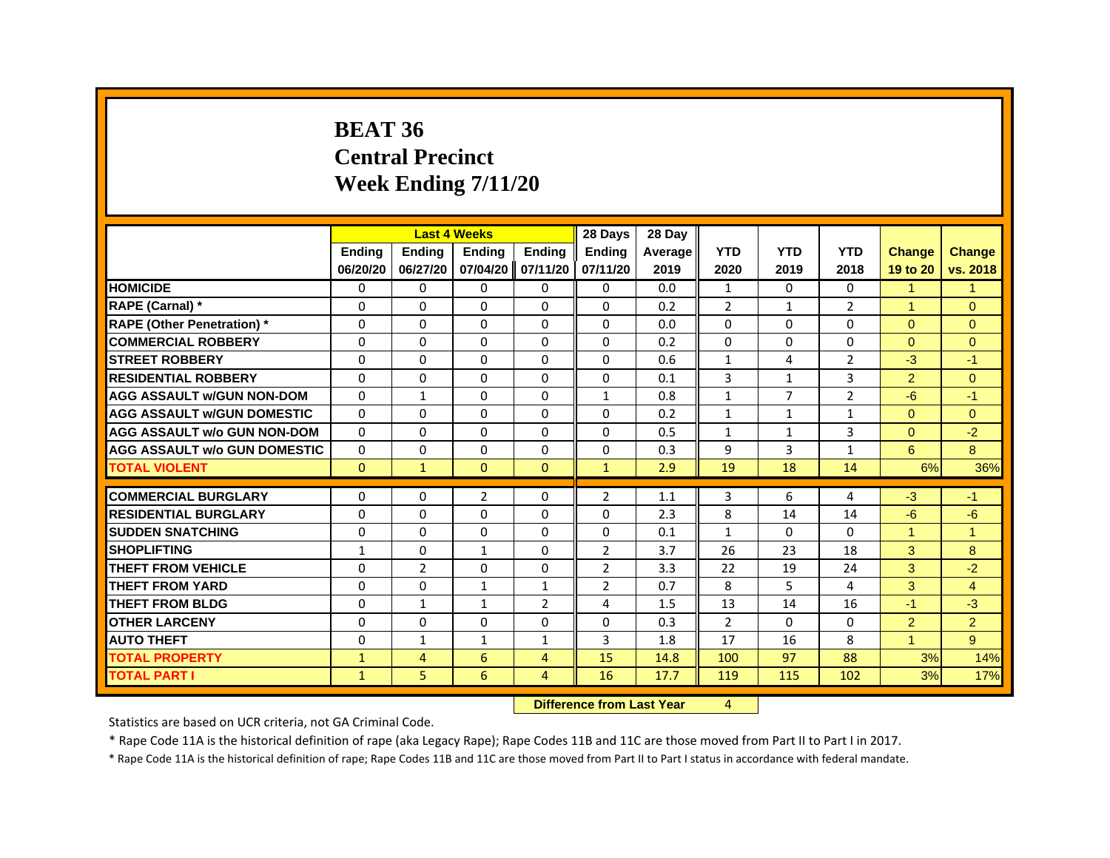#### **BEAT 36Central Precinct Week Ending 7/11/20**

|                                     |              |                | <b>Last 4 Weeks</b> |                   | 28 Days        | 28 Day                           |                |                |                |                      |                |
|-------------------------------------|--------------|----------------|---------------------|-------------------|----------------|----------------------------------|----------------|----------------|----------------|----------------------|----------------|
|                                     | Ending       | Ending         | Ending              | Ending            | Ending         | Average                          | <b>YTD</b>     | <b>YTD</b>     | <b>YTD</b>     | <b>Change</b>        | <b>Change</b>  |
|                                     | 06/20/20     | 06/27/20       |                     | 07/04/20 07/11/20 | 07/11/20       | 2019                             | 2020           | 2019           | 2018           | 19 to 20             | vs. 2018       |
| <b>HOMICIDE</b>                     | 0            | $\Omega$       | $\mathbf{0}$        | $\Omega$          | $\Omega$       | 0.0                              | $\mathbf{1}$   | $\Omega$       | $\Omega$       | $\mathbf{1}$         | $\mathbf{1}$   |
| RAPE (Carnal) *                     | 0            | 0              | 0                   | $\Omega$          | $\Omega$       | 0.2                              | $\overline{2}$ | $\mathbf{1}$   | $\overline{2}$ | $\blacktriangleleft$ | $\Omega$       |
| <b>RAPE (Other Penetration)</b> *   | $\mathbf 0$  | 0              | $\Omega$            | 0                 | $\Omega$       | 0.0                              | $\Omega$       | $\Omega$       | $\Omega$       | $\Omega$             | $\Omega$       |
| <b>COMMERCIAL ROBBERY</b>           | $\Omega$     | $\Omega$       | $\Omega$            | $\Omega$          | $\mathbf{0}$   | 0.2                              | $\Omega$       | $\Omega$       | $\Omega$       | $\Omega$             | $\Omega$       |
| <b>STREET ROBBERY</b>               | $\Omega$     | $\Omega$       | 0                   | $\Omega$          | $\Omega$       | 0.6                              | $\mathbf{1}$   | 4              | $\overline{2}$ | $-3$                 | $-1$           |
| <b>RESIDENTIAL ROBBERY</b>          | $\Omega$     | 0              | 0                   | 0                 | 0              | 0.1                              | 3              | 1              | 3              | $\overline{2}$       | $\overline{0}$ |
| <b>AGG ASSAULT w/GUN NON-DOM</b>    | $\Omega$     | $\mathbf{1}$   | $\Omega$            | $\Omega$          | $\mathbf{1}$   | 0.8                              | $\mathbf{1}$   | $\overline{7}$ | $\overline{2}$ | $-6$                 | $-1$           |
| <b>AGG ASSAULT w/GUN DOMESTIC</b>   | $\Omega$     | $\Omega$       | $\Omega$            | $\Omega$          | $\Omega$       | 0.2                              | $\mathbf{1}$   | $\mathbf{1}$   | $\mathbf{1}$   | $\Omega$             | $\Omega$       |
| <b>AGG ASSAULT w/o GUN NON-DOM</b>  | $\Omega$     | 0              | 0                   | $\Omega$          | $\Omega$       | 0.5                              | $\mathbf{1}$   | $\mathbf{1}$   | 3              | $\Omega$             | $-2$           |
| <b>AGG ASSAULT W/o GUN DOMESTIC</b> | $\Omega$     | 0              | $\Omega$            | $\Omega$          | $\Omega$       | 0.3                              | 9              | 3              | $\mathbf{1}$   | 6                    | 8              |
| <b>TOTAL VIOLENT</b>                | $\Omega$     | $\mathbf{1}$   | $\Omega$            | $\mathbf{0}$      | $\mathbf{1}$   | 2.9                              | 19             | 18             | 14             | 6%                   | 36%            |
| <b>COMMERCIAL BURGLARY</b>          | $\Omega$     | 0              | $\overline{2}$      | $\Omega$          | $\overline{2}$ | 1.1                              | 3              | 6              | 4              | $-3$                 | $-1$           |
| <b>RESIDENTIAL BURGLARY</b>         | $\Omega$     | $\Omega$       | 0                   | $\Omega$          | $\Omega$       | 2.3                              | 8              | 14             | 14             | $-6$                 | $-6$           |
| <b>SUDDEN SNATCHING</b>             | $\Omega$     | $\Omega$       | $\Omega$            | $\mathbf{0}$      | $\mathbf{0}$   | 0.1                              | $\mathbf{1}$   | $\Omega$       | $\Omega$       | $\overline{1}$       | $\overline{1}$ |
| <b>SHOPLIFTING</b>                  | $\mathbf{1}$ | $\Omega$       | $\mathbf{1}$        | $\Omega$          | $\overline{2}$ | 3.7                              | 26             | 23             | 18             | 3                    | 8              |
| <b>THEFT FROM VEHICLE</b>           | $\Omega$     | $\overline{2}$ | $\Omega$            | $\Omega$          | $\overline{2}$ | 3.3                              | 22             | 19             | 24             | 3                    | $-2$           |
| <b>THEFT FROM YARD</b>              | $\mathbf 0$  | 0              | $\mathbf{1}$        | $\mathbf{1}$      | $\overline{2}$ | 0.7                              | 8              | 5              | 4              | 3                    | $\overline{4}$ |
| <b>THEFT FROM BLDG</b>              | $\Omega$     | $\mathbf{1}$   | $\mathbf{1}$        | $\overline{2}$    | 4              | 1.5                              | 13             | 14             | 16             | $-1$                 | $-3$           |
| <b>OTHER LARCENY</b>                | $\Omega$     | $\Omega$       | $\Omega$            | $\Omega$          | $\Omega$       | 0.3                              | $\overline{2}$ | $\Omega$       | $\Omega$       | $\overline{2}$       | $\overline{2}$ |
| <b>AUTO THEFT</b>                   | $\Omega$     | $\mathbf{1}$   | $\mathbf{1}$        | $\mathbf{1}$      | 3              | 1.8                              | 17             | 16             | 8              | $\overline{1}$       | 9              |
| <b>TOTAL PROPERTY</b>               | $\mathbf{1}$ | $\overline{4}$ | 6                   | $\overline{4}$    | 15             | 14.8                             | 100            | 97             | 88             | 3%                   | 14%            |
| <b>TOTAL PART I</b>                 | $\mathbf{1}$ | 5              | 6                   | $\overline{4}$    | 16             | 17.7                             | 119            | 115            | 102            | 3%                   | 17%            |
|                                     |              |                |                     |                   |                | <b>Difference from Last Year</b> | 4              |                |                |                      |                |

 **Difference from Last Year**

Statistics are based on UCR criteria, not GA Criminal Code.

\* Rape Code 11A is the historical definition of rape (aka Legacy Rape); Rape Codes 11B and 11C are those moved from Part II to Part I in 2017.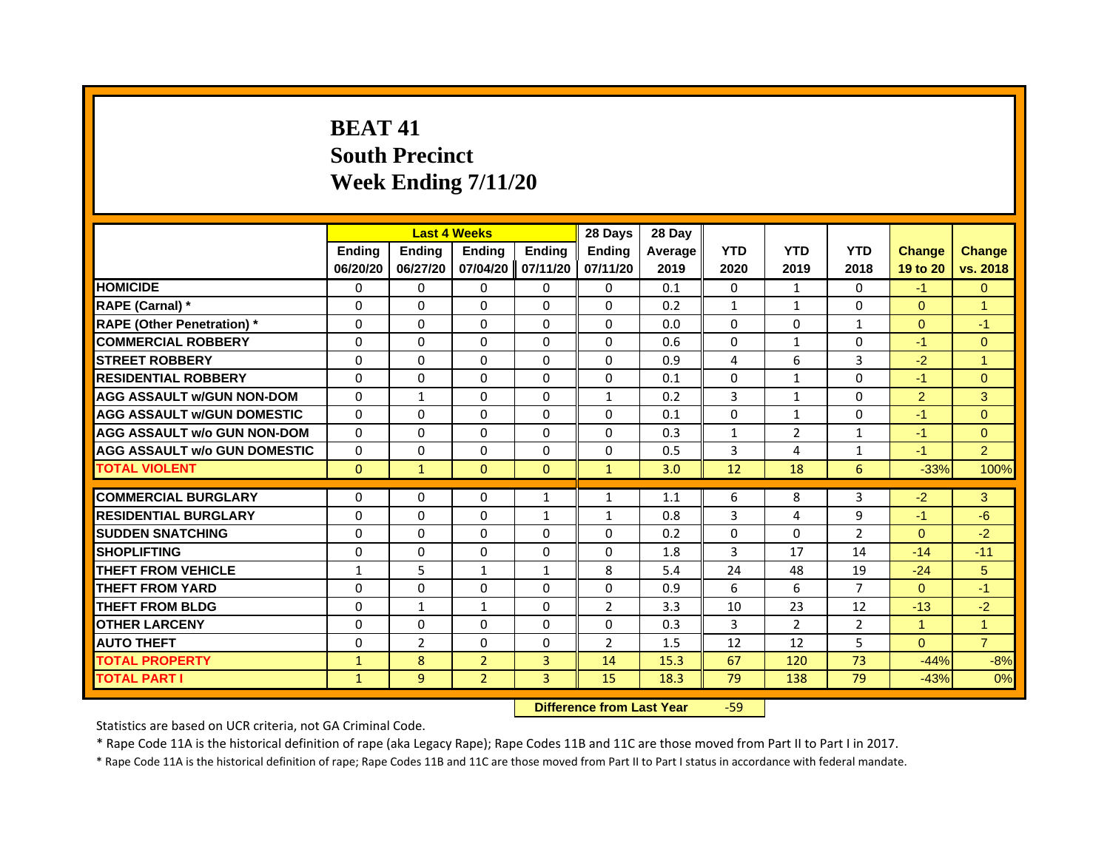# **BEAT 41South Precinct Week Ending 7/11/20**

|                                     |              |                | <b>Last 4 Weeks</b> |               | 28 Days        | 28 Day  |              |                |                |                      |                |
|-------------------------------------|--------------|----------------|---------------------|---------------|----------------|---------|--------------|----------------|----------------|----------------------|----------------|
|                                     | Ending       | <b>Endina</b>  | <b>Endina</b>       | <b>Ending</b> | <b>Endina</b>  | Average | <b>YTD</b>   | <b>YTD</b>     | <b>YTD</b>     | <b>Change</b>        | <b>Change</b>  |
|                                     | 06/20/20     | 06/27/20       | 07/04/20            | 07/11/20      | 07/11/20       | 2019    | 2020         | 2019           | 2018           | 19 to 20             | vs. 2018       |
| <b>HOMICIDE</b>                     | 0            | $\mathbf{0}$   | 0                   | $\mathbf{0}$  | 0              | 0.1     | $\Omega$     | $\mathbf{1}$   | 0              | $-1$                 | $\mathbf{0}$   |
| RAPE (Carnal) *                     | $\Omega$     | $\Omega$       | $\Omega$            | $\Omega$      | $\Omega$       | 0.2     | $\mathbf{1}$ | $\mathbf{1}$   | $\Omega$       | $\Omega$             | $\overline{1}$ |
| <b>RAPE (Other Penetration)</b> *   | 0            | 0              | 0                   | $\Omega$      | $\mathbf{0}$   | 0.0     | $\Omega$     | 0              | $\mathbf{1}$   | $\Omega$             | $-1$           |
| <b>COMMERCIAL ROBBERY</b>           | 0            | $\Omega$       | 0                   | $\Omega$      | $\Omega$       | 0.6     | $\Omega$     | 1              | $\Omega$       | $-1$                 | $\Omega$       |
| <b>STREET ROBBERY</b>               | $\Omega$     | $\Omega$       | $\Omega$            | $\Omega$      | $\Omega$       | 0.9     | 4            | 6              | 3              | $-2$                 | 1              |
| <b>RESIDENTIAL ROBBERY</b>          | $\Omega$     | $\Omega$       | 0                   | $\Omega$      | $\Omega$       | 0.1     | $\Omega$     | $\mathbf{1}$   | $\Omega$       | $-1$                 | $\Omega$       |
| <b>AGG ASSAULT w/GUN NON-DOM</b>    | $\Omega$     | $\mathbf{1}$   | $\Omega$            | $\Omega$      | $\mathbf{1}$   | 0.2     | 3            | $\mathbf{1}$   | $\Omega$       | 2                    | 3              |
| <b>AGG ASSAULT W/GUN DOMESTIC</b>   | $\Omega$     | $\Omega$       | $\Omega$            | $\Omega$      | $\mathbf{0}$   | 0.1     | $\Omega$     | $\mathbf{1}$   | $\Omega$       | $-1$                 | $\Omega$       |
| <b>AGG ASSAULT w/o GUN NON-DOM</b>  | $\Omega$     | $\Omega$       | 0                   | 0             | $\Omega$       | 0.3     | $\mathbf{1}$ | 2              | $\mathbf{1}$   | $-1$                 | $\mathbf{0}$   |
| <b>AGG ASSAULT w/o GUN DOMESTIC</b> | $\Omega$     | 0              | 0                   | $\Omega$      | 0              | 0.5     | 3            | 4              | $\mathbf{1}$   | $-1$                 | $\overline{2}$ |
| <b>TOTAL VIOLENT</b>                | $\mathbf{0}$ | $\mathbf{1}$   | $\mathbf{0}$        | $\Omega$      | $\mathbf{1}$   | 3.0     | 12           | 18             | 6              | $-33%$               | 100%           |
|                                     |              |                |                     |               |                |         |              |                |                |                      |                |
| <b>COMMERCIAL BURGLARY</b>          | 0            | 0              | 0                   | 1             | $\mathbf{1}$   | 1.1     | 6            | 8              | 3              | $-2$                 | 3              |
| <b>RESIDENTIAL BURGLARY</b>         | $\Omega$     | $\Omega$       | 0                   | 1             | $\mathbf{1}$   | 0.8     | 3            | 4              | 9              | $-1$                 | $-6$           |
| <b>SUDDEN SNATCHING</b>             | 0            | 0              | 0                   | $\Omega$      | 0              | 0.2     | 0            | 0              | $\overline{2}$ | $\Omega$             | $-2$           |
| <b>SHOPLIFTING</b>                  | $\Omega$     | $\Omega$       | $\Omega$            | $\Omega$      | $\Omega$       | 1.8     | 3            | 17             | 14             | $-14$                | $-11$          |
| <b>THEFT FROM VEHICLE</b>           | $\mathbf{1}$ | 5              | $\mathbf{1}$        | $\mathbf{1}$  | 8              | 5.4     | 24           | 48             | 19             | $-24$                | 5              |
| <b>THEFT FROM YARD</b>              | 0            | $\Omega$       | $\Omega$            | 0             | $\Omega$       | 0.9     | 6            | 6              | $\overline{7}$ | $\Omega$             | $-1$           |
| <b>THEFT FROM BLDG</b>              | $\Omega$     | $\mathbf{1}$   | $\mathbf{1}$        | $\Omega$      | $\overline{2}$ | 3.3     | 10           | 23             | 12             | $-13$                | $-2$           |
| <b>OTHER LARCENY</b>                | $\Omega$     | $\Omega$       | 0                   | $\Omega$      | $\mathbf{0}$   | 0.3     | 3            | $\overline{2}$ | 2              | $\blacktriangleleft$ | $\mathbf{1}$   |
| <b>AUTO THEFT</b>                   | $\Omega$     | $\overline{2}$ | $\Omega$            | $\Omega$      | $\overline{2}$ | 1.5     | 12           | 12             | 5              | $\Omega$             | $\overline{7}$ |
| <b>TOTAL PROPERTY</b>               | $\mathbf{1}$ | 8              | $\overline{2}$      | 3             | 14             | 15.3    | 67           | 120            | 73             | $-44%$               | $-8%$          |
| <b>TOTAL PART I</b>                 | $\mathbf{1}$ | 9              | $\overline{2}$      | 3             | 15             | 18.3    | 79           | 138            | 79             | $-43%$               | 0%             |

 **Difference from Last Year**‐59

Statistics are based on UCR criteria, not GA Criminal Code.

\* Rape Code 11A is the historical definition of rape (aka Legacy Rape); Rape Codes 11B and 11C are those moved from Part II to Part I in 2017.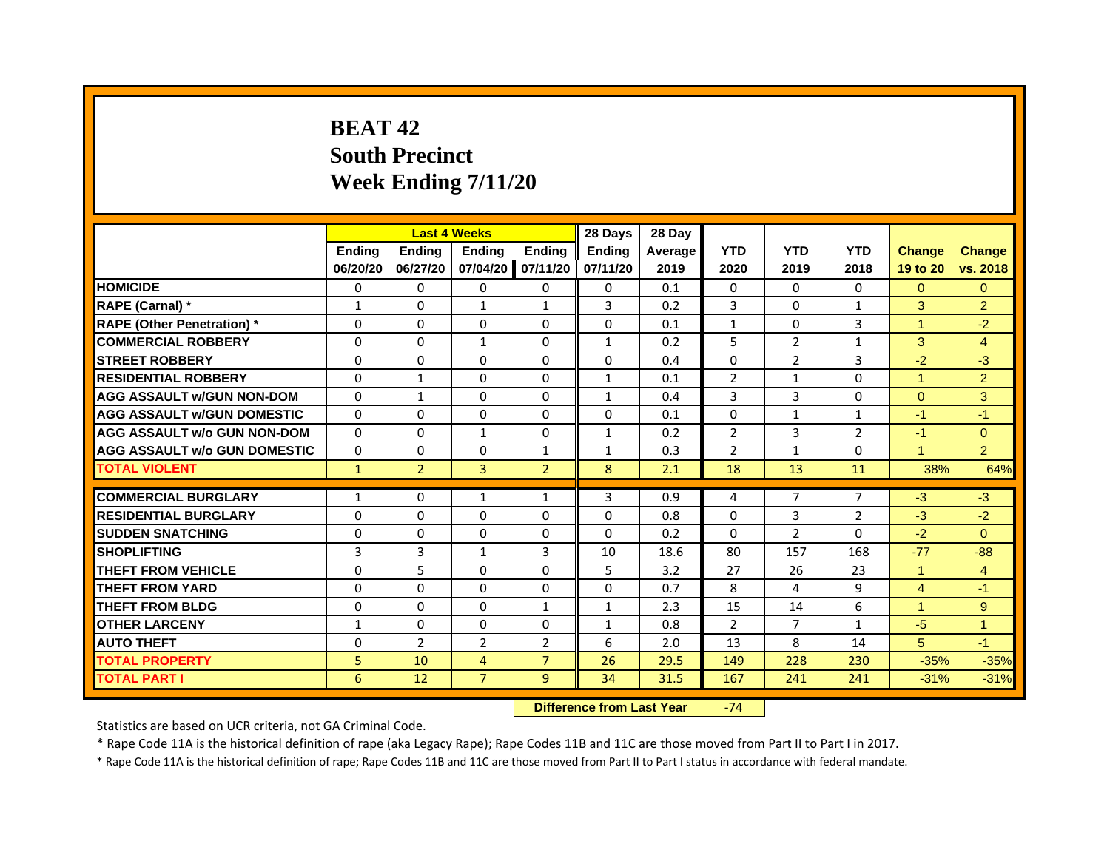# **BEAT 42South Precinct Week Ending 7/11/20**

|                                     |               | <b>Last 4 Weeks</b> |                |                   | 28 Days       | 28 Day         |                |                |                |               |                |
|-------------------------------------|---------------|---------------------|----------------|-------------------|---------------|----------------|----------------|----------------|----------------|---------------|----------------|
|                                     | <b>Endina</b> | <b>Endina</b>       | <b>Endina</b>  | <b>Endina</b>     | <b>Endina</b> | <b>Average</b> | <b>YTD</b>     | <b>YTD</b>     | <b>YTD</b>     | <b>Change</b> | <b>Change</b>  |
|                                     | 06/20/20      | 06/27/20            |                | 07/04/20 07/11/20 | 07/11/20      | 2019           | 2020           | 2019           | 2018           | 19 to 20      | vs. 2018       |
| <b>HOMICIDE</b>                     | 0             | 0                   | 0              | 0                 | 0             | 0.1            | 0              | 0              | 0              | $\Omega$      | $\Omega$       |
| RAPE (Carnal) *                     | $\mathbf{1}$  | $\Omega$            | $\mathbf{1}$   | $\mathbf{1}$      | 3             | 0.2            | 3              | $\Omega$       | $\mathbf{1}$   | 3             | $\overline{2}$ |
| <b>RAPE (Other Penetration) *</b>   | $\Omega$      | $\Omega$            | $\Omega$       | $\Omega$          | $\Omega$      | 0.1            | $\mathbf{1}$   | 0              | 3              | 1             | $-2$           |
| <b>COMMERCIAL ROBBERY</b>           | $\Omega$      | $\Omega$            | $\mathbf{1}$   | 0                 | $\mathbf{1}$  | 0.2            | 5              | $\overline{2}$ | 1              | 3             | 4              |
| <b>STREET ROBBERY</b>               | $\Omega$      | $\Omega$            | $\Omega$       | $\Omega$          | $\Omega$      | 0.4            | $\Omega$       | $\overline{2}$ | 3              | $-2$          | $-3$           |
| <b>RESIDENTIAL ROBBERY</b>          | 0             | $\mathbf{1}$        | 0              | $\Omega$          | $\mathbf{1}$  | 0.1            | $\overline{2}$ | $\mathbf{1}$   | $\Omega$       | 1             | $\overline{2}$ |
| <b>AGG ASSAULT w/GUN NON-DOM</b>    | $\Omega$      | $\mathbf{1}$        | $\Omega$       | $\Omega$          | $\mathbf{1}$  | 0.4            | 3              | 3              | $\Omega$       | $\Omega$      | 3              |
| <b>AGG ASSAULT W/GUN DOMESTIC</b>   | $\Omega$      | $\Omega$            | $\Omega$       | $\Omega$          | $\Omega$      | 0.1            | $\Omega$       | $\mathbf{1}$   | $\mathbf{1}$   | $-1$          | $-1$           |
| <b>AGG ASSAULT w/o GUN NON-DOM</b>  | $\Omega$      | $\Omega$            | 1              | $\Omega$          | $\mathbf{1}$  | 0.2            | $\overline{2}$ | 3              | $\overline{2}$ | $-1$          | $\Omega$       |
| <b>AGG ASSAULT W/o GUN DOMESTIC</b> | $\Omega$      | $\Omega$            | $\Omega$       | 1                 | 1             | 0.3            | $\overline{2}$ | 1              | $\Omega$       | 1             | $\overline{2}$ |
| <b>TOTAL VIOLENT</b>                | $\mathbf{1}$  | $\overline{2}$      | 3              | $\overline{2}$    | 8             | 2.1            | 18             | 13             | 11             | 38%           | 64%            |
|                                     |               |                     |                |                   |               |                |                |                |                |               |                |
| <b>COMMERCIAL BURGLARY</b>          | 1             | $\Omega$            | 1              | $\mathbf{1}$      | 3             | 0.9            | 4              | $\overline{7}$ | 7              | $-3$          | $-3$           |
| <b>RESIDENTIAL BURGLARY</b>         | $\Omega$      | 0                   | $\Omega$       | $\Omega$          | $\Omega$      | 0.8            | $\Omega$       | 3              | $\overline{2}$ | $-3$          | $-2$           |
| <b>SUDDEN SNATCHING</b>             | $\Omega$      | $\Omega$            | $\Omega$       | $\Omega$          | $\Omega$      | 0.2            | $\Omega$       | 2              | 0              | $-2$          | $\Omega$       |
| <b>SHOPLIFTING</b>                  | 3             | 3                   | $\mathbf{1}$   | 3                 | 10            | 18.6           | 80             | 157            | 168            | $-77$         | $-88$          |
| <b>THEFT FROM VEHICLE</b>           | $\Omega$      | 5                   | $\Omega$       | $\Omega$          | 5             | 3.2            | 27             | 26             | 23             | 1             | $\overline{4}$ |
| <b>THEFT FROM YARD</b>              | $\Omega$      | $\Omega$            | $\Omega$       | $\Omega$          | $\Omega$      | 0.7            | 8              | 4              | 9              | 4             | $-1$           |
| <b>THEFT FROM BLDG</b>              | 0             | 0                   | 0              | $\mathbf{1}$      | 1             | 2.3            | 15             | 14             | 6              | 1             | 9              |
| <b>OTHER LARCENY</b>                | $\mathbf{1}$  | 0                   | 0              | $\Omega$          | $\mathbf{1}$  | 0.8            | 2              | $\overline{7}$ | 1              | $-5$          | $\mathbf{1}$   |
| <b>AUTO THEFT</b>                   | $\Omega$      | $\overline{2}$      | $\overline{2}$ | 2                 | 6             | 2.0            | 13             | 8              | 14             | 5             | $-1$           |
| <b>TOTAL PROPERTY</b>               | 5             | 10                  | $\overline{4}$ | $\overline{7}$    | 26            | 29.5           | 149            | 228            | 230            | $-35%$        | $-35%$         |
| <b>TOTAL PART I</b>                 | 6             | 12                  | $\overline{7}$ | 9                 | 34            | 31.5           | 167            | 241            | 241            | $-31%$        | $-31%$         |

 **Difference from Last Year**‐74

Statistics are based on UCR criteria, not GA Criminal Code.

\* Rape Code 11A is the historical definition of rape (aka Legacy Rape); Rape Codes 11B and 11C are those moved from Part II to Part I in 2017.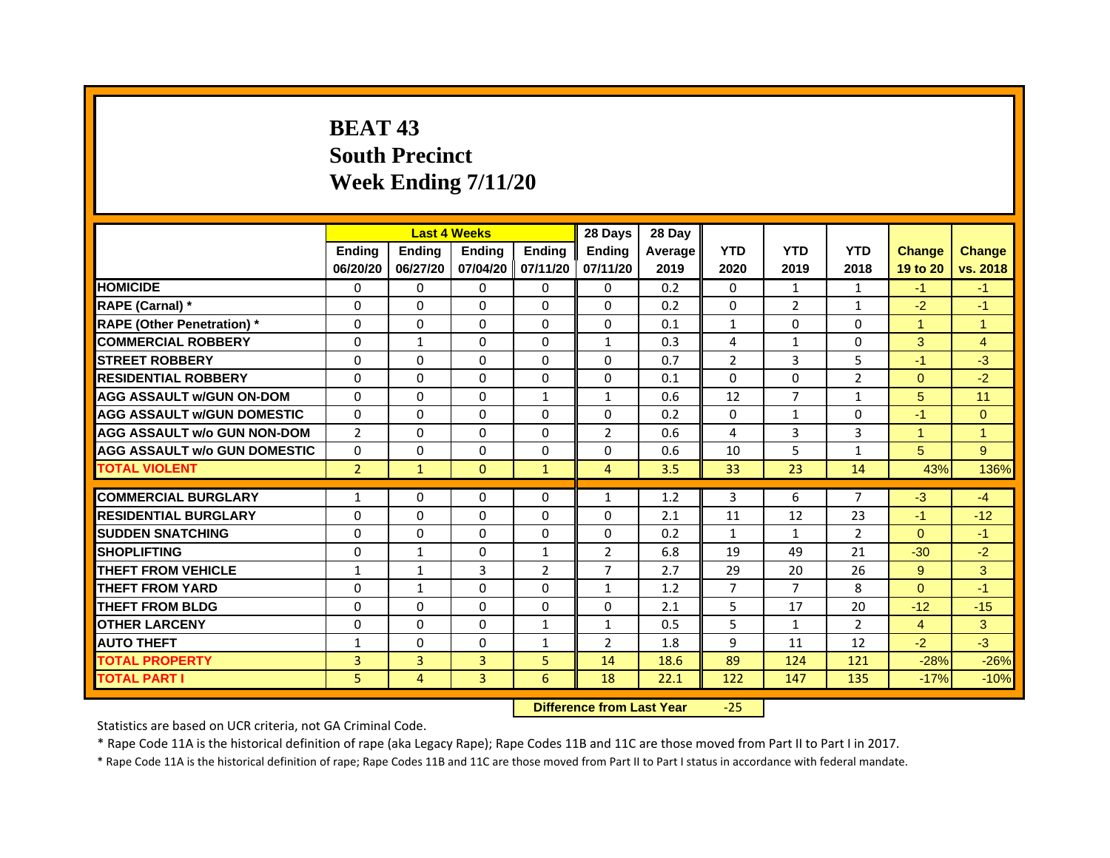# **BEAT 43South PrecinctWeek Ending 7/11/20**

|                                     |                |               | <b>Last 4 Weeks</b> |                   | 28 Days        | 28 Day  |                |                |                |                |                |
|-------------------------------------|----------------|---------------|---------------------|-------------------|----------------|---------|----------------|----------------|----------------|----------------|----------------|
|                                     | <b>Endina</b>  | <b>Endina</b> | <b>Endina</b>       | <b>Ending</b>     | <b>Endina</b>  | Average | <b>YTD</b>     | <b>YTD</b>     | <b>YTD</b>     | <b>Change</b>  | <b>Change</b>  |
|                                     | 06/20/20       | 06/27/20      |                     | 07/04/20 07/11/20 | 07/11/20       | 2019    | 2020           | 2019           | 2018           | 19 to 20       | vs. 2018       |
| <b>HOMICIDE</b>                     | 0              | 0             | $\mathbf{0}$        | 0                 | 0              | 0.2     | $\mathbf{0}$   | 1              | 1              | $-1$           | $-1$           |
| RAPE (Carnal) *                     | $\Omega$       | $\Omega$      | $\Omega$            | $\Omega$          | $\Omega$       | 0.2     | $\Omega$       | 2              | $\mathbf{1}$   | $-2$           | $-1$           |
| <b>RAPE (Other Penetration)</b> *   | 0              | $\Omega$      | $\Omega$            | $\mathbf{0}$      | 0              | 0.1     | $\mathbf{1}$   | $\Omega$       | $\Omega$       | 1              | $\overline{1}$ |
| <b>COMMERCIAL ROBBERY</b>           | 0              | 1             | $\Omega$            | 0                 | $\mathbf{1}$   | 0.3     | 4              | $\mathbf{1}$   | $\Omega$       | 3              | 4              |
| <b>STREET ROBBERY</b>               | 0              | 0             | 0                   | 0                 | 0              | 0.7     | $\overline{2}$ | 3              | 5              | $-1$           | $-3$           |
| <b>RESIDENTIAL ROBBERY</b>          | 0              | $\Omega$      | $\Omega$            | $\Omega$          | $\Omega$       | 0.1     | $\Omega$       | $\Omega$       | $\overline{2}$ | $\Omega$       | $-2$           |
| <b>AGG ASSAULT w/GUN ON-DOM</b>     | $\Omega$       | $\mathbf 0$   | $\Omega$            | $\mathbf{1}$      | $\mathbf{1}$   | 0.6     | 12             | $\overline{7}$ | $\mathbf{1}$   | 5              | 11             |
| <b>AGG ASSAULT W/GUN DOMESTIC</b>   | 0              | $\Omega$      | $\Omega$            | 0                 | 0              | 0.2     | $\Omega$       | $\mathbf{1}$   | $\Omega$       | $-1$           | $\Omega$       |
| <b>AGG ASSAULT w/o GUN NON-DOM</b>  | $\overline{2}$ | 0             | $\Omega$            | $\Omega$          | $\overline{2}$ | 0.6     | 4              | 3              | 3              | 1              | 1              |
| <b>AGG ASSAULT w/o GUN DOMESTIC</b> | $\Omega$       | $\Omega$      | 0                   | $\Omega$          | 0              | 0.6     | 10             | 5              | $\mathbf{1}$   | 5              | 9              |
| <b>TOTAL VIOLENT</b>                | $\overline{2}$ | $\mathbf{1}$  | $\mathbf{0}$        | $\mathbf{1}$      | $\overline{4}$ | 3.5     | 33             | 23             | 14             | 43%            | 136%           |
|                                     |                |               |                     |                   |                |         |                |                |                |                |                |
| <b>COMMERCIAL BURGLARY</b>          | 1              | 0             | $\Omega$            | 0                 | $\mathbf{1}$   | 1.2     | 3              | 6              | $\overline{7}$ | $-3$           | $-4$           |
| <b>RESIDENTIAL BURGLARY</b>         | 0              | $\Omega$      | $\Omega$            | $\Omega$          | $\Omega$       | 2.1     | 11             | 12             | 23             | $-1$           | $-12$          |
| <b>SUDDEN SNATCHING</b>             | 0              | 0             | $\Omega$            | 0                 | 0              | 0.2     | $\mathbf{1}$   | $\mathbf{1}$   | $\overline{2}$ | $\Omega$       | $-1$           |
| <b>SHOPLIFTING</b>                  | $\mathbf 0$    | $\mathbf{1}$  | $\Omega$            | $\mathbf{1}$      | $\overline{2}$ | 6.8     | 19             | 49             | 21             | $-30$          | $-2$           |
| <b>THEFT FROM VEHICLE</b>           | $\mathbf{1}$   | $\mathbf{1}$  | 3                   | $\overline{2}$    | $\overline{7}$ | 2.7     | 29             | 20             | 26             | 9              | 3              |
| <b>THEFT FROM YARD</b>              | $\Omega$       | $\mathbf{1}$  | $\Omega$            | $\Omega$          | $\mathbf{1}$   | 1.2     | $\overline{7}$ | $\overline{7}$ | 8              | $\Omega$       | $-1$           |
| <b>THEFT FROM BLDG</b>              | 0              | 0             | 0                   | 0                 | 0              | 2.1     | 5              | 17             | 20             | $-12$          | $-15$          |
| <b>OTHER LARCENY</b>                | 0              | 0             | $\Omega$            | $\mathbf{1}$      | $\mathbf{1}$   | 0.5     | 5              | $\mathbf{1}$   | $\mathcal{P}$  | $\overline{4}$ | 3              |
| <b>AUTO THEFT</b>                   | $\mathbf{1}$   | 0             | $\Omega$            | $\mathbf{1}$      | $\overline{2}$ | 1.8     | 9              | 11             | 12             | $-2$           | $-3$           |
| <b>TOTAL PROPERTY</b>               | 3              | 3             | 3                   | 5                 | 14             | 18.6    | 89             | 124            | 121            | $-28%$         | $-26%$         |
| <b>TOTAL PART I</b>                 | 5              | 4             | 3                   | 6                 | 18             | 22.1    | 122            | 147            | 135            | $-17%$         | $-10%$         |

 **Difference from Last Year**‐25

Statistics are based on UCR criteria, not GA Criminal Code.

\* Rape Code 11A is the historical definition of rape (aka Legacy Rape); Rape Codes 11B and 11C are those moved from Part II to Part I in 2017.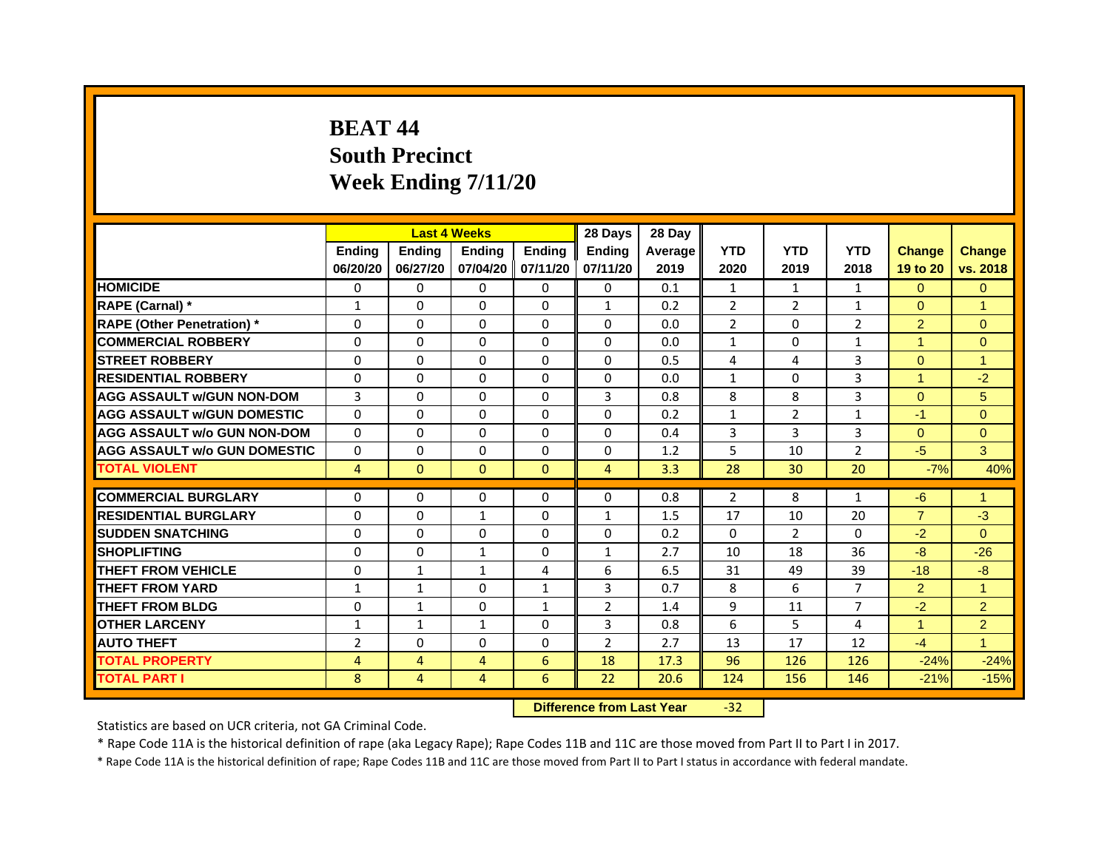# **BEAT 44South Precinct Week Ending 7/11/20**

|                                     |                | <b>Last 4 Weeks</b> |                   |               | 28 Days        | 28 Day  |                |                |                |                |                |
|-------------------------------------|----------------|---------------------|-------------------|---------------|----------------|---------|----------------|----------------|----------------|----------------|----------------|
|                                     | <b>Endina</b>  | <b>Endina</b>       | <b>Endina</b>     | <b>Endina</b> | <b>Endina</b>  | Average | <b>YTD</b>     | <b>YTD</b>     | <b>YTD</b>     | <b>Change</b>  | <b>Change</b>  |
|                                     | 06/20/20       | 06/27/20            | 07/04/20 07/11/20 |               | 07/11/20       | 2019    | 2020           | 2019           | 2018           | 19 to 20       | vs. 2018       |
| <b>HOMICIDE</b>                     | 0              | $\Omega$            | 0                 | 0             | $\Omega$       | 0.1     | $\mathbf{1}$   | $\mathbf{1}$   | $\mathbf{1}$   | $\Omega$       | $\Omega$       |
| RAPE (Carnal) *                     | $\mathbf{1}$   | $\Omega$            | $\Omega$          | $\Omega$      | $\mathbf{1}$   | 0.2     | $\overline{2}$ | $\overline{2}$ | $\mathbf{1}$   | $\Omega$       | $\overline{1}$ |
| <b>RAPE (Other Penetration)</b> *   | $\Omega$       | $\Omega$            | $\Omega$          | $\Omega$      | $\Omega$       | 0.0     | $\overline{2}$ | $\Omega$       | $\overline{2}$ | $\overline{2}$ | $\Omega$       |
| <b>COMMERCIAL ROBBERY</b>           | 0              | 0                   | 0                 | 0             | 0              | 0.0     | 1              | 0              | 1              | 1              | $\mathbf{0}$   |
| <b>STREET ROBBERY</b>               | $\Omega$       | $\Omega$            | 0                 | 0             | 0              | 0.5     | 4              | 4              | 3              | $\Omega$       | 1              |
| <b>RESIDENTIAL ROBBERY</b>          | $\Omega$       | $\mathbf 0$         | $\Omega$          | 0             | $\Omega$       | 0.0     | $\mathbf{1}$   | $\Omega$       | 3              | $\overline{1}$ | $-2$           |
| <b>AGG ASSAULT w/GUN NON-DOM</b>    | 3              | $\Omega$            | $\mathbf 0$       | $\Omega$      | 3              | 0.8     | 8              | 8              | 3              | $\Omega$       | 5              |
| <b>AGG ASSAULT W/GUN DOMESTIC</b>   | $\Omega$       | $\Omega$            | $\Omega$          | $\Omega$      | 0              | 0.2     | $\mathbf{1}$   | $\overline{2}$ | $\mathbf{1}$   | $-1$           | $\Omega$       |
| <b>AGG ASSAULT w/o GUN NON-DOM</b>  | 0              | 0                   | 0                 | 0             | 0              | 0.4     | 3              | 3              | 3              | $\Omega$       | $\Omega$       |
| <b>AGG ASSAULT w/o GUN DOMESTIC</b> | 0              | 0                   | 0                 | 0             | 0              | 1.2     | 5              | 10             | $\overline{2}$ | $-5$           | 3              |
| <b>TOTAL VIOLENT</b>                | $\overline{4}$ | $\mathbf{0}$        | $\mathbf{0}$      | $\mathbf{0}$  | $\overline{4}$ | 3.3     | 28             | 30             | 20             | $-7%$          | 40%            |
|                                     |                |                     |                   |               |                |         |                |                |                |                |                |
| <b>COMMERCIAL BURGLARY</b>          | 0              | 0                   | 0                 | 0             | 0              | 0.8     | $\overline{2}$ | 8              | 1              | -6             | 1              |
| <b>RESIDENTIAL BURGLARY</b>         | $\Omega$       | 0                   | $\mathbf{1}$      | 0             | $\mathbf{1}$   | 1.5     | 17             | 10             | 20             | $\overline{7}$ | $-3$           |
| <b>SUDDEN SNATCHING</b>             | 0              | $\mathbf 0$         | 0                 | 0             | 0              | 0.2     | $\Omega$       | $\overline{2}$ | $\Omega$       | $-2$           | $\Omega$       |
| <b>SHOPLIFTING</b>                  | $\Omega$       | $\Omega$            | $\mathbf{1}$      | $\Omega$      | $\mathbf{1}$   | 2.7     | 10             | 18             | 36             | $-8$           | $-26$          |
| <b>THEFT FROM VEHICLE</b>           | $\Omega$       | $\mathbf{1}$        | $\mathbf{1}$      | 4             | 6              | 6.5     | 31             | 49             | 39             | $-18$          | $-8$           |
| <b>THEFT FROM YARD</b>              | $\mathbf{1}$   | 1                   | 0                 | $\mathbf{1}$  | 3              | 0.7     | 8              | 6              | 7              | $\overline{2}$ | 1              |
| <b>THEFT FROM BLDG</b>              | $\Omega$       | $\mathbf{1}$        | 0                 | $\mathbf{1}$  | $\overline{2}$ | 1.4     | 9              | 11             | $\overline{7}$ | $-2$           | $\overline{2}$ |
| <b>OTHER LARCENY</b>                | $\mathbf{1}$   | $\mathbf{1}$        | $\mathbf{1}$      | 0             | 3              | 0.8     | 6              | 5              | 4              | $\mathbf{1}$   | $\overline{2}$ |
| <b>AUTO THEFT</b>                   | $\overline{2}$ | $\Omega$            | 0                 | 0             | $\overline{2}$ | 2.7     | 13             | 17             | 12             | $-4$           | $\overline{1}$ |
| <b>TOTAL PROPERTY</b>               | 4              | 4                   | $\overline{4}$    | 6             | 18             | 17.3    | 96             | 126            | 126            | $-24%$         | $-24%$         |
| <b>TOTAL PART I</b>                 | 8              | 4                   | 4                 | 6             | 22             | 20.6    | 124            | 156            | 146            | $-21%$         | $-15%$         |

 **Difference from Last Year**‐32

Statistics are based on UCR criteria, not GA Criminal Code.

\* Rape Code 11A is the historical definition of rape (aka Legacy Rape); Rape Codes 11B and 11C are those moved from Part II to Part I in 2017.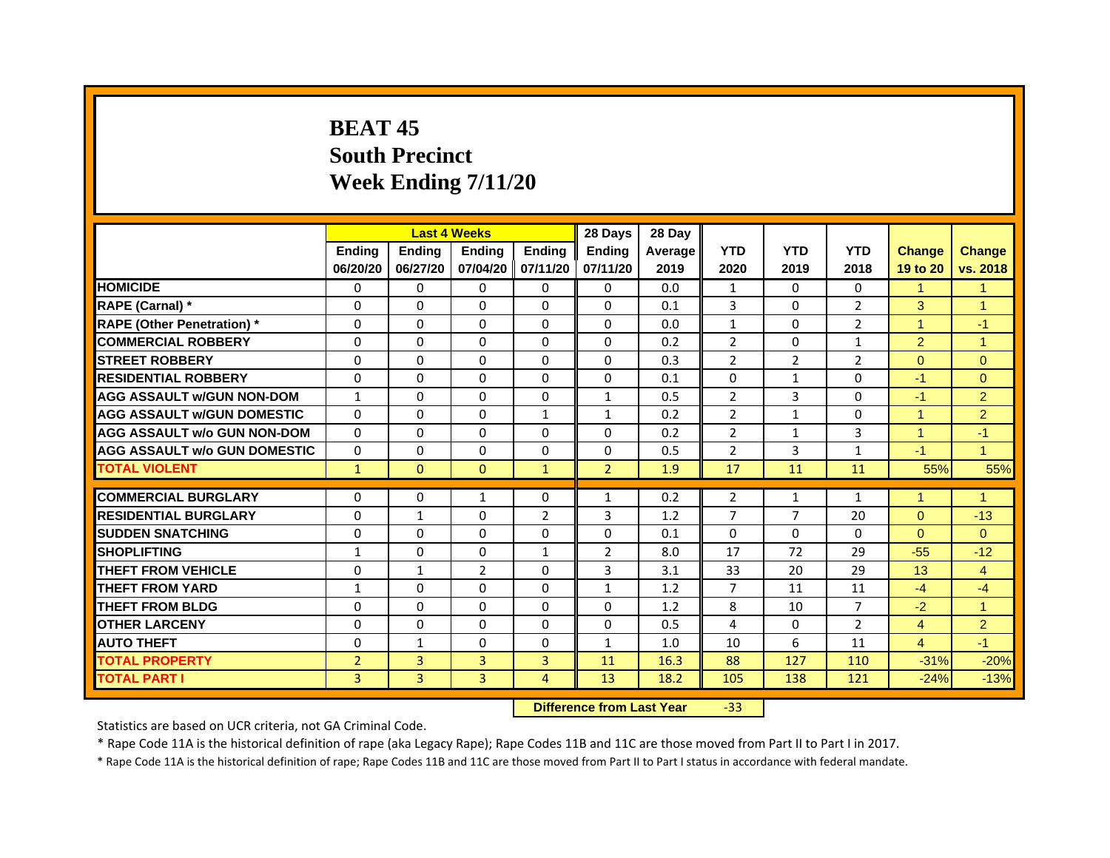# **BEAT 45South PrecinctWeek Ending 7/11/20**

|                                     |                | <b>Last 4 Weeks</b> |                |                   | 28 Days        | 28 Day  |                |                |                |                      |                |
|-------------------------------------|----------------|---------------------|----------------|-------------------|----------------|---------|----------------|----------------|----------------|----------------------|----------------|
|                                     | <b>Ending</b>  | <b>Endina</b>       | <b>Ending</b>  | <b>Ending</b>     | <b>Ending</b>  | Average | <b>YTD</b>     | <b>YTD</b>     | <b>YTD</b>     | <b>Change</b>        | <b>Change</b>  |
|                                     | 06/20/20       | 06/27/20            |                | 07/04/20 07/11/20 | 07/11/20       | 2019    | 2020           | 2019           | 2018           | 19 to 20             | vs. 2018       |
| <b>HOMICIDE</b>                     | $\Omega$       | $\Omega$            | $\Omega$       | $\Omega$          | 0              | 0.0     | 1              | $\Omega$       | $\Omega$       | 1                    | 1              |
| RAPE (Carnal) *                     | 0              | $\Omega$            | $\Omega$       | $\mathbf{0}$      | $\Omega$       | 0.1     | 3              | $\Omega$       | $\overline{2}$ | 3                    | $\overline{1}$ |
| <b>RAPE (Other Penetration)*</b>    | 0              | $\Omega$            | $\mathbf{0}$   | $\mathbf{0}$      | $\mathbf{0}$   | 0.0     | $\mathbf{1}$   | 0              | 2              | $\blacktriangleleft$ | $-1$           |
| <b>COMMERCIAL ROBBERY</b>           | 0              | 0                   | $\Omega$       | $\Omega$          | $\Omega$       | 0.2     | $\overline{2}$ | 0              | 1              | $\overline{2}$       | $\mathbf{1}$   |
| <b>STREET ROBBERY</b>               | 0              | 0                   | 0              | 0                 | 0              | 0.3     | $\overline{2}$ | 2              | $\overline{2}$ | $\Omega$             | $\mathbf{0}$   |
| <b>RESIDENTIAL ROBBERY</b>          | 0              | $\Omega$            | $\Omega$       | $\Omega$          | $\Omega$       | 0.1     | $\Omega$       | $\mathbf{1}$   | $\Omega$       | $-1$                 | $\Omega$       |
| <b>AGG ASSAULT w/GUN NON-DOM</b>    | $\mathbf{1}$   | $\Omega$            | $\Omega$       | $\mathbf{0}$      | $\mathbf{1}$   | 0.5     | $\overline{2}$ | $\overline{3}$ | $\Omega$       | $-1$                 | $\overline{2}$ |
| <b>AGG ASSAULT W/GUN DOMESTIC</b>   | $\Omega$       | 0                   | 0              | $\mathbf{1}$      | $\mathbf{1}$   | 0.2     | 2              | $\mathbf{1}$   | $\Omega$       | $\blacktriangleleft$ | 2              |
| <b>AGG ASSAULT w/o GUN NON-DOM</b>  | 0              | 0                   | $\Omega$       | $\Omega$          | $\Omega$       | 0.2     | $\overline{2}$ | 1              | 3              | 1                    | $-1$           |
| <b>AGG ASSAULT W/o GUN DOMESTIC</b> | 0              | 0                   | 0              | 0                 | 0              | 0.5     | $\overline{2}$ | 3              | $\mathbf{1}$   | $-1$                 | $\mathbf{1}$   |
| <b>TOTAL VIOLENT</b>                | $\mathbf{1}$   | $\mathbf{0}$        | $\mathbf{0}$   | $\mathbf{1}$      | $\overline{2}$ | 1.9     | 17             | 11             | 11             | 55%                  | 55%            |
|                                     |                |                     |                |                   |                |         |                |                |                |                      |                |
| <b>COMMERCIAL BURGLARY</b>          | 0              | 0                   | 1              | 0                 | 1              | 0.2     | 2              | 1              | 1              | 1                    | 1              |
| <b>RESIDENTIAL BURGLARY</b>         | 0              | 1                   | 0              | $\overline{2}$    | 3              | 1.2     | $\overline{7}$ | $\overline{7}$ | 20             | $\Omega$             | $-13$          |
| <b>SUDDEN SNATCHING</b>             | 0              | $\Omega$            | 0              | 0                 | 0              | 0.1     | $\Omega$       | $\Omega$       | 0              | $\Omega$             | $\Omega$       |
| <b>SHOPLIFTING</b>                  | $\mathbf{1}$   | $\Omega$            | $\Omega$       | $\mathbf{1}$      | $\overline{2}$ | 8.0     | 17             | 72             | 29             | $-55$                | $-12$          |
| <b>THEFT FROM VEHICLE</b>           | 0              | $\mathbf{1}$        | $\overline{2}$ | 0                 | 3              | 3.1     | 33             | 20             | 29             | 13                   | $\overline{4}$ |
| <b>THEFT FROM YARD</b>              | 1              | 0                   | $\Omega$       | $\Omega$          | 1              | 1.2     | 7              | 11             | 11             | $-4$                 | -4             |
| <b>THEFT FROM BLDG</b>              | 0              | $\Omega$            | $\Omega$       | 0                 | $\Omega$       | 1.2     | 8              | 10             | 7              | $-2$                 | $\overline{1}$ |
| <b>OTHER LARCENY</b>                | 0              | $\Omega$            | 0              | $\Omega$          | 0              | 0.5     | 4              | 0              | $\overline{2}$ | $\overline{4}$       | 2              |
| <b>AUTO THEFT</b>                   | $\Omega$       | $\mathbf{1}$        | $\Omega$       | $\mathbf{0}$      | $\mathbf{1}$   | 1.0     | 10             | 6              | 11             | $\overline{4}$       | $-1$           |
| <b>TOTAL PROPERTY</b>               | $\overline{2}$ | 3                   | 3              | 3                 | 11             | 16.3    | 88             | 127            | 110            | $-31%$               | $-20%$         |
| <b>TOTAL PART I</b>                 | 3              | 3                   | 3              | 4                 | 13             | 18.2    | 105            | 138            | 121            | $-24%$               | $-13%$         |

 **Difference from Last Year**‐33

Statistics are based on UCR criteria, not GA Criminal Code.

\* Rape Code 11A is the historical definition of rape (aka Legacy Rape); Rape Codes 11B and 11C are those moved from Part II to Part I in 2017.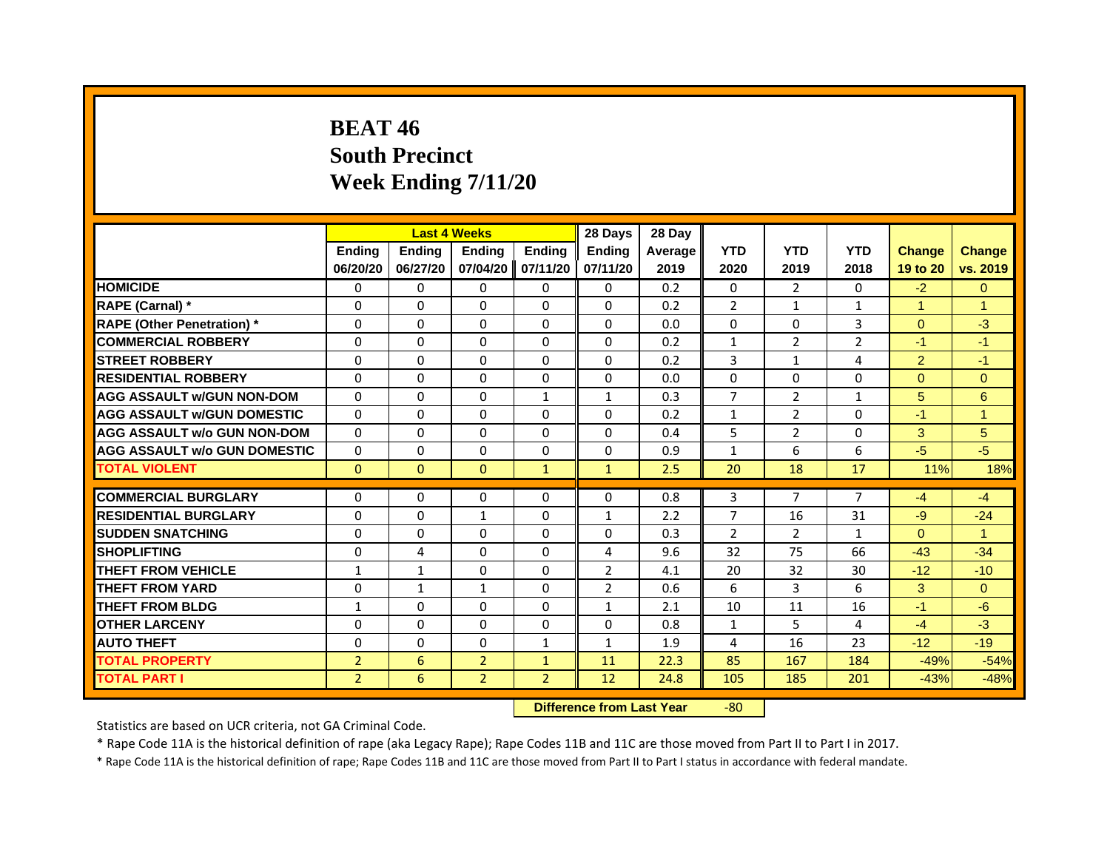# **BEAT 46South Precinct Week Ending 7/11/20**

|                                    |                | <b>Last 4 Weeks</b> |                |                | 28 Days        | 28 Day         |                |              |                |                |                |
|------------------------------------|----------------|---------------------|----------------|----------------|----------------|----------------|----------------|--------------|----------------|----------------|----------------|
|                                    | <b>Endina</b>  | <b>Endina</b>       | <b>Endina</b>  | <b>Endina</b>  | <b>Endina</b>  | <b>Average</b> | <b>YTD</b>     | <b>YTD</b>   | <b>YTD</b>     | <b>Change</b>  | <b>Change</b>  |
|                                    | 06/20/20       | 06/27/20            | 07/04/20       | 07/11/20       | 07/11/20       | 2019           | 2020           | 2019         | 2018           | 19 to 20       | vs. 2019       |
| <b>HOMICIDE</b>                    | 0              | $\Omega$            | $\Omega$       | $\Omega$       | 0              | 0.2            | 0              | 2            | $\Omega$       | $-2$           | $\mathbf{0}$   |
| RAPE (Carnal) *                    | $\Omega$       | $\Omega$            | $\Omega$       | $\Omega$       | $\Omega$       | 0.2            | $\overline{2}$ | $\mathbf{1}$ | 1              | $\overline{1}$ | $\overline{1}$ |
| <b>RAPE (Other Penetration)</b> *  | $\Omega$       | $\Omega$            | $\Omega$       | $\Omega$       | $\Omega$       | 0.0            | $\Omega$       | $\Omega$     | 3              | $\Omega$       | $-3$           |
| <b>COMMERCIAL ROBBERY</b>          | 0              | 0                   | 0              | 0              | 0              | 0.2            | $\mathbf{1}$   | 2            | $\overline{2}$ | $-1$           | $-1$           |
| <b>STREET ROBBERY</b>              | $\Omega$       | $\Omega$            | $\Omega$       | $\Omega$       | $\Omega$       | 0.2            | 3              | $\mathbf{1}$ | 4              | 2              | $-1$           |
| <b>RESIDENTIAL ROBBERY</b>         | 0              | 0                   | 0              | $\Omega$       | 0              | 0.0            | $\Omega$       | 0            | 0              | $\Omega$       | $\mathbf{0}$   |
| <b>AGG ASSAULT w/GUN NON-DOM</b>   | $\Omega$       | $\Omega$            | $\Omega$       | $\mathbf{1}$   | $\mathbf{1}$   | 0.3            | $\overline{7}$ | 2            | $\mathbf{1}$   | 5              | 6              |
| <b>AGG ASSAULT W/GUN DOMESTIC</b>  | $\Omega$       | $\Omega$            | $\Omega$       | $\Omega$       | $\Omega$       | 0.2            | $\mathbf{1}$   | 2            | $\Omega$       | $-1$           | 1              |
| <b>AGG ASSAULT w/o GUN NON-DOM</b> | 0              | $\Omega$            | 0              | 0              | $\Omega$       | 0.4            | 5              | 2            | 0              | 3              | 5              |
| AGG ASSAULT w/o GUN DOMESTIC       | $\Omega$       | 0                   | $\Omega$       | $\Omega$       | $\Omega$       | 0.9            | $\mathbf{1}$   | 6            | 6              | $-5$           | $-5$           |
| <b>TOTAL VIOLENT</b>               | $\mathbf{0}$   | $\mathbf{0}$        | $\mathbf{0}$   | $\mathbf{1}$   | $\mathbf{1}$   | 2.5            | 20             | 18           | 17             | 11%            | 18%            |
|                                    |                |                     |                |                |                |                |                |              |                |                |                |
| <b>COMMERCIAL BURGLARY</b>         | 0              | 0                   | 0              | 0              | 0              | 0.8            | 3              | 7            | 7              | $-4$           | $-4$           |
| <b>RESIDENTIAL BURGLARY</b>        | $\Omega$       | $\Omega$            | $\mathbf{1}$   | $\Omega$       | $\mathbf{1}$   | 2.2            | $\overline{7}$ | 16           | 31             | $-9$           | $-24$          |
| <b>SUDDEN SNATCHING</b>            | 0              | 0                   | 0              | $\Omega$       | 0              | 0.3            | $\overline{2}$ | 2            | 1              | $\Omega$       | $\mathbf{1}$   |
| <b>SHOPLIFTING</b>                 | $\Omega$       | 4                   | $\Omega$       | $\Omega$       | 4              | 9.6            | 32             | 75           | 66             | $-43$          | $-34$          |
| THEFT FROM VEHICLE                 | $\mathbf{1}$   | $\mathbf{1}$        | $\Omega$       | $\Omega$       | 2              | 4.1            | 20             | 32           | 30             | $-12$          | $-10$          |
| <b>THEFT FROM YARD</b>             | 0              | 1                   | 1              | 0              | $\overline{2}$ | 0.6            | 6              | 3            | 6              | 3              | $\overline{0}$ |
| <b>THEFT FROM BLDG</b>             | $\mathbf{1}$   | 0                   | $\Omega$       | 0              | $\mathbf{1}$   | 2.1            | 10             | 11           | 16             | $-1$           | -6             |
| <b>OTHER LARCENY</b>               | 0              | 0                   | 0              | 0              | 0              | 0.8            | $\mathbf{1}$   | 5            | 4              | $-4$           | $-3$           |
| <b>AUTO THEFT</b>                  | $\Omega$       | $\Omega$            | $\Omega$       | $\mathbf{1}$   | $\mathbf{1}$   | 1.9            | 4              | 16           | 23             | $-12$          | $-19$          |
| <b>TOTAL PROPERTY</b>              | $\overline{2}$ | 6                   | $\overline{2}$ | $\mathbf{1}$   | 11             | 22.3           | 85             | 167          | 184            | $-49%$         | $-54%$         |
| <b>TOTAL PART I</b>                | $\overline{2}$ | 6                   | $\overline{2}$ | $\overline{2}$ | 12             | 24.8           | 105            | 185          | 201            | $-43%$         | $-48%$         |

 **Difference from Last Year**r -80

Statistics are based on UCR criteria, not GA Criminal Code.

\* Rape Code 11A is the historical definition of rape (aka Legacy Rape); Rape Codes 11B and 11C are those moved from Part II to Part I in 2017.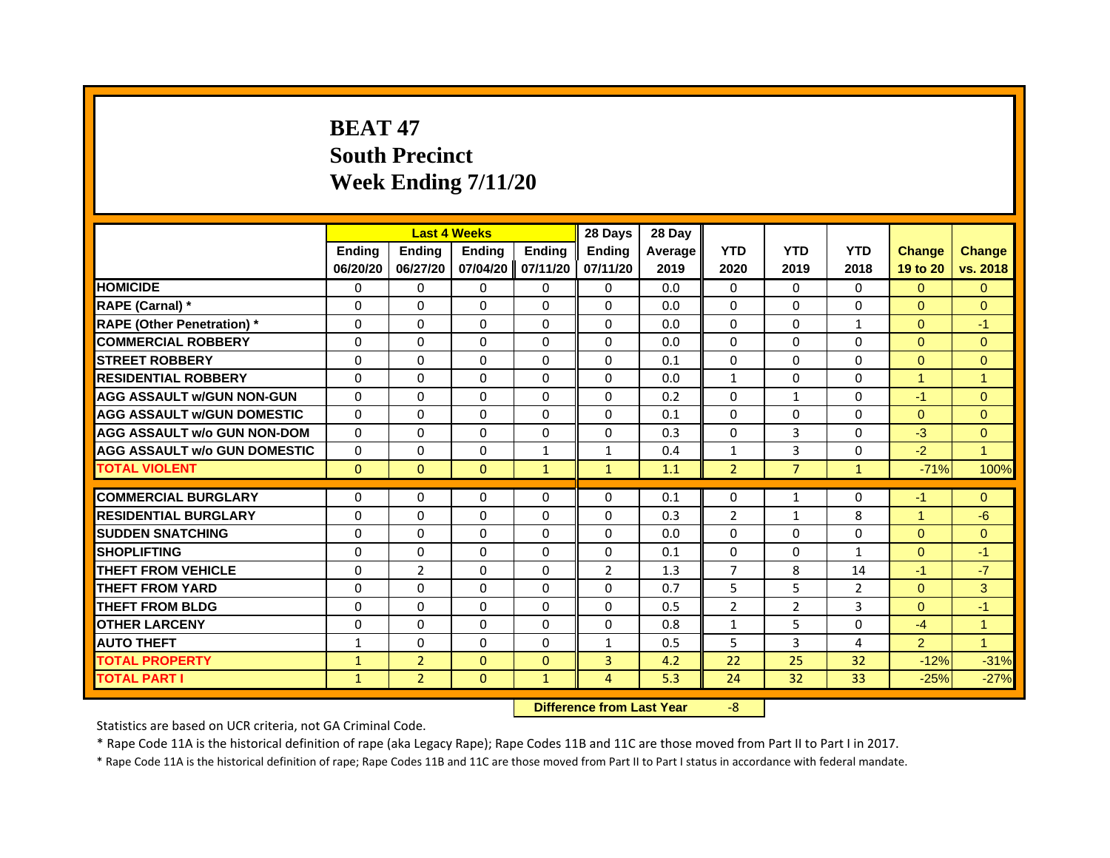# **BEAT 47South Precinct Week Ending 7/11/20**

|                                     |               | <b>Last 4 Weeks</b> |               |                   | 28 Days        | 28 Day  |                |                |              |                      |                |
|-------------------------------------|---------------|---------------------|---------------|-------------------|----------------|---------|----------------|----------------|--------------|----------------------|----------------|
|                                     | <b>Endina</b> | <b>Endina</b>       | <b>Endina</b> | <b>Endina</b>     | <b>Endina</b>  | Average | <b>YTD</b>     | <b>YTD</b>     | <b>YTD</b>   | <b>Change</b>        | <b>Change</b>  |
|                                     | 06/20/20      | 06/27/20            |               | 07/04/20 07/11/20 | 07/11/20       | 2019    | 2020           | 2019           | 2018         | 19 to 20             | vs. 2018       |
| <b>HOMICIDE</b>                     | $\Omega$      | $\Omega$            | $\Omega$      | $\Omega$          | $\Omega$       | 0.0     | $\Omega$       | $\Omega$       | $\Omega$     | $\Omega$             | $\mathbf{0}$   |
| RAPE (Carnal) *                     | $\Omega$      | $\Omega$            | $\Omega$      | $\Omega$          | $\Omega$       | 0.0     | $\Omega$       | $\Omega$       | $\Omega$     | $\Omega$             | $\mathbf{0}$   |
| <b>RAPE (Other Penetration)*</b>    | $\Omega$      | $\Omega$            | $\Omega$      | $\Omega$          | $\Omega$       | 0.0     | $\Omega$       | $\Omega$       | $\mathbf{1}$ | $\Omega$             | $-1$           |
| <b>COMMERCIAL ROBBERY</b>           | 0             | $\Omega$            | $\Omega$      | $\Omega$          | $\Omega$       | 0.0     | $\Omega$       | $\Omega$       | 0            | $\Omega$             | $\Omega$       |
| <b>STREET ROBBERY</b>               | $\Omega$      | $\Omega$            | $\Omega$      | $\Omega$          | $\Omega$       | 0.1     | $\Omega$       | $\Omega$       | 0            | $\Omega$             | $\Omega$       |
| <b>RESIDENTIAL ROBBERY</b>          | $\Omega$      | $\Omega$            | $\Omega$      | $\Omega$          | $\Omega$       | 0.0     | $\mathbf{1}$   | $\Omega$       | 0            | $\blacktriangleleft$ | $\overline{1}$ |
| <b>AGG ASSAULT W/GUN NON-GUN</b>    | $\Omega$      | $\Omega$            | $\mathbf 0$   | $\Omega$          | $\Omega$       | 0.2     | $\Omega$       | $\mathbf{1}$   | 0            | $-1$                 | $\mathbf{0}$   |
| <b>AGG ASSAULT W/GUN DOMESTIC</b>   | $\Omega$      | $\Omega$            | $\Omega$      | $\Omega$          | $\Omega$       | 0.1     | $\Omega$       | $\Omega$       | $\Omega$     | $\Omega$             | $\Omega$       |
| <b>AGG ASSAULT w/o GUN NON-DOM</b>  | 0             | 0                   | 0             | 0                 | 0              | 0.3     | 0              | 3              | 0            | $-3$                 | $\Omega$       |
| <b>AGG ASSAULT W/o GUN DOMESTIC</b> | $\Omega$      | 0                   | 0             | $\mathbf{1}$      | $\mathbf{1}$   | 0.4     | $\mathbf{1}$   | 3              | 0            | $-2$                 | $\overline{1}$ |
| <b>TOTAL VIOLENT</b>                | $\mathbf{0}$  | $\mathbf{0}$        | $\mathbf{0}$  | $\mathbf{1}$      | $\mathbf{1}$   | 1.1     | $\overline{2}$ | $\overline{7}$ | $\mathbf{1}$ | $-71%$               | 100%           |
|                                     |               |                     |               |                   |                |         |                |                |              |                      |                |
| <b>COMMERCIAL BURGLARY</b>          | 0             | 0                   | 0             | 0                 | $\Omega$       | 0.1     | $\Omega$       | $\mathbf{1}$   | 0            | $-1$                 | $\mathbf{0}$   |
| <b>RESIDENTIAL BURGLARY</b>         | $\Omega$      | $\Omega$            | $\Omega$      | $\Omega$          | $\Omega$       | 0.3     | $\overline{2}$ | $\mathbf{1}$   | 8            | $\overline{1}$       | $-6$           |
| <b>SUDDEN SNATCHING</b>             | $\Omega$      | $\Omega$            | $\Omega$      | $\Omega$          | $\Omega$       | 0.0     | $\Omega$       | 0              | 0            | $\Omega$             | $\Omega$       |
| <b>SHOPLIFTING</b>                  | $\Omega$      | $\Omega$            | $\Omega$      | $\Omega$          | $\Omega$       | 0.1     | $\mathbf 0$    | $\Omega$       | $\mathbf{1}$ | $\Omega$             | $-1$           |
| <b>THEFT FROM VEHICLE</b>           | $\Omega$      | $\overline{2}$      | $\Omega$      | $\Omega$          | 2              | 1.3     | $\overline{7}$ | 8              | 14           | $-1$                 | $-7$           |
| <b>THEFT FROM YARD</b>              | 0             | 0                   | 0             | 0                 | 0              | 0.7     | 5              | 5              | 2            | $\Omega$             | 3              |
| <b>THEFT FROM BLDG</b>              | 0             | 0                   | 0             | 0                 | $\Omega$       | 0.5     | 2              | 2              | 3            | $\Omega$             | $-1$           |
| <b>OTHER LARCENY</b>                | $\Omega$      | $\Omega$            | $\Omega$      | $\Omega$          | $\Omega$       | 0.8     | $\mathbf{1}$   | 5              | $\Omega$     | $-4$                 | $\overline{1}$ |
| <b>AUTO THEFT</b>                   | $\mathbf{1}$  | $\Omega$            | $\Omega$      | $\Omega$          | $\mathbf{1}$   | 0.5     | 5              | 3              | 4            | $\overline{2}$       | $\overline{1}$ |
| <b>TOTAL PROPERTY</b>               | $\mathbf{1}$  | $\overline{2}$      | $\Omega$      | $\Omega$          | 3              | 4.2     | 22             | 25             | 32           | $-12%$               | $-31%$         |
| <b>TOTAL PART I</b>                 | $\mathbf{1}$  | $\overline{2}$      | $\Omega$      | $\mathbf{1}$      | $\overline{4}$ | 5.3     | 24             | 32             | 33           | $-25%$               | $-27%$         |

 **Difference from Last Year**‐8

Statistics are based on UCR criteria, not GA Criminal Code.

\* Rape Code 11A is the historical definition of rape (aka Legacy Rape); Rape Codes 11B and 11C are those moved from Part II to Part I in 2017.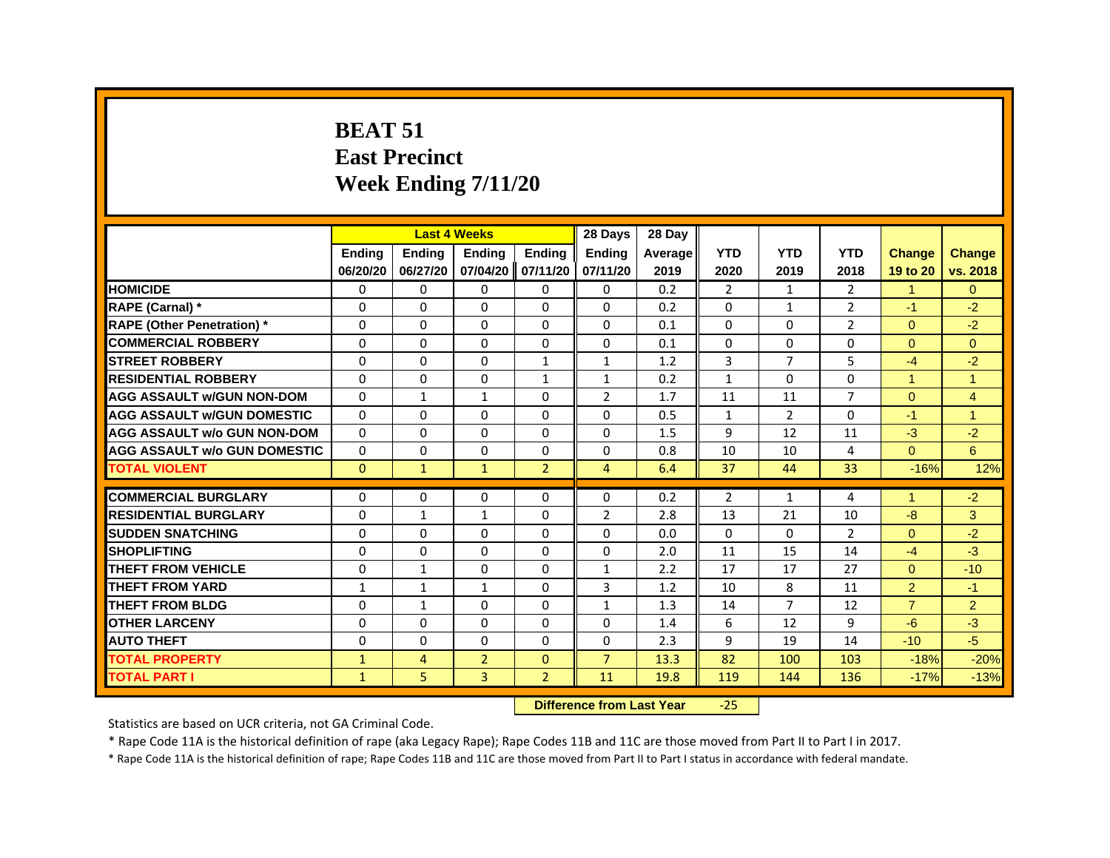#### **BEAT 51East Precinct Week Ending 7/11/20**

|                                     |               |               | <b>Last 4 Weeks</b> |                   | 28 Days        | 28 Day  |                |                |                |                      |                |
|-------------------------------------|---------------|---------------|---------------------|-------------------|----------------|---------|----------------|----------------|----------------|----------------------|----------------|
|                                     | <b>Ending</b> | <b>Endina</b> | <b>Endina</b>       | <b>Ending</b>     | <b>Endina</b>  | Average | <b>YTD</b>     | <b>YTD</b>     | <b>YTD</b>     | <b>Change</b>        | <b>Change</b>  |
|                                     | 06/20/20      | 06/27/20      |                     | 07/04/20 07/11/20 | 07/11/20       | 2019    | 2020           | 2019           | 2018           | 19 to 20             | vs. 2018       |
| <b>HOMICIDE</b>                     | 0             | 0             | $\Omega$            | $\Omega$          | 0              | 0.2     | $\overline{2}$ | $\mathbf{1}$   | $\overline{2}$ | $\mathbf{1}$         | $\Omega$       |
| RAPE (Carnal) *                     | 0             | 0             | $\Omega$            | 0                 | 0              | 0.2     | 0              | $\mathbf{1}$   | $\overline{2}$ | $-1$                 | $-2$           |
| <b>RAPE (Other Penetration)</b> *   | 0             | 0             | 0                   | 0                 | $\Omega$       | 0.1     | $\Omega$       | $\Omega$       | $\overline{2}$ | $\Omega$             | $-2$           |
| <b>COMMERCIAL ROBBERY</b>           | 0             | $\Omega$      | $\Omega$            | $\Omega$          | $\Omega$       | 0.1     | $\Omega$       | $\Omega$       | 0              | $\Omega$             | $\Omega$       |
| <b>STREET ROBBERY</b>               | $\Omega$      | $\Omega$      | $\Omega$            | $\mathbf{1}$      | $\mathbf{1}$   | 1.2     | 3              | $\overline{7}$ | 5              | $-4$                 | $-2$           |
| <b>RESIDENTIAL ROBBERY</b>          | 0             | 0             | 0                   | $\mathbf{1}$      | $\mathbf{1}$   | 0.2     | $\mathbf{1}$   | 0              | $\Omega$       | $\mathbf{1}$         | $\overline{1}$ |
| <b>AGG ASSAULT w/GUN NON-DOM</b>    | 0             | $\mathbf{1}$  | $\mathbf{1}$        | 0                 | $\overline{2}$ | 1.7     | 11             | 11             | $\overline{7}$ | $\Omega$             | $\overline{4}$ |
| <b>AGG ASSAULT w/GUN DOMESTIC</b>   | 0             | 0             | 0                   | 0                 | 0              | 0.5     | 1              | $\overline{2}$ | 0              | $-1$                 | 1              |
| <b>AGG ASSAULT w/o GUN NON-DOM</b>  | $\Omega$      | $\Omega$      | 0                   | 0                 | 0              | 1.5     | 9              | 12             | 11             | $-3$                 | $-2$           |
| <b>AGG ASSAULT w/o GUN DOMESTIC</b> | $\Omega$      | 0             | $\Omega$            | $\mathbf{0}$      | $\Omega$       | 0.8     | 10             | 10             | 4              | $\Omega$             | 6              |
| <b>TOTAL VIOLENT</b>                | $\Omega$      | $\mathbf{1}$  | $\mathbf{1}$        | $\overline{2}$    | $\overline{4}$ | 6.4     | 37             | 44             | 33             | $-16%$               | 12%            |
| <b>COMMERCIAL BURGLARY</b>          | 0             | 0             | 0                   | 0                 | 0              | 0.2     | $\overline{2}$ | $\mathbf{1}$   | 4              | $\blacktriangleleft$ | $-2$           |
| <b>RESIDENTIAL BURGLARY</b>         | 0             | $\mathbf{1}$  | $\mathbf{1}$        | $\Omega$          | $\overline{2}$ | 2.8     | 13             | 21             | 10             | $-8$                 | 3              |
| <b>SUDDEN SNATCHING</b>             | 0             | $\Omega$      | $\Omega$            | $\Omega$          | $\Omega$       | 0.0     | $\Omega$       | $\Omega$       | $\overline{2}$ | $\Omega$             | $-2$           |
| <b>SHOPLIFTING</b>                  | $\Omega$      | $\Omega$      | $\Omega$            | $\Omega$          | $\Omega$       | 2.0     | 11             | 15             | 14             | $-4$                 | $-3$           |
| THEFT FROM VEHICLE                  | 0             | $\mathbf{1}$  | 0                   | $\Omega$          | $\mathbf{1}$   | 2.2     | 17             | 17             | 27             | $\Omega$             | $-10$          |
| <b>THEFT FROM YARD</b>              | $\mathbf{1}$  | $\mathbf{1}$  | $\mathbf{1}$        | $\Omega$          | $\overline{3}$ | 1.2     | 10             | 8              | 11             | $\overline{2}$       | $-1$           |
| <b>THEFT FROM BLDG</b>              | 0             | $\mathbf{1}$  | $\Omega$            | $\Omega$          | $\mathbf{1}$   | 1.3     | 14             | $\overline{7}$ | 12             | $\overline{7}$       | $\overline{2}$ |
| <b>OTHER LARCENY</b>                | 0             | 0             | 0                   | 0                 | 0              | 1.4     | 6              | 12             | 9              | $-6$                 | $-3$           |
| <b>AUTO THEFT</b>                   | 0             | 0             | 0                   | 0                 | 0              | 2.3     | 9              | 19             | 14             | $-10$                | $-5$           |
| <b>TOTAL PROPERTY</b>               | $\mathbf{1}$  | 4             | $\overline{2}$      | $\Omega$          | $\overline{7}$ | 13.3    | 82             | 100            | 103            | $-18%$               | $-20%$         |
| <b>TOTAL PART I</b>                 | $\mathbf{1}$  | 5             | 3                   | $\overline{2}$    | 11             | 19.8    | 119            | 144            | 136            | $-17%$               | $-13%$         |
|                                     |               |               |                     |                   |                |         | $\sim$ $-$     |                |                |                      |                |

#### **Difference from Last Year**‐25

Statistics are based on UCR criteria, not GA Criminal Code.

\* Rape Code 11A is the historical definition of rape (aka Legacy Rape); Rape Codes 11B and 11C are those moved from Part II to Part I in 2017.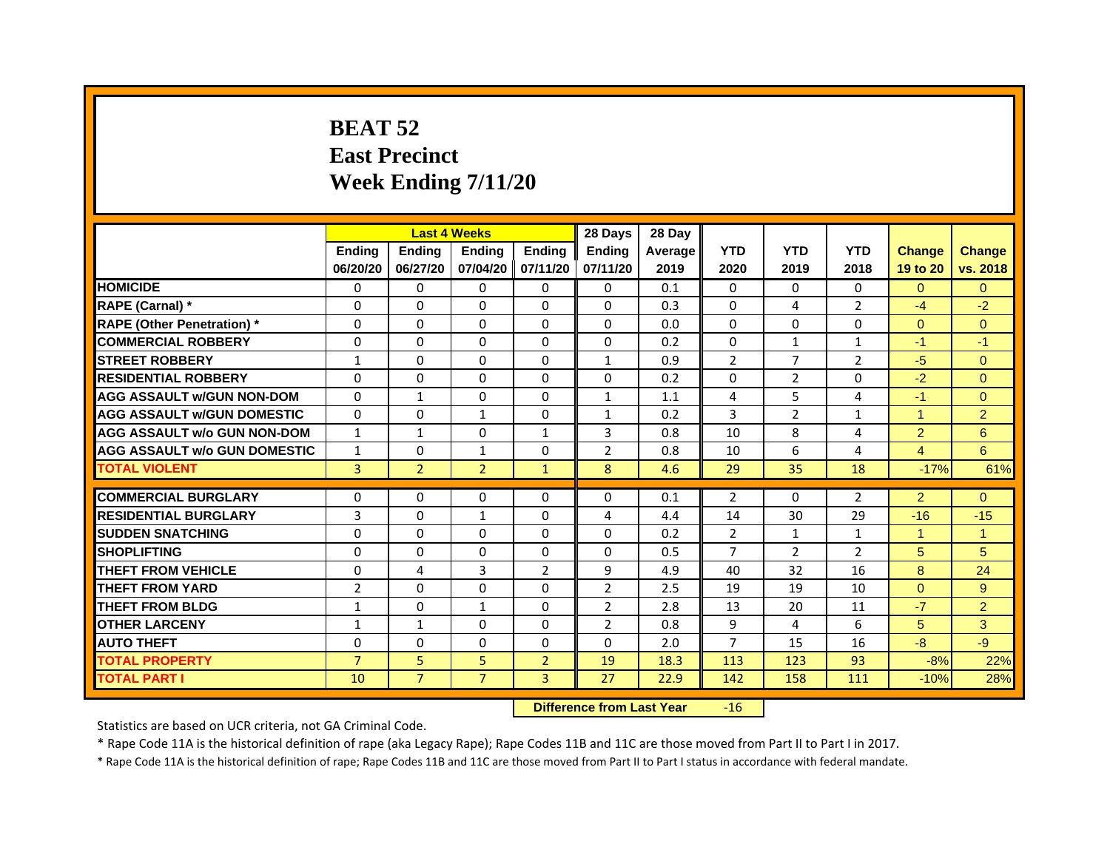# **BEAT 52East Precinct Week Ending 7/11/20**

|                                     |                | <b>Last 4 Weeks</b> |                |                   | 28 Days        | 28 Day  |                |                |                |                      |                |
|-------------------------------------|----------------|---------------------|----------------|-------------------|----------------|---------|----------------|----------------|----------------|----------------------|----------------|
|                                     | <b>Endina</b>  | <b>Endina</b>       | <b>Endina</b>  | <b>Ending</b>     | <b>Endina</b>  | Average | <b>YTD</b>     | <b>YTD</b>     | <b>YTD</b>     | <b>Change</b>        | <b>Change</b>  |
|                                     | 06/20/20       | 06/27/20            |                | 07/04/20 07/11/20 | 07/11/20       | 2019    | 2020           | 2019           | 2018           | 19 to 20             | vs. 2018       |
| <b>HOMICIDE</b>                     | 0              | 0                   | $\mathbf{0}$   | 0                 | 0              | 0.1     | $\mathbf{0}$   | 0              | $\Omega$       | $\Omega$             | $\mathbf{0}$   |
| RAPE (Carnal) *                     | $\Omega$       | $\Omega$            | $\Omega$       | $\Omega$          | $\Omega$       | 0.3     | $\Omega$       | 4              | $\overline{2}$ | $-4$                 | $-2$           |
| <b>RAPE (Other Penetration)</b> *   | 0              | $\Omega$            | $\Omega$       | $\mathbf{0}$      | $\Omega$       | 0.0     | $\Omega$       | $\Omega$       | $\Omega$       | $\Omega$             | $\Omega$       |
| <b>COMMERCIAL ROBBERY</b>           | 0              | 0                   | $\Omega$       | 0                 | $\Omega$       | 0.2     | $\Omega$       | $\mathbf{1}$   | $\mathbf{1}$   | $-1$                 | $-1$           |
| <b>STREET ROBBERY</b>               | 1              | 0                   | 0              | 0                 | $\mathbf{1}$   | 0.9     | $\overline{2}$ | 7              | $\overline{2}$ | $-5$                 | $\mathbf{0}$   |
| <b>RESIDENTIAL ROBBERY</b>          | 0              | 0                   | $\Omega$       | $\Omega$          | $\Omega$       | 0.2     | $\Omega$       | 2              | $\Omega$       | $-2$                 | $\Omega$       |
| <b>AGG ASSAULT w/GUN NON-DOM</b>    | $\Omega$       | $\mathbf{1}$        | $\Omega$       | $\mathbf{0}$      | $\mathbf{1}$   | 1.1     | 4              | 5              | 4              | $-1$                 | $\overline{0}$ |
| <b>AGG ASSAULT W/GUN DOMESTIC</b>   | $\Omega$       | 0                   | $\mathbf{1}$   | 0                 | $\mathbf{1}$   | 0.2     | 3              | $\overline{2}$ | $\mathbf{1}$   | $\blacktriangleleft$ | 2              |
| <b>AGG ASSAULT w/o GUN NON-DOM</b>  | $\mathbf{1}$   | 1                   | $\Omega$       | $\mathbf{1}$      | 3              | 0.8     | 10             | 8              | 4              | 2                    | 6              |
| <b>AGG ASSAULT w/o GUN DOMESTIC</b> | $\mathbf{1}$   | 0                   | $\mathbf{1}$   | 0                 | $\overline{2}$ | 0.8     | 10             | 6              | $\overline{4}$ | 4                    | 6              |
| <b>TOTAL VIOLENT</b>                | 3              | $\overline{2}$      | $\overline{2}$ | $\mathbf{1}$      | 8              | 4.6     | 29             | 35             | 18             | $-17%$               | 61%            |
|                                     |                |                     |                |                   |                |         |                |                |                |                      |                |
| <b>COMMERCIAL BURGLARY</b>          | 0              | 0                   | $\Omega$       | 0                 | $\Omega$       | 0.1     | 2              | $\Omega$       | 2              | $\overline{2}$       | $\Omega$       |
| <b>RESIDENTIAL BURGLARY</b>         | 3              | $\Omega$            | $\mathbf{1}$   | $\Omega$          | 4              | 4.4     | 14             | 30             | 29             | $-16$                | $-15$          |
| <b>SUDDEN SNATCHING</b>             | 0              | 0                   | $\Omega$       | 0                 | $\Omega$       | 0.2     | $\overline{2}$ | $\mathbf{1}$   | $\mathbf{1}$   | 1                    | 1              |
| <b>SHOPLIFTING</b>                  | $\Omega$       | $\Omega$            | $\Omega$       | $\Omega$          | $\Omega$       | 0.5     | $\overline{7}$ | $\overline{2}$ | $\overline{2}$ | 5                    | 5              |
| <b>THEFT FROM VEHICLE</b>           | $\Omega$       | 4                   | 3              | $\overline{2}$    | 9              | 4.9     | 40             | 32             | 16             | 8                    | 24             |
| <b>THEFT FROM YARD</b>              | $\overline{2}$ | 0                   | $\Omega$       | $\Omega$          | $\overline{2}$ | 2.5     | 19             | 19             | 10             | $\Omega$             | 9              |
| <b>THEFT FROM BLDG</b>              | 1              | 0                   | 1              | 0                 | $\overline{2}$ | 2.8     | 13             | 20             | 11             | $-7$                 | $\overline{2}$ |
| <b>OTHER LARCENY</b>                | 1              | $\mathbf{1}$        | $\Omega$       | $\Omega$          | $\overline{2}$ | 0.8     | 9              | 4              | 6              | 5                    | 3              |
| <b>AUTO THEFT</b>                   | $\mathbf 0$    | 0                   | $\Omega$       | $\Omega$          | $\Omega$       | 2.0     | $\overline{7}$ | 15             | 16             | $-8$                 | $-9$           |
| <b>TOTAL PROPERTY</b>               | $\overline{7}$ | 5                   | 5              | $\overline{2}$    | 19             | 18.3    | 113            | 123            | 93             | $-8%$                | 22%            |
| <b>TOTAL PART I</b>                 | 10             | $\overline{7}$      | $\overline{7}$ | $\overline{3}$    | 27             | 22.9    | 142            | 158            | 111            | $-10%$               | 28%            |

 **Difference from Last Year**r -16

Statistics are based on UCR criteria, not GA Criminal Code.

\* Rape Code 11A is the historical definition of rape (aka Legacy Rape); Rape Codes 11B and 11C are those moved from Part II to Part I in 2017.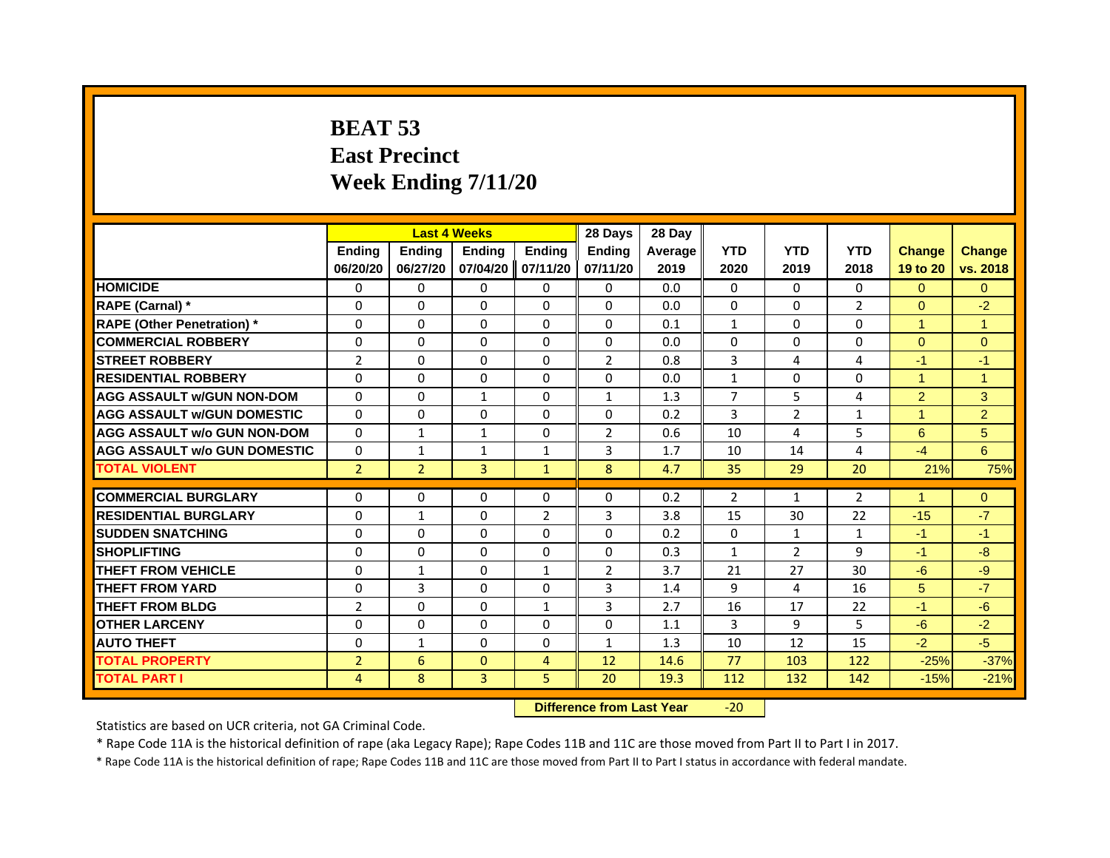# **BEAT 53East Precinct Week Ending 7/11/20**

|                                     |                | <b>Last 4 Weeks</b> |               |                | 28 Days        | 28 Day  |                |                |                |                      |               |
|-------------------------------------|----------------|---------------------|---------------|----------------|----------------|---------|----------------|----------------|----------------|----------------------|---------------|
|                                     | <b>Endina</b>  | <b>Ending</b>       | <b>Endina</b> | <b>Endina</b>  | <b>Endina</b>  | Average | <b>YTD</b>     | <b>YTD</b>     | <b>YTD</b>     | <b>Change</b>        | <b>Change</b> |
|                                     | 06/20/20       | 06/27/20            | 07/04/20      | 07/11/20       | 07/11/20       | 2019    | 2020           | 2019           | 2018           | 19 to 20             | vs. 2018      |
| <b>HOMICIDE</b>                     | 0              | $\Omega$            | $\Omega$      | $\Omega$       | $\mathbf{0}$   | 0.0     | 0              | $\Omega$       | $\Omega$       | $\Omega$             | $\Omega$      |
| RAPE (Carnal) *                     | $\Omega$       | $\Omega$            | $\Omega$      | $\Omega$       | $\Omega$       | 0.0     | $\Omega$       | $\Omega$       | $\overline{2}$ | $\Omega$             | $-2$          |
| <b>RAPE (Other Penetration) *</b>   | $\Omega$       | 0                   | $\Omega$      | $\Omega$       | $\Omega$       | 0.1     | $\mathbf{1}$   | $\Omega$       | $\Omega$       | $\mathbf{1}$         | $\mathbf{1}$  |
| <b>COMMERCIAL ROBBERY</b>           | 0              | 0                   | 0             | $\Omega$       | 0              | 0.0     | 0              | 0              | 0              | $\Omega$             | $\Omega$      |
| <b>STREET ROBBERY</b>               | $\overline{2}$ | $\Omega$            | $\Omega$      | $\Omega$       | $\overline{2}$ | 0.8     | 3              | 4              | 4              | $-1$                 | $-1$          |
| <b>RESIDENTIAL ROBBERY</b>          | 0              | 0                   | 0             | $\Omega$       | 0              | 0.0     | $\mathbf{1}$   | 0              | 0              | $\blacktriangleleft$ | 1             |
| <b>AGG ASSAULT w/GUN NON-DOM</b>    | $\Omega$       | $\Omega$            | $\mathbf{1}$  | $\Omega$       | $\mathbf{1}$   | 1.3     | $\overline{7}$ | 5              | 4              | $\overline{2}$       | 3             |
| <b>AGG ASSAULT W/GUN DOMESTIC</b>   | $\Omega$       | $\Omega$            | $\Omega$      | $\Omega$       | $\Omega$       | 0.2     | 3              | $\overline{2}$ | $\mathbf{1}$   | $\blacktriangleleft$ | 2             |
| <b>AGG ASSAULT w/o GUN NON-DOM</b>  | $\Omega$       | $\mathbf{1}$        | 1             | 0              | $\overline{2}$ | 0.6     | 10             | 4              | 5              | 6                    | 5             |
| <b>AGG ASSAULT w/o GUN DOMESTIC</b> | $\Omega$       | $\mathbf{1}$        | 1             | 1              | 3              | 1.7     | 10             | 14             | 4              | $-4$                 | 6             |
| <b>TOTAL VIOLENT</b>                | $\overline{2}$ | $\overline{2}$      | 3             | $\mathbf{1}$   | 8              | 4.7     | 35             | 29             | 20             | 21%                  | 75%           |
|                                     |                |                     |               |                |                |         |                |                |                |                      |               |
| <b>COMMERCIAL BURGLARY</b>          | 0              | 0                   | 0             | $\Omega$       | 0              | 0.2     | 2              | 1              | 2              | 1                    | $\mathbf{0}$  |
| <b>RESIDENTIAL BURGLARY</b>         | $\Omega$       | $\mathbf{1}$        | 0             | $\overline{2}$ | 3              | 3.8     | 15             | 30             | 22             | $-15$                | $-7$          |
| <b>SUDDEN SNATCHING</b>             | $\Omega$       | $\Omega$            | 0             | $\Omega$       | $\Omega$       | 0.2     | $\Omega$       | $\mathbf{1}$   | $\mathbf{1}$   | $-1$                 | $-1$          |
| <b>SHOPLIFTING</b>                  | $\Omega$       | $\Omega$            | $\Omega$      | $\Omega$       | $\mathbf{0}$   | 0.3     | $\mathbf{1}$   | 2              | 9              | $-1$                 | $-8$          |
| <b>THEFT FROM VEHICLE</b>           | $\Omega$       | $\mathbf{1}$        | $\Omega$      | $\mathbf{1}$   | $\overline{2}$ | 3.7     | 21             | 27             | 30             | $-6$                 | -9            |
| <b>THEFT FROM YARD</b>              | 0              | 3                   | 0             | 0              | 3              | 1.4     | 9              | 4              | 16             | 5                    | $-7$          |
| <b>THEFT FROM BLDG</b>              | $\overline{2}$ | $\Omega$            | 0             | 1              | 3              | 2.7     | 16             | 17             | 22             | $-1$                 | $-6$          |
| <b>OTHER LARCENY</b>                | 0              | $\Omega$            | 0             | $\Omega$       | 0              | 1.1     | $\overline{3}$ | 9              | 5              | $-6$                 | $-2$          |
| <b>AUTO THEFT</b>                   | $\Omega$       | $\mathbf{1}$        | $\Omega$      | $\Omega$       | $\mathbf{1}$   | 1.3     | 10             | 12             | 15             | $-2$                 | $-5$          |
| <b>TOTAL PROPERTY</b>               | $\overline{2}$ | 6                   | $\Omega$      | 4              | 12             | 14.6    | 77             | 103            | 122            | $-25%$               | $-37%$        |
| <b>TOTAL PART I</b>                 | 4              | 8                   | 3             | 5              | 20             | 19.3    | 112            | 132            | 142            | $-15%$               | $-21%$        |

 **Difference from Last Year**‐20

Statistics are based on UCR criteria, not GA Criminal Code.

\* Rape Code 11A is the historical definition of rape (aka Legacy Rape); Rape Codes 11B and 11C are those moved from Part II to Part I in 2017.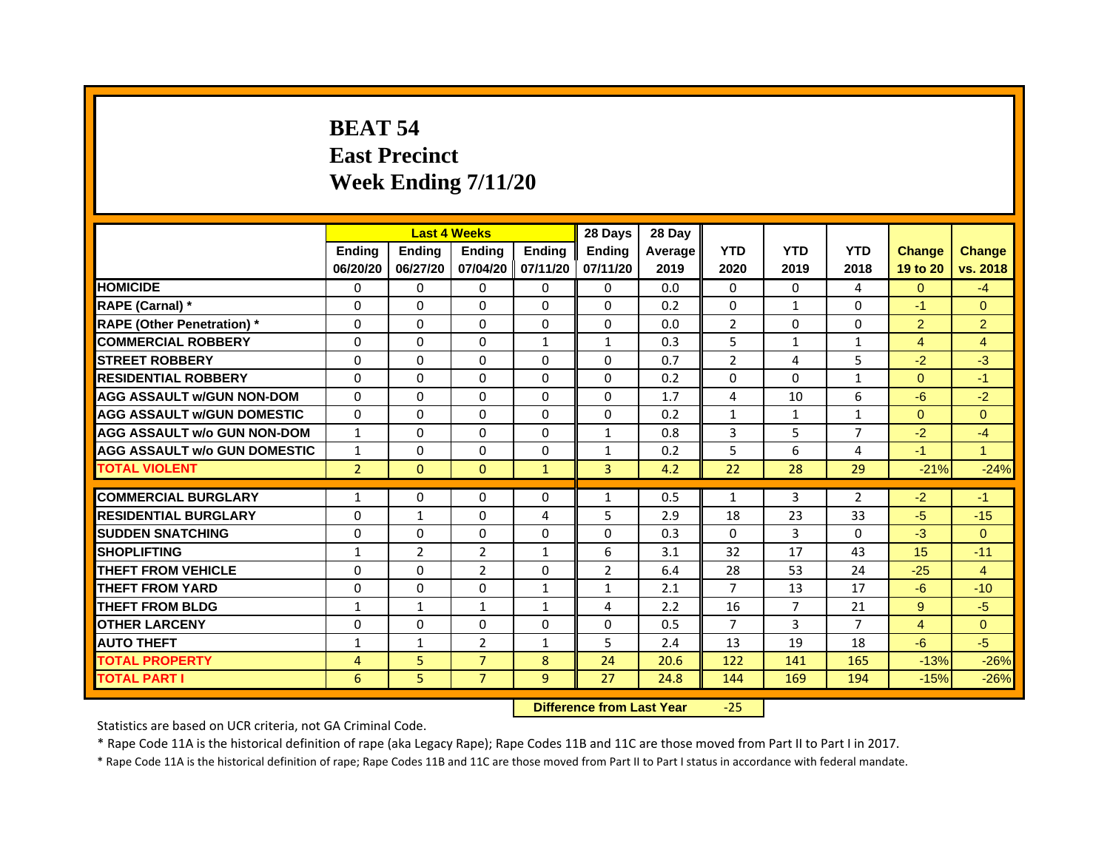# **BEAT 54East Precinct Week Ending 7/11/20**

|                                     |                | <b>Last 4 Weeks</b> |                |                   | 28 Days        | 28 Day  |                |                |                |                |                |
|-------------------------------------|----------------|---------------------|----------------|-------------------|----------------|---------|----------------|----------------|----------------|----------------|----------------|
|                                     | <b>Endina</b>  | <b>Endina</b>       | <b>Endina</b>  | <b>Endina</b>     | <b>Endina</b>  | Average | <b>YTD</b>     | <b>YTD</b>     | <b>YTD</b>     | <b>Change</b>  | <b>Change</b>  |
|                                     | 06/20/20       | 06/27/20            |                | 07/04/20 07/11/20 | 07/11/20       | 2019    | 2020           | 2019           | 2018           | 19 to 20       | vs. 2018       |
| <b>HOMICIDE</b>                     | 0              | 0                   | $\Omega$       | 0                 | 0              | 0.0     | $\mathbf{0}$   | $\Omega$       | 4              | $\Omega$       | $-4$           |
| RAPE (Carnal) *                     | $\Omega$       | $\Omega$            | $\Omega$       | $\Omega$          | $\Omega$       | 0.2     | $\Omega$       | $\mathbf{1}$   | $\Omega$       | $-1$           | $\Omega$       |
| <b>RAPE (Other Penetration)*</b>    | $\Omega$       | $\Omega$            | $\Omega$       | $\Omega$          | $\Omega$       | 0.0     | 2              | $\Omega$       | $\Omega$       | $\overline{2}$ | 2              |
| <b>COMMERCIAL ROBBERY</b>           | 0              | 0                   | 0              | $\mathbf{1}$      | $\mathbf{1}$   | 0.3     | 5              | 1              | $\mathbf{1}$   | 4              | 4              |
| <b>STREET ROBBERY</b>               | 0              | $\Omega$            | 0              | 0                 | 0              | 0.7     | $\overline{2}$ | 4              | 5              | $-2$           | $-3$           |
| <b>RESIDENTIAL ROBBERY</b>          | 0              | $\Omega$            | $\Omega$       | $\Omega$          | $\Omega$       | 0.2     | $\Omega$       | $\Omega$       | $\mathbf{1}$   | $\Omega$       | $-1$           |
| <b>AGG ASSAULT w/GUN NON-DOM</b>    | $\Omega$       | $\Omega$            | $\Omega$       | $\mathbf{0}$      | $\Omega$       | 1.7     | 4              | 10             | 6              | $-6$           | $-2$           |
| <b>AGG ASSAULT W/GUN DOMESTIC</b>   | $\Omega$       | $\Omega$            | $\Omega$       | $\Omega$          | $\Omega$       | 0.2     | $\mathbf{1}$   | $\mathbf{1}$   | $\mathbf{1}$   | $\Omega$       | $\Omega$       |
| <b>AGG ASSAULT w/o GUN NON-DOM</b>  | 1              | 0                   | $\Omega$       | 0                 | $\mathbf{1}$   | 0.8     | 3              | 5              | 7              | $-2$           | $-4$           |
| <b>AGG ASSAULT w/o GUN DOMESTIC</b> | $\mathbf{1}$   | 0                   | 0              | 0                 | 1              | 0.2     | 5              | 6              | $\overline{4}$ | $-1$           | 1              |
| <b>TOTAL VIOLENT</b>                | $\overline{2}$ | $\mathbf{0}$        | $\mathbf{0}$   | $\mathbf{1}$      | 3              | 4.2     | 22             | 28             | 29             | $-21%$         | $-24%$         |
|                                     |                |                     |                |                   |                |         |                |                |                |                |                |
| <b>COMMERCIAL BURGLARY</b>          | 1              | 0                   | $\Omega$       | 0                 | $\mathbf{1}$   | 0.5     | $\mathbf{1}$   | 3              | 2              | $-2$           | $-1$           |
| <b>RESIDENTIAL BURGLARY</b>         | 0              | $\mathbf{1}$        | 0              | 4                 | 5              | 2.9     | 18             | 23             | 33             | $-5$           | $-15$          |
| <b>SUDDEN SNATCHING</b>             | 0              | $\Omega$            | $\Omega$       | $\Omega$          | $\Omega$       | 0.3     | $\Omega$       | 3              | $\Omega$       | $-3$           | $\Omega$       |
| <b>SHOPLIFTING</b>                  | $\mathbf{1}$   | $\overline{2}$      | $\overline{2}$ | $\mathbf{1}$      | 6              | 3.1     | 32             | 17             | 43             | 15             | $-11$          |
| <b>THEFT FROM VEHICLE</b>           | 0              | 0                   | $\overline{2}$ | $\mathbf{0}$      | $\overline{2}$ | 6.4     | 28             | 53             | 24             | $-25$          | $\overline{4}$ |
| <b>THEFT FROM YARD</b>              | 0              | 0                   | $\Omega$       | $\mathbf{1}$      | $\mathbf{1}$   | 2.1     | 7              | 13             | 17             | $-6$           | $-10$          |
| <b>THEFT FROM BLDG</b>              | 1              | 1                   | 1              | 1                 | 4              | 2.2     | 16             | $\overline{7}$ | 21             | 9              | $-5$           |
| <b>OTHER LARCENY</b>                | 0              | 0                   | $\Omega$       | $\Omega$          | $\Omega$       | 0.5     | 7              | 3              | 7              | $\overline{4}$ | $\Omega$       |
| <b>AUTO THEFT</b>                   | $\mathbf{1}$   | 1                   | $\overline{2}$ | $\mathbf{1}$      | 5              | 2.4     | 13             | 19             | 18             | $-6$           | $-5$           |
| <b>TOTAL PROPERTY</b>               | 4              | 5                   | $\overline{7}$ | 8                 | 24             | 20.6    | 122            | 141            | 165            | $-13%$         | $-26%$         |
| <b>TOTAL PART I</b>                 | 6              | 5                   | $\overline{7}$ | 9                 | 27             | 24.8    | 144            | 169            | 194            | $-15%$         | $-26%$         |

 **Difference from Last Year**‐25

Statistics are based on UCR criteria, not GA Criminal Code.

\* Rape Code 11A is the historical definition of rape (aka Legacy Rape); Rape Codes 11B and 11C are those moved from Part II to Part I in 2017.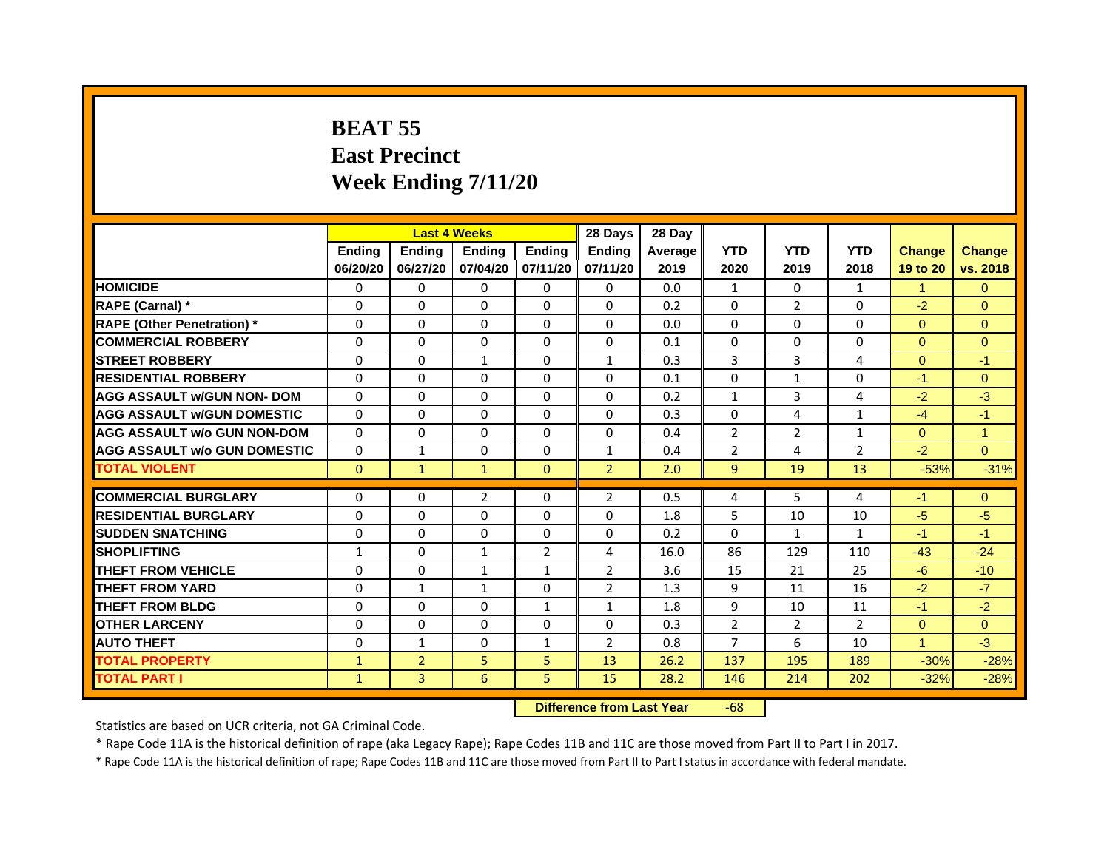# **BEAT 55East Precinct Week Ending 7/11/20**

|                                     |               |                | <b>Last 4 Weeks</b> |                | 28 Days        | 28 Day  |                |                |                |               |               |
|-------------------------------------|---------------|----------------|---------------------|----------------|----------------|---------|----------------|----------------|----------------|---------------|---------------|
|                                     | <b>Ending</b> | Ending         | <b>Endina</b>       | <b>Ending</b>  | <b>Endina</b>  | Average | <b>YTD</b>     | <b>YTD</b>     | <b>YTD</b>     | <b>Change</b> | <b>Change</b> |
|                                     | 06/20/20      | 06/27/20       | 07/04/20            | 07/11/20       | 07/11/20       | 2019    | 2020           | 2019           | 2018           | 19 to 20      | vs. 2018      |
| <b>HOMICIDE</b>                     | $\Omega$      | $\Omega$       | 0                   | 0              | 0              | 0.0     | $\mathbf{1}$   | 0              | $\mathbf{1}$   | $\mathbf{1}$  | $\mathbf{0}$  |
| RAPE (Carnal) *                     | $\Omega$      | $\Omega$       | $\Omega$            | $\Omega$       | $\Omega$       | 0.2     | $\Omega$       | $\overline{2}$ | $\Omega$       | $-2$          | $\Omega$      |
| <b>RAPE (Other Penetration)</b> *   | $\Omega$      | $\Omega$       | 0                   | 0              | 0              | 0.0     | 0              | 0              | 0              | $\Omega$      | $\Omega$      |
| <b>COMMERCIAL ROBBERY</b>           | $\Omega$      | $\Omega$       | $\Omega$            | $\Omega$       | $\Omega$       | 0.1     | $\Omega$       | $\Omega$       | $\Omega$       | $\Omega$      | $\Omega$      |
| <b>STREET ROBBERY</b>               | $\Omega$      | $\Omega$       | 1                   | $\Omega$       | 1              | 0.3     | 3              | 3              | $\overline{4}$ | $\Omega$      | $-1$          |
| <b>RESIDENTIAL ROBBERY</b>          | $\Omega$      | $\Omega$       | $\Omega$            | $\Omega$       | $\Omega$       | 0.1     | $\Omega$       | $\mathbf{1}$   | $\Omega$       | $-1$          | $\Omega$      |
| <b>AGG ASSAULT w/GUN NON- DOM</b>   | $\Omega$      | $\Omega$       | $\Omega$            | $\Omega$       | $\Omega$       | 0.2     | $\mathbf{1}$   | $\overline{3}$ | 4              | $-2$          | $-3$          |
| <b>AGG ASSAULT W/GUN DOMESTIC</b>   | $\Omega$      | $\Omega$       | $\Omega$            | $\Omega$       | $\Omega$       | 0.3     | $\Omega$       | 4              | $\mathbf{1}$   | $-4$          | $-1$          |
| <b>AGG ASSAULT w/o GUN NON-DOM</b>  | $\Omega$      | $\Omega$       | $\Omega$            | $\Omega$       | $\Omega$       | 0.4     | 2              | $\overline{2}$ | 1              | $\Omega$      | 1             |
| <b>AGG ASSAULT w/o GUN DOMESTIC</b> | $\Omega$      | 1              | $\Omega$            | $\Omega$       | 1              | 0.4     | $\overline{2}$ | 4              | $\overline{2}$ | $-2$          | $\Omega$      |
| <b>TOTAL VIOLENT</b>                | $\mathbf{0}$  | $\mathbf{1}$   | $\mathbf{1}$        | $\mathbf{0}$   | $\overline{2}$ | 2.0     | 9              | 19             | 13             | $-53%$        | $-31%$        |
|                                     |               |                |                     |                |                |         |                |                |                |               |               |
| <b>COMMERCIAL BURGLARY</b>          | $\Omega$      | 0              | $\overline{2}$      | 0              | $\overline{2}$ | 0.5     | 4              | 5              | 4              | $-1$          | $\mathbf{0}$  |
| <b>RESIDENTIAL BURGLARY</b>         | $\Omega$      | $\Omega$       | $\Omega$            | $\Omega$       | 0              | 1.8     | 5              | 10             | 10             | $-5$          | $-5$          |
| <b>SUDDEN SNATCHING</b>             | $\Omega$      | $\Omega$       | $\Omega$            | 0              | $\Omega$       | 0.2     | 0              | $\mathbf{1}$   | $\mathbf{1}$   | $-1$          | $-1$          |
| <b>SHOPLIFTING</b>                  | $\mathbf{1}$  | $\Omega$       | $\mathbf{1}$        | $\overline{2}$ | 4              | 16.0    | 86             | 129            | 110            | $-43$         | $-24$         |
| <b>THEFT FROM VEHICLE</b>           | $\Omega$      | $\Omega$       | $\mathbf{1}$        | $\mathbf{1}$   | $\overline{2}$ | 3.6     | 15             | 21             | 25             | $-6$          | $-10$         |
| <b>THEFT FROM YARD</b>              | $\Omega$      | $\mathbf{1}$   | $\mathbf{1}$        | $\Omega$       | $\overline{2}$ | 1.3     | 9              | 11             | 16             | $-2$          | $-7$          |
| <b>THEFT FROM BLDG</b>              | $\Omega$      | $\Omega$       | $\Omega$            | $\mathbf{1}$   | 1              | 1.8     | 9              | 10             | 11             | $-1$          | $-2$          |
| <b>OTHER LARCENY</b>                | $\Omega$      | $\Omega$       | $\Omega$            | $\Omega$       | $\Omega$       | 0.3     | $\overline{2}$ | 2              | 2              | $\Omega$      | $\Omega$      |
| <b>AUTO THEFT</b>                   | $\Omega$      | $\mathbf{1}$   | $\Omega$            | $\mathbf{1}$   | $\overline{2}$ | 0.8     | $\overline{7}$ | 6              | 10             | $\mathbf{1}$  | $-3$          |
| <b>TOTAL PROPERTY</b>               | $\mathbf{1}$  | $\overline{2}$ | 5                   | 5              | 13             | 26.2    | 137            | 195            | 189            | $-30%$        | $-28%$        |
| <b>TOTAL PART I</b>                 | $\mathbf{1}$  | 3              | 6                   | 5              | 15             | 28.2    | 146            | 214            | 202            | $-32%$        | $-28%$        |

 **Difference from Last Year**r -68

Statistics are based on UCR criteria, not GA Criminal Code.

\* Rape Code 11A is the historical definition of rape (aka Legacy Rape); Rape Codes 11B and 11C are those moved from Part II to Part I in 2017.